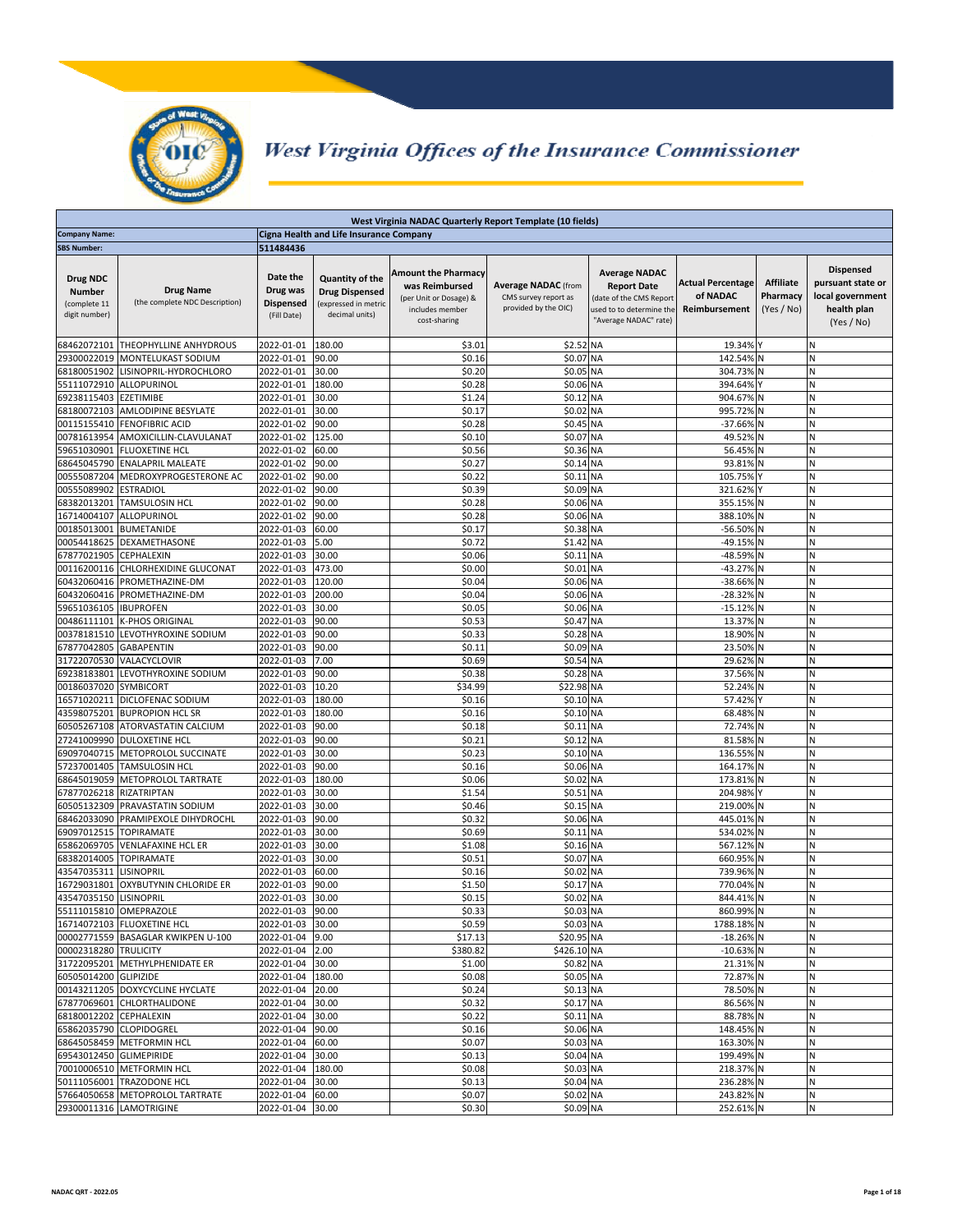

## West Virginia Offices of the Insurance Commissioner

|                                                            | West Virginia NADAC Quarterly Report Template (10 fields) |                                                         |                                                                                    |                                                                                                           |                                                                            |                                                                                                                            |                                                       |                                            |                                                                                        |
|------------------------------------------------------------|-----------------------------------------------------------|---------------------------------------------------------|------------------------------------------------------------------------------------|-----------------------------------------------------------------------------------------------------------|----------------------------------------------------------------------------|----------------------------------------------------------------------------------------------------------------------------|-------------------------------------------------------|--------------------------------------------|----------------------------------------------------------------------------------------|
| <b>Company Name:</b>                                       |                                                           |                                                         | Cigna Health and Life Insurance Company                                            |                                                                                                           |                                                                            |                                                                                                                            |                                                       |                                            |                                                                                        |
| <b>SBS Number:</b>                                         |                                                           | 511484436                                               |                                                                                    |                                                                                                           |                                                                            |                                                                                                                            |                                                       |                                            |                                                                                        |
| Drug NDC<br><b>Number</b><br>(complete 11<br>digit number) | <b>Drug Name</b><br>(the complete NDC Description)        | Date the<br>Drug was<br><b>Dispensed</b><br>(Fill Date) | Quantity of the<br><b>Drug Dispensed</b><br>(expressed in metric<br>decimal units) | <b>Amount the Pharmacy</b><br>was Reimbursed<br>(per Unit or Dosage) &<br>includes member<br>cost-sharing | <b>Average NADAC</b> (from<br>CMS survey report as<br>provided by the OIC) | <b>Average NADAC</b><br><b>Report Date</b><br>(date of the CMS Report<br>used to to determine the<br>"Average NADAC" rate) | <b>Actual Percentage</b><br>of NADAC<br>Reimbursement | <b>Affiliate</b><br>Pharmacy<br>(Yes / No) | <b>Dispensed</b><br>pursuant state or<br>local government<br>health plan<br>(Yes / No) |
| 68462072101                                                | THEOPHYLLINE ANHYDROUS                                    | 2022-01-01                                              | 180.00                                                                             | \$3.01                                                                                                    | \$2.52 NA                                                                  |                                                                                                                            | 19.34% Y                                              |                                            | N                                                                                      |
| 29300022019                                                | MONTELUKAST SODIUM                                        | 2022-01-01                                              | 90.00                                                                              | \$0.16                                                                                                    | \$0.07                                                                     | <b>NA</b>                                                                                                                  | 142.54%                                               | Ν                                          | N                                                                                      |
| 68180051902                                                | LISINOPRIL-HYDROCHLORO                                    | 2022-01-01                                              | 30.00                                                                              | \$0.20                                                                                                    | \$0.05 NA                                                                  |                                                                                                                            | 304.73%                                               |                                            | N                                                                                      |
| 55111072910                                                | ALLOPURINOL                                               | 2022-01-01                                              | 180.00                                                                             | \$0.28                                                                                                    | \$0.06 NA                                                                  |                                                                                                                            | 394.64%                                               |                                            | N                                                                                      |
| 69238115403                                                | <b>EZETIMIBE</b>                                          | 2022-01-01                                              | 30.00                                                                              | \$1.24                                                                                                    | \$0.12 NA                                                                  |                                                                                                                            | 904.67%                                               |                                            | N                                                                                      |
| 68180072103                                                | AMLODIPINE BESYLATE                                       | 2022-01-01                                              | 30.00                                                                              | \$0.17                                                                                                    | \$0.02 NA                                                                  |                                                                                                                            | 995.72%                                               |                                            | Ν                                                                                      |
| 00115155410<br>00781613954                                 | <b>FENOFIBRIC ACID</b><br>AMOXICILLIN-CLAVULANAT          | 2022-01-02<br>2022-01-02                                | 90.00<br>125.00                                                                    | \$0.28<br>\$0.10                                                                                          | \$0.45 NA<br>\$0.07 NA                                                     |                                                                                                                            | $-37.66%$<br>49.52%                                   |                                            | N<br>N                                                                                 |
| 59651030901                                                | <b>FLUOXETINE HCL</b>                                     | 2022-01-02                                              | 60.00                                                                              | \$0.56                                                                                                    | \$0.36 NA                                                                  |                                                                                                                            | 56.45%                                                | Ν                                          | N                                                                                      |
| 68645045790                                                | <b>ENALAPRIL MALEATE</b>                                  | 2022-01-02                                              | 90.00                                                                              | \$0.27                                                                                                    | \$0.14 NA                                                                  |                                                                                                                            | 93.81%                                                | Ν                                          | N                                                                                      |
| 00555087204                                                | MEDROXYPROGESTERONE AC                                    | 2022-01-02                                              | 90.00                                                                              | \$0.22                                                                                                    | \$0.11 NA                                                                  |                                                                                                                            | 105.75%                                               |                                            | N                                                                                      |
| 00555089902                                                | <b>ESTRADIOL</b>                                          | 2022-01-02                                              | 90.00                                                                              | \$0.39                                                                                                    | \$0.09                                                                     | NA                                                                                                                         | 321.629                                               |                                            | N                                                                                      |
| 68382013201                                                | <b>TAMSULOSIN HCL</b>                                     | 2022-01-02                                              | 90.00                                                                              | \$0.28                                                                                                    | \$0.06 NA                                                                  |                                                                                                                            | 355.15%                                               | N                                          | N                                                                                      |
| 16714004107                                                | ALLOPURINOL                                               | 2022-01-02                                              | 90.00                                                                              | \$0.28                                                                                                    | \$0.06 NA                                                                  |                                                                                                                            | 388.10%                                               | Ν                                          | N                                                                                      |
| 00185013001                                                | <b>BUMETANIDE</b>                                         | 2022-01-03                                              | 60.00                                                                              | \$0.17                                                                                                    | \$0.38 NA                                                                  |                                                                                                                            | $-56.50%$                                             | Ν                                          | N                                                                                      |
| 00054418625                                                | DEXAMETHASONE                                             | 2022-01-03                                              | 5.00                                                                               | \$0.72                                                                                                    | \$1.42 NA<br>\$0.11 NA                                                     |                                                                                                                            | $-49.15%$                                             |                                            | N                                                                                      |
| 67877021905<br>00116200116                                 | <b>CEPHALEXIN</b><br>CHLORHEXIDINE GLUCONAT               | 2022-01-03<br>2022-01-03                                | 30.00<br>473.00                                                                    | \$0.06<br>\$0.00                                                                                          | \$0.01 NA                                                                  |                                                                                                                            | -48.59%<br>$-43.27%$                                  |                                            | Ν<br>N                                                                                 |
| 60432060416                                                | PROMETHAZINE-DM                                           | 2022-01-03                                              | 120.00                                                                             | \$0.04                                                                                                    | \$0.06 NA                                                                  |                                                                                                                            | $-38.66%$                                             |                                            | N                                                                                      |
| 60432060416                                                | PROMETHAZINE-DM                                           | 2022-01-03                                              | 200.00                                                                             | \$0.04                                                                                                    | \$0.06 NA                                                                  |                                                                                                                            | $-28.32%$                                             | Ν                                          | N                                                                                      |
| 59651036105                                                | <b>IBUPROFEN</b>                                          | 2022-01-03                                              | 30.00                                                                              | \$0.05                                                                                                    | \$0.06 NA                                                                  |                                                                                                                            | $-15.12%$                                             | Ν                                          | N                                                                                      |
| 00486111101                                                | <b>K-PHOS ORIGINAL</b>                                    | 2022-01-03                                              | 90.00                                                                              | \$0.53                                                                                                    | \$0.47 NA                                                                  |                                                                                                                            | 13.37%                                                | Ν                                          | N                                                                                      |
| 00378181510                                                | LEVOTHYROXINE SODIUM                                      | 2022-01-03                                              | 90.00                                                                              | \$0.33                                                                                                    | \$0.28 NA                                                                  |                                                                                                                            | 18.90%                                                |                                            | N                                                                                      |
| 67877042805                                                | <b>GABAPENTIN</b>                                         | 2022-01-03                                              | 90.00                                                                              | \$0.11                                                                                                    | \$0.09 NA                                                                  |                                                                                                                            | 23.50%                                                | N                                          | N                                                                                      |
| 31722070530                                                | VALACYCLOVIR                                              | 2022-01-03                                              | 7.00                                                                               | \$0.69                                                                                                    | \$0.54 NA                                                                  |                                                                                                                            | 29.62%                                                | N                                          | N                                                                                      |
| 69238183801                                                | LEVOTHYROXINE SODIUM                                      | 2022-01-03                                              | 90.00                                                                              | \$0.38                                                                                                    | \$0.28 NA                                                                  |                                                                                                                            | 37.56%                                                |                                            | Ν                                                                                      |
| 00186037020<br>16571020211                                 | <b>SYMBICORT</b><br>DICLOFENAC SODIUM                     | 2022-01-03<br>2022-01-03                                | 10.20<br>180.00                                                                    | \$34.99<br>\$0.16                                                                                         | \$22.98 NA<br>\$0.10 NA                                                    |                                                                                                                            | 52.24%<br>57.42%                                      | Ν                                          | N<br>N                                                                                 |
| 43598075201                                                | <b>BUPROPION HCL SR</b>                                   | 2022-01-03                                              | 180.00                                                                             | \$0.16                                                                                                    | \$0.10 NA                                                                  |                                                                                                                            | 68.48%                                                | N                                          | N                                                                                      |
| 60505267108                                                | ATORVASTATIN CALCIUM                                      | 2022-01-03                                              | 90.00                                                                              | \$0.18                                                                                                    | \$0.11 NA                                                                  |                                                                                                                            | 72.74%                                                |                                            | N                                                                                      |
| 27241009990                                                | <b>DULOXETINE HCL</b>                                     | 2022-01-03                                              | 90.00                                                                              | \$0.21                                                                                                    | \$0.12 NA                                                                  |                                                                                                                            | 81.58%                                                |                                            | N                                                                                      |
| 69097040715                                                | METOPROLOL SUCCINATE                                      | 2022-01-03                                              | 30.00                                                                              | \$0.23                                                                                                    | \$0.10 NA                                                                  |                                                                                                                            | 136.55%                                               | Ν                                          | N                                                                                      |
| 57237001405                                                | <b>TAMSULOSIN HCL</b>                                     | 2022-01-03                                              | 90.00                                                                              | \$0.16                                                                                                    | \$0.06 NA                                                                  |                                                                                                                            | 164.17%                                               |                                            | N                                                                                      |
| 68645019059                                                | METOPROLOL TARTRATE                                       | 2022-01-03                                              | 180.00                                                                             | \$0.06                                                                                                    | \$0.02                                                                     | <b>NA</b>                                                                                                                  | 173.81%                                               |                                            | Ν                                                                                      |
| 67877026218                                                | RIZATRIPTAN                                               | 2022-01-03<br>2022-01-03                                | 30.00<br>30.00                                                                     | \$1.54<br>\$0.46                                                                                          | \$0.51 NA<br>\$0.15 NA                                                     |                                                                                                                            | 204.98%<br>219.00%                                    | N                                          | N<br>N                                                                                 |
| 60505132309<br>68462033090                                 | PRAVASTATIN SODIUM<br>PRAMIPEXOLE DIHYDROCHL              | 2022-01-03                                              | 90.00                                                                              | \$0.32                                                                                                    | \$0.06 NA                                                                  |                                                                                                                            | 445.01%                                               |                                            | N                                                                                      |
| 69097012515                                                | <b>TOPIRAMATE</b>                                         | 2022-01-03                                              | 30.00                                                                              | \$0.69                                                                                                    | \$0.11 NA                                                                  |                                                                                                                            | 534.02%                                               |                                            | N                                                                                      |
| 65862069705                                                | <b>VENLAFAXINE HCL ER</b>                                 | 2022-01-03                                              | 30.00                                                                              | \$1.08                                                                                                    | \$0.16 NA                                                                  |                                                                                                                            | 567.12%                                               |                                            | N                                                                                      |
| 68382014005                                                | <b>TOPIRAMATE</b>                                         | 2022-01-03                                              | 30.00                                                                              | \$0.51                                                                                                    | \$0.07 NA                                                                  |                                                                                                                            | 660.95%                                               |                                            | N                                                                                      |
| 43547035311                                                | <b>LISINOPRIL</b>                                         | 2022-01-03                                              | 60.00                                                                              | \$0.16                                                                                                    | \$0.02                                                                     | <b>NA</b>                                                                                                                  | 739.96%                                               |                                            | N                                                                                      |
| 16729031801                                                | OXYBUTYNIN CHLORIDE ER                                    | 2022-01-03                                              | 90.00                                                                              | \$1.50                                                                                                    | \$0.17                                                                     | <b>NA</b>                                                                                                                  | 770.04%                                               |                                            | Ν                                                                                      |
| 43547035150                                                | <b>LISINOPRIL</b>                                         | 2022-01-03                                              | 30.00                                                                              | \$0.15                                                                                                    | \$0.02 NA                                                                  |                                                                                                                            | 844.41%                                               | N                                          | Ν                                                                                      |
|                                                            | 55111015810   OMEPRAZOLE<br>16714072103 FLUOXETINE HCL    | 2022-01-03 90.00<br>2022-01-03 30.00                    |                                                                                    | \$0.33<br>\$0.59                                                                                          | \$0.03 NA<br>\$0.03 NA                                                     |                                                                                                                            | 860.99% N<br>1788.18% N                               |                                            | N                                                                                      |
|                                                            | 00002771559 BASAGLAR KWIKPEN U-100                        | 2022-01-04                                              | 9.00                                                                               | \$17.13                                                                                                   | \$20.95 NA                                                                 |                                                                                                                            | -18.26% N                                             |                                            | N                                                                                      |
| 00002318280 TRULICITY                                      |                                                           | 2022-01-04 2.00                                         |                                                                                    | \$380.82                                                                                                  | \$426.10 NA                                                                |                                                                                                                            | $-10.63\%$ N                                          |                                            | N                                                                                      |
|                                                            | 31722095201 METHYLPHENIDATE ER                            | 2022-01-04 30.00                                        |                                                                                    | \$1.00                                                                                                    | \$0.82 NA                                                                  |                                                                                                                            | 21.31% N                                              |                                            | N                                                                                      |
| 60505014200 GLIPIZIDE                                      |                                                           | 2022-01-04 180.00                                       |                                                                                    | \$0.08                                                                                                    | \$0.05 NA                                                                  |                                                                                                                            | 72.87% N                                              |                                            | N                                                                                      |
|                                                            | 00143211205 DOXYCYCLINE HYCLATE                           | 2022-01-04                                              | 20.00                                                                              | \$0.24                                                                                                    | \$0.13 NA                                                                  |                                                                                                                            | 78.50%                                                |                                            | N                                                                                      |
|                                                            | 67877069601 CHLORTHALIDONE                                | 2022-01-04                                              | 30.00                                                                              | \$0.32                                                                                                    | \$0.17 NA                                                                  |                                                                                                                            | 86.56% N                                              |                                            | Ν                                                                                      |
| 68180012202 CEPHALEXIN                                     |                                                           | 2022-01-04                                              | 30.00                                                                              | \$0.22                                                                                                    | \$0.11 NA                                                                  |                                                                                                                            | 88.78% N                                              |                                            | N                                                                                      |
|                                                            | 65862035790 CLOPIDOGREL<br>68645058459 METFORMIN HCL      | 2022-01-04 90.00<br>2022-01-04 60.00                    |                                                                                    | \$0.16<br>\$0.07                                                                                          | \$0.06 NA<br>\$0.03 NA                                                     |                                                                                                                            | 148.45% N<br>163.30% N                                |                                            | N<br>${\sf N}$                                                                         |
| 69543012450 GLIMEPIRIDE                                    |                                                           | 2022-01-04 30.00                                        |                                                                                    | \$0.13                                                                                                    | \$0.04 NA                                                                  |                                                                                                                            | 199.49% N                                             |                                            | N                                                                                      |
|                                                            | 70010006510 METFORMIN HCL                                 | 2022-01-04                                              | 180.00                                                                             | \$0.08                                                                                                    | \$0.03 NA                                                                  |                                                                                                                            | 218.37% N                                             |                                            | N                                                                                      |
|                                                            | 50111056001 TRAZODONE HCL                                 | 2022-01-04                                              | 30.00                                                                              | \$0.13                                                                                                    | \$0.04 NA                                                                  |                                                                                                                            | 236.28% N                                             |                                            | ${\sf N}$                                                                              |
|                                                            | 57664050658 METOPROLOL TARTRATE                           | 2022-01-04                                              | 60.00                                                                              | \$0.07                                                                                                    | \$0.02 NA                                                                  |                                                                                                                            | 243.82% N                                             |                                            | N                                                                                      |
|                                                            | 29300011316 LAMOTRIGINE                                   | 2022-01-04 30.00                                        |                                                                                    | \$0.30                                                                                                    | \$0.09 NA                                                                  |                                                                                                                            | 252.61% N                                             |                                            | N                                                                                      |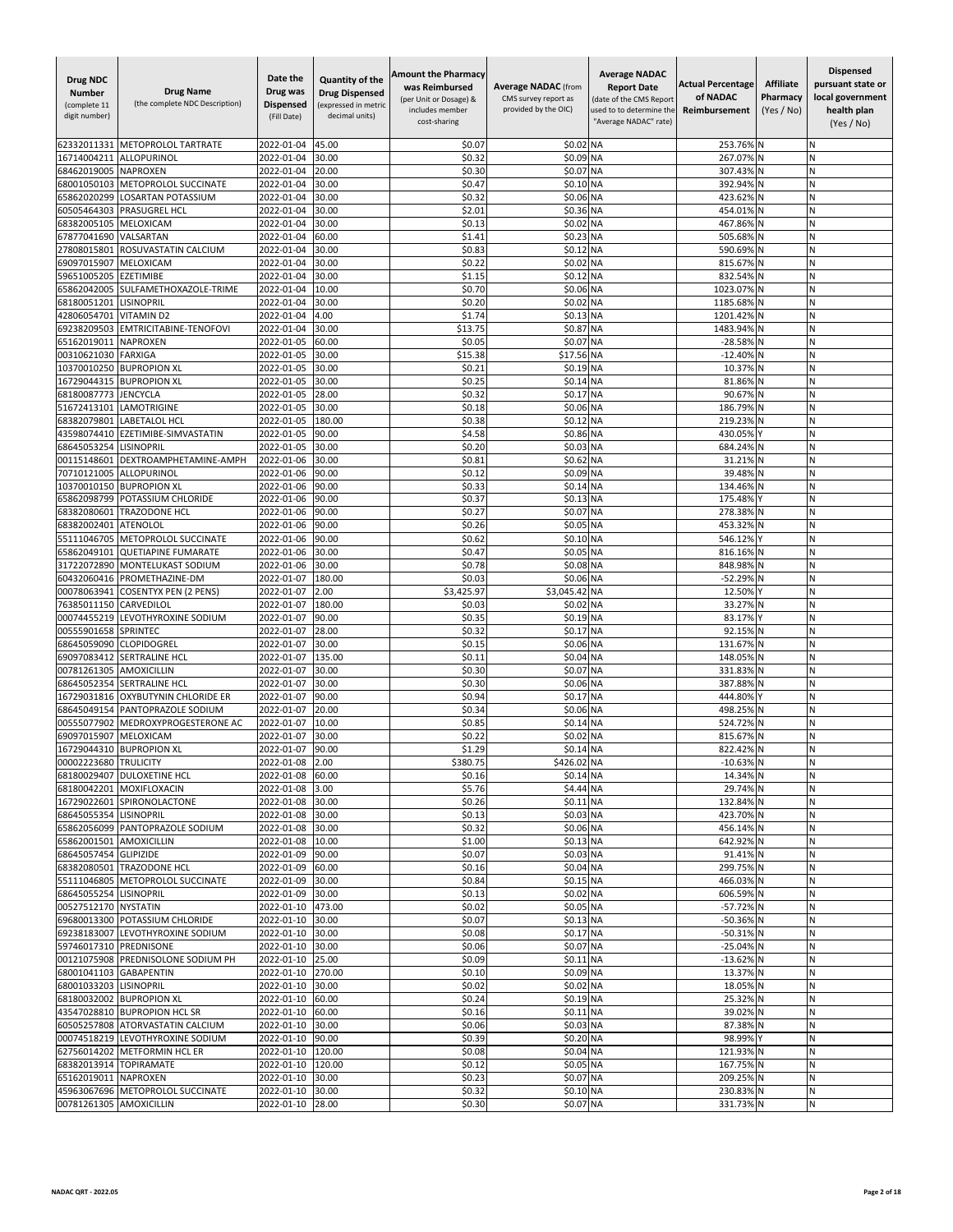| <b>Drug NDC</b><br><b>Number</b><br>(complete 11<br>digit number) | <b>Drug Name</b><br>(the complete NDC Description)            | Date the<br>Drug was<br><b>Dispensed</b><br>(Fill Date) | Quantity of the<br><b>Drug Dispensed</b><br>(expressed in metric<br>decimal units) | <b>Amount the Pharmacy</b><br>was Reimbursed<br>(per Unit or Dosage) &<br>includes member<br>cost-sharing | <b>Average NADAC (from</b><br>CMS survey report as<br>provided by the OIC) | <b>Average NADAC</b><br><b>Report Date</b><br>(date of the CMS Report<br>used to to determine the<br>"Average NADAC" rate) | <b>Actual Percentage</b><br>of NADAC<br>Reimbursement | <b>Affiliate</b><br>Pharmacy<br>(Yes / No) | <b>Dispensed</b><br>pursuant state or<br>local government<br>health plan<br>(Yes / No) |
|-------------------------------------------------------------------|---------------------------------------------------------------|---------------------------------------------------------|------------------------------------------------------------------------------------|-----------------------------------------------------------------------------------------------------------|----------------------------------------------------------------------------|----------------------------------------------------------------------------------------------------------------------------|-------------------------------------------------------|--------------------------------------------|----------------------------------------------------------------------------------------|
| 62332011331                                                       | METOPROLOL TARTRATE                                           | 2022-01-04                                              | 45.00                                                                              | \$0.07                                                                                                    | \$0.02                                                                     | <b>NA</b>                                                                                                                  | 253.76%                                               |                                            | Ν                                                                                      |
| 16714004211                                                       | ALLOPURINOL                                                   | 2022-01-04                                              | 30.00                                                                              | \$0.32                                                                                                    | \$0.09                                                                     | <b>NA</b>                                                                                                                  | 267.07%                                               |                                            | N                                                                                      |
| 68462019005                                                       | <b>NAPROXEN</b>                                               | 2022-01-04                                              | 20.00<br>30.00                                                                     | \$0.30<br>\$0.47                                                                                          | \$0.07                                                                     | <b>NA</b>                                                                                                                  | 307.43%                                               |                                            | N<br>Ν                                                                                 |
| 68001050103<br>65862020299                                        | METOPROLOL SUCCINATE<br>LOSARTAN POTASSIUM                    | 2022-01-04<br>2022-01-04                                | 30.00                                                                              | \$0.32                                                                                                    | \$0.10 NA<br>\$0.06 NA                                                     |                                                                                                                            | 392.94%<br>423.62%                                    |                                            | N                                                                                      |
| 60505464303                                                       | PRASUGREL HCL                                                 | 2022-01-04                                              | 30.00                                                                              | \$2.01                                                                                                    | \$0.36 NA                                                                  |                                                                                                                            | 454.01%                                               |                                            | N                                                                                      |
| 68382005105                                                       | MELOXICAM                                                     | 2022-01-04                                              | 30.00                                                                              | \$0.13                                                                                                    | \$0.02                                                                     | <b>NA</b>                                                                                                                  | 467.869                                               |                                            | Ń                                                                                      |
| 67877041690                                                       | VALSARTAN                                                     | 2022-01-04                                              | 60.00                                                                              | \$1.41                                                                                                    | \$0.23                                                                     | <b>NA</b>                                                                                                                  | 505.689                                               |                                            | N                                                                                      |
| 27808015801                                                       | ROSUVASTATIN CALCIUM                                          | 2022-01-04                                              | 30.00                                                                              | \$0.83                                                                                                    | \$0.12                                                                     | <b>NA</b>                                                                                                                  | 590.69%                                               |                                            | Ν                                                                                      |
| 69097015907<br>59651005205                                        | MELOXICAM<br><b>EZETIMIBE</b>                                 | 2022-01-04<br>2022-01-04                                | 30.00<br>30.00                                                                     | \$0.22<br>\$1.15                                                                                          | \$0.02<br>\$0.12                                                           | <b>NA</b><br><b>NA</b>                                                                                                     | 815.67% N<br>832.54% N                                |                                            | N<br>N                                                                                 |
| 65862042005                                                       | SULFAMETHOXAZOLE-TRIME                                        | 2022-01-04                                              | 10.00                                                                              | \$0.70                                                                                                    | \$0.06 NA                                                                  |                                                                                                                            | 1023.07%                                              |                                            | N                                                                                      |
| 68180051201                                                       | LISINOPRIL                                                    | 2022-01-04                                              | 30.00                                                                              | \$0.20                                                                                                    | \$0.02                                                                     | <b>NA</b>                                                                                                                  | 1185.68%                                              |                                            | Ń                                                                                      |
| 42806054701                                                       | <b>VITAMIND2</b>                                              | 2022-01-04                                              | 4.00                                                                               | \$1.74                                                                                                    | \$0.13                                                                     | <b>NA</b>                                                                                                                  | 1201.42%                                              | N                                          | N                                                                                      |
| 69238209503                                                       | <b>EMTRICITABINE-TENOFOVI</b>                                 | 2022-01-04                                              | 30.00                                                                              | \$13.75                                                                                                   | \$0.87                                                                     | <b>NA</b>                                                                                                                  | 1483.94%                                              |                                            | Ν                                                                                      |
| 65162019011                                                       | <b>NAPROXEN</b>                                               | 2022-01-05                                              | 60.00                                                                              | \$0.05                                                                                                    | \$0.07                                                                     | <b>NA</b>                                                                                                                  | $-28.58%$                                             |                                            | N                                                                                      |
| 00310621030<br>10370010250                                        | <b>FARXIGA</b><br><b>BUPROPION XL</b>                         | 2022-01-05<br>2022-01-05                                | 30.00<br>30.00                                                                     | \$15.38<br>\$0.21                                                                                         | \$17.56 NA<br>\$0.19                                                       | <b>NA</b>                                                                                                                  | $-12.40%$<br>10.37%                                   |                                            | N<br>N                                                                                 |
| 16729044315                                                       | <b>BUPROPION XL</b>                                           | 2022-01-05                                              | 30.00                                                                              | \$0.25                                                                                                    | \$0.14                                                                     | <b>NA</b>                                                                                                                  | 81.869                                                |                                            | Ń                                                                                      |
| 68180087773                                                       | JENCYCLA                                                      | 2022-01-05                                              | 28.00                                                                              | \$0.32                                                                                                    | \$0.17                                                                     | <b>NA</b>                                                                                                                  | 90.67% N                                              |                                            | И                                                                                      |
| 51672413101                                                       | LAMOTRIGINE                                                   | 2022-01-05                                              | 30.00                                                                              | \$0.18                                                                                                    | \$0.06 NA                                                                  |                                                                                                                            | 186.79%                                               | N                                          | N                                                                                      |
| 68382079801                                                       | <b>LABETALOL HCL</b>                                          | 2022-01-05                                              | 180.00                                                                             | \$0.38                                                                                                    | \$0.12 NA                                                                  |                                                                                                                            | 219.23%                                               | N                                          | N                                                                                      |
| 43598074410                                                       | EZETIMIBE-SIMVASTATIN<br><b>LISINOPRIL</b>                    | 2022-01-05                                              | 90.00                                                                              | \$4.58                                                                                                    | \$0.86 NA                                                                  |                                                                                                                            | 430.05%                                               |                                            | N<br>Ń                                                                                 |
| 68645053254<br>00115148601                                        | DEXTROAMPHETAMINE-AMPH                                        | 2022-01-05<br>2022-01-06                                | 30.00<br>30.00                                                                     | \$0.20<br>\$0.81                                                                                          | \$0.03<br>\$0.62                                                           | MA<br><b>NA</b>                                                                                                            | 684.24%<br>31.21%                                     | N                                          | Ν                                                                                      |
| 70710121005                                                       | <b>ALLOPURINOL</b>                                            | 2022-01-06                                              | 90.00                                                                              | \$0.12                                                                                                    | \$0.09 NA                                                                  |                                                                                                                            | 39.48%                                                |                                            | И                                                                                      |
| 10370010150                                                       | <b>BUPROPION XL</b>                                           | 2022-01-06                                              | 90.00                                                                              | \$0.33                                                                                                    | \$0.14 NA                                                                  |                                                                                                                            | 134.46%                                               |                                            | N                                                                                      |
| 65862098799                                                       | POTASSIUM CHLORIDE                                            | 2022-01-06                                              | 90.00                                                                              | \$0.37                                                                                                    | \$0.13 NA                                                                  |                                                                                                                            | 175.48%                                               |                                            | Ν                                                                                      |
| 68382080601                                                       | <b>TRAZODONE HCL</b>                                          | 2022-01-06                                              | 90.00                                                                              | \$0.27                                                                                                    | \$0.07                                                                     | <b>NA</b>                                                                                                                  | 278.38%                                               |                                            | N                                                                                      |
| 68382002401<br>55111046705                                        | <b>ATENOLOL</b><br>METOPROLOL SUCCINATE                       | 2022-01-06<br>2022-01-06                                | 90.00<br>90.00                                                                     | \$0.26<br>\$0.62                                                                                          | \$0.05 NA<br>\$0.10                                                        | <b>NA</b>                                                                                                                  | 453.32%<br>546.12%                                    |                                            | N<br>Ν                                                                                 |
| 65862049101                                                       | <b>QUETIAPINE FUMARATE</b>                                    | 2022-01-06                                              | 30.00                                                                              | \$0.47                                                                                                    | \$0.05 NA                                                                  |                                                                                                                            | 816.16%                                               |                                            | N                                                                                      |
| 31722072890                                                       | MONTELUKAST SODIUM                                            | 2022-01-06                                              | 30.00                                                                              | \$0.78                                                                                                    | \$0.08 NA                                                                  |                                                                                                                            | 848.98%                                               |                                            | N                                                                                      |
| 60432060416                                                       | PROMETHAZINE-DM                                               | 2022-01-07                                              | 180.00                                                                             | \$0.03                                                                                                    | \$0.06 NA                                                                  |                                                                                                                            | $-52.299$                                             |                                            | Ń                                                                                      |
| 00078063941                                                       | <b>COSENTYX PEN (2 PENS)</b>                                  | 2022-01-07                                              | 2.00                                                                               | \$3,425.97                                                                                                | \$3,045.42                                                                 | <b>NA</b>                                                                                                                  | 12.50%                                                |                                            | N                                                                                      |
| 76385011150<br>00074455219                                        | CARVEDILOL<br>LEVOTHYROXINE SODIUM                            | 2022-01-07<br>2022-01-07                                | 180.00<br>90.00                                                                    | \$0.03<br>\$0.35                                                                                          | \$0.02<br>\$0.19 NA                                                        | <b>NA</b>                                                                                                                  | 33.27%<br>83.17%                                      |                                            | И<br>N                                                                                 |
| 00555901658                                                       | <b>SPRINTEC</b>                                               | 2022-01-07                                              | 28.00                                                                              | \$0.32                                                                                                    | \$0.17                                                                     | <b>NA</b>                                                                                                                  | 92.15% N                                              |                                            | N                                                                                      |
| 68645059090                                                       | <b>CLOPIDOGREL</b>                                            | 2022-01-07                                              | 30.00                                                                              | \$0.15                                                                                                    | \$0.06 NA                                                                  |                                                                                                                            | 131.67% N                                             |                                            | N                                                                                      |
| 69097083412                                                       | SERTRALINE HCL                                                | 2022-01-07                                              | 135.00                                                                             | \$0.11                                                                                                    | \$0.04                                                                     | <b>NA</b>                                                                                                                  | 148.05%                                               |                                            | Ń                                                                                      |
| 00781261305                                                       | <b>AMOXICILLIN</b>                                            | 2022-01-07                                              | 30.00                                                                              | \$0.30                                                                                                    | \$0.07                                                                     | <b>NA</b>                                                                                                                  | 331.83%                                               | N                                          | N                                                                                      |
| 68645052354                                                       | <b>SERTRALINE HCL</b>                                         | 2022-01-07                                              | 30.00                                                                              | \$0.30                                                                                                    | \$0.06 NA                                                                  |                                                                                                                            | 387.88%                                               |                                            | И                                                                                      |
| 16729031816<br>68645049154                                        | OXYBUTYNIN CHLORIDE ER<br>PANTOPRAZOLE SODIUM                 | 2022-01-07<br>2022-01-07                                | 90.00<br>20.00                                                                     | \$0.94<br>\$0.34                                                                                          | \$0.17<br>\$0.06 NA                                                        | <b>NA</b>                                                                                                                  | 444.80%<br>498.25%                                    |                                            | N<br>N                                                                                 |
| 00555077902                                                       | MEDROXYPROGESTERONE AC                                        | 2022-01-07                                              | 10.00                                                                              | \$0.85                                                                                                    | \$0.14                                                                     | <b>NA</b>                                                                                                                  | 524.72%                                               |                                            | N                                                                                      |
| 69097015907                                                       | MELOXICAM                                                     | 2022-01-07                                              | 30.00                                                                              | \$0.22                                                                                                    | \$0.02                                                                     | <b>NA</b>                                                                                                                  | 815.67%                                               |                                            | N                                                                                      |
|                                                                   | 16729044310 BUPROPION XL                                      | 2022-01-07                                              | 90.00                                                                              | \$1.29                                                                                                    | \$0.14 NA                                                                  |                                                                                                                            | 822.42% N                                             |                                            | N                                                                                      |
| 00002223680 TRULICITY                                             |                                                               | 2022-01-08 2.00                                         |                                                                                    | \$380.75                                                                                                  | \$426.02 NA                                                                |                                                                                                                            | $-10.63\%$ N                                          |                                            | Ν                                                                                      |
|                                                                   | 68180029407 DULOXETINE HCL<br>68180042201 MOXIFLOXACIN        | 2022-01-08<br>2022-01-08                                | 60.00<br>3.00                                                                      | \$0.16<br>\$5.76                                                                                          | \$0.14 NA<br>\$4.44 NA                                                     |                                                                                                                            | 14.34% N<br>29.74% N                                  |                                            | И<br>N                                                                                 |
|                                                                   | 16729022601 SPIRONOLACTONE                                    | 2022-01-08                                              | 30.00                                                                              | \$0.26                                                                                                    | \$0.11 NA                                                                  |                                                                                                                            | 132.84% N                                             |                                            | N                                                                                      |
| 68645055354 LISINOPRIL                                            |                                                               | 2022-01-08                                              | 30.00                                                                              | \$0.13                                                                                                    | \$0.03 NA                                                                  |                                                                                                                            | 423.70% N                                             |                                            | N                                                                                      |
|                                                                   | 65862056099 PANTOPRAZOLE SODIUM                               | 2022-01-08                                              | 30.00                                                                              | \$0.32                                                                                                    | \$0.06 NA                                                                  |                                                                                                                            | 456.14% N                                             |                                            | Ν                                                                                      |
| 65862001501 AMOXICILLIN                                           |                                                               | 2022-01-08                                              | 10.00                                                                              | \$1.00                                                                                                    | \$0.13 NA                                                                  |                                                                                                                            | 642.92% N                                             |                                            | И                                                                                      |
| 68645057454 GLIPIZIDE                                             |                                                               | 2022-01-09                                              | 90.00                                                                              | \$0.07                                                                                                    | \$0.03 NA                                                                  |                                                                                                                            | 91.41% N                                              |                                            | N                                                                                      |
|                                                                   | 68382080501 TRAZODONE HCL<br>55111046805 METOPROLOL SUCCINATE | 2022-01-09<br>2022-01-09                                | 60.00<br>30.00                                                                     | \$0.16<br>\$0.84                                                                                          | \$0.04 NA<br>\$0.15 NA                                                     |                                                                                                                            | 299.75% N<br>466.03% N                                |                                            | И<br>Ν                                                                                 |
| 68645055254 LISINOPRIL                                            |                                                               | 2022-01-09                                              | 30.00                                                                              | \$0.13                                                                                                    | \$0.02 NA                                                                  |                                                                                                                            | 606.59% N                                             |                                            | Ν                                                                                      |
| 00527512170 NYSTATIN                                              |                                                               | 2022-01-10                                              | 473.00                                                                             | \$0.02                                                                                                    | \$0.05 NA                                                                  |                                                                                                                            | -57.72% N                                             |                                            | N                                                                                      |
|                                                                   | 69680013300 POTASSIUM CHLORIDE                                | 2022-01-10                                              | 30.00                                                                              | \$0.07                                                                                                    | \$0.13 NA                                                                  |                                                                                                                            | -50.36% N                                             |                                            | Ν                                                                                      |
|                                                                   | 69238183007 LEVOTHYROXINE SODIUM                              | 2022-01-10                                              | 30.00                                                                              | \$0.08                                                                                                    | \$0.17 NA                                                                  |                                                                                                                            | -50.31% N                                             |                                            | N                                                                                      |
| 59746017310 PREDNISONE                                            |                                                               | 2022-01-10                                              | 30.00                                                                              | \$0.06                                                                                                    | \$0.07 NA                                                                  |                                                                                                                            | -25.04% N                                             |                                            | N                                                                                      |
| 68001041103 GABAPENTIN                                            | 00121075908 PREDNISOLONE SODIUM PH                            | 2022-01-10<br>2022-01-10                                | 25.00<br>270.00                                                                    | \$0.09<br>\$0.10                                                                                          | \$0.11 NA<br>\$0.09 NA                                                     |                                                                                                                            | -13.62% N<br>13.37% N                                 |                                            | N<br>Ν                                                                                 |
| 68001033203 LISINOPRIL                                            |                                                               | 2022-01-10                                              | 30.00                                                                              | \$0.02                                                                                                    | \$0.02 NA                                                                  |                                                                                                                            | 18.05% N                                              |                                            | Ν                                                                                      |
|                                                                   | 68180032002 BUPROPION XL                                      | 2022-01-10                                              | 60.00                                                                              | \$0.24                                                                                                    | \$0.19 NA                                                                  |                                                                                                                            | 25.32% N                                              |                                            | N                                                                                      |
|                                                                   | 43547028810 BUPROPION HCL SR                                  | 2022-01-10                                              | 60.00                                                                              | \$0.16                                                                                                    | \$0.11 NA                                                                  |                                                                                                                            | 39.02% N                                              |                                            | N                                                                                      |
|                                                                   | 60505257808 ATORVASTATIN CALCIUM                              | 2022-01-10                                              | 30.00                                                                              | \$0.06                                                                                                    | \$0.03 NA                                                                  |                                                                                                                            | 87.38%                                                |                                            | Ν                                                                                      |
|                                                                   | 00074518219 LEVOTHYROXINE SODIUM                              | 2022-01-10                                              | 90.00                                                                              | \$0.39                                                                                                    | \$0.20 NA                                                                  |                                                                                                                            | 98.99% Y                                              |                                            | N                                                                                      |
|                                                                   | 62756014202 METFORMIN HCL ER                                  | 2022-01-10                                              | 120.00                                                                             | \$0.08                                                                                                    | \$0.04 NA<br>\$0.05 NA                                                     |                                                                                                                            | 121.93% N                                             |                                            | N<br>N                                                                                 |
| 68382013914 TOPIRAMATE<br>65162019011 NAPROXEN                    |                                                               | 2022-01-10<br>2022-01-10 30.00                          | 120.00                                                                             | \$0.12<br>\$0.23                                                                                          | \$0.07 NA                                                                  |                                                                                                                            | 167.75% N<br>209.25% N                                |                                            | Ν                                                                                      |
|                                                                   | 45963067696 METOPROLOL SUCCINATE                              | 2022-01-10                                              | 30.00                                                                              | \$0.32                                                                                                    | \$0.10 NA                                                                  |                                                                                                                            | 230.83% N                                             |                                            | N                                                                                      |
| 00781261305 AMOXICILLIN                                           |                                                               | 2022-01-10                                              | 28.00                                                                              | \$0.30                                                                                                    | \$0.07 NA                                                                  |                                                                                                                            | 331.73% N                                             |                                            | Ν                                                                                      |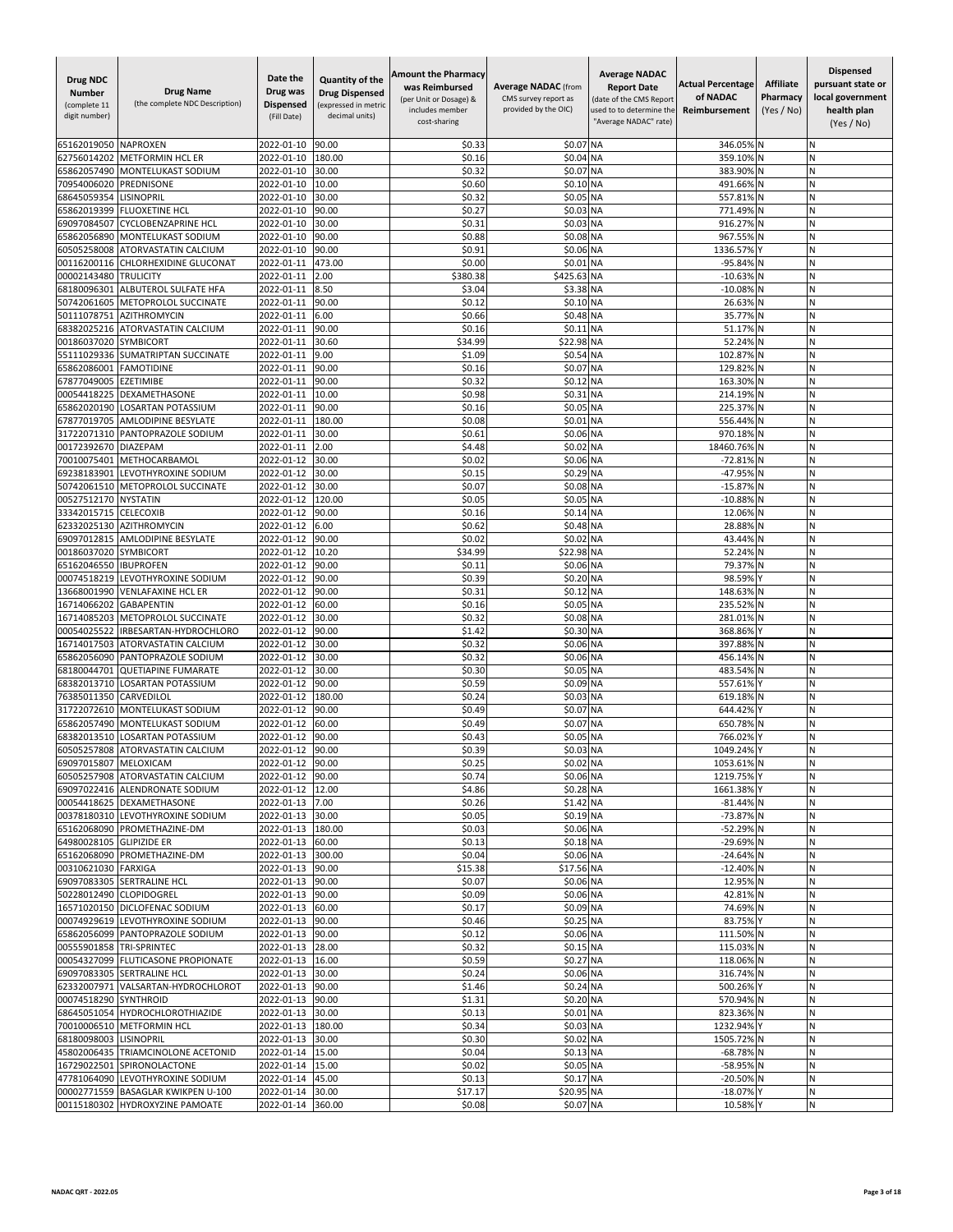| <b>Drug NDC</b><br><b>Number</b><br>(complete 11<br>digit number) | <b>Drug Name</b><br>(the complete NDC Description)  | Date the<br>Drug was<br><b>Dispensed</b><br>(Fill Date) | Quantity of the<br><b>Drug Dispensed</b><br>(expressed in metric<br>decimal units) | <b>Amount the Pharmacy</b><br>was Reimbursed<br>(per Unit or Dosage) &<br>includes member<br>cost-sharing | <b>Average NADAC (from</b><br>CMS survey report as<br>provided by the OIC) | <b>Average NADAC</b><br><b>Report Date</b><br>(date of the CMS Report<br>used to to determine the<br>'Average NADAC" rate) | <b>Actual Percentage</b><br>of NADAC<br>Reimbursement | <b>Affiliate</b><br>Pharmacy<br>(Yes / No) | <b>Dispensed</b><br>pursuant state or<br>local government<br>health plan<br>(Yes / No) |
|-------------------------------------------------------------------|-----------------------------------------------------|---------------------------------------------------------|------------------------------------------------------------------------------------|-----------------------------------------------------------------------------------------------------------|----------------------------------------------------------------------------|----------------------------------------------------------------------------------------------------------------------------|-------------------------------------------------------|--------------------------------------------|----------------------------------------------------------------------------------------|
| 65162019050                                                       | <b>NAPROXEN</b>                                     | 2022-01-10                                              | 90.00                                                                              | \$0.33                                                                                                    | \$0.07                                                                     | <b>NA</b>                                                                                                                  | 346.05% N                                             |                                            | N                                                                                      |
| 62756014202                                                       | <b>METFORMIN HCL ER</b>                             | 2022-01-10                                              | 180.00                                                                             | \$0.16                                                                                                    | \$0.04 NA                                                                  |                                                                                                                            | 359.10%                                               |                                            | N                                                                                      |
| 65862057490                                                       | MONTELUKAST SODIUM                                  | 2022-01-10                                              | 30.00                                                                              | \$0.32                                                                                                    | \$0.07 NA                                                                  |                                                                                                                            | 383.90%                                               |                                            | N                                                                                      |
| 70954006020                                                       | PREDNISONE                                          | 2022-01-10                                              | 10.00                                                                              | \$0.60                                                                                                    | \$0.10 NA                                                                  |                                                                                                                            | 491.66% N                                             |                                            | N                                                                                      |
| 68645059354                                                       | <b>LISINOPRIL</b>                                   | 2022-01-10                                              | 30.00                                                                              | \$0.32                                                                                                    | \$0.05 NA                                                                  |                                                                                                                            | 557.81% N                                             |                                            | N<br>N                                                                                 |
| 65862019399<br>69097084507                                        | <b>FLUOXETINE HCL</b><br><b>CYCLOBENZAPRINE HCL</b> | 2022-01-10<br>2022-01-10                                | 90.00<br>30.00                                                                     | \$0.27<br>\$0.31                                                                                          | \$0.03 NA<br>\$0.03                                                        | <b>NA</b>                                                                                                                  | 771.49% N<br>916.27% N                                |                                            |                                                                                        |
| 65862056890                                                       | MONTELUKAST SODIUM                                  | 2022-01-10                                              | 90.00                                                                              | \$0.88                                                                                                    | \$0.08 NA                                                                  |                                                                                                                            | 967.55% N                                             |                                            | N                                                                                      |
| 60505258008                                                       | <b>ATORVASTATIN CALCIUM</b>                         | 2022-01-10                                              | 90.00                                                                              | \$0.91                                                                                                    | \$0.06 NA                                                                  |                                                                                                                            | 1336.57%                                              |                                            | N                                                                                      |
| 00116200116                                                       | CHLORHEXIDINE GLUCONAT                              | 2022-01-11                                              | 473.00                                                                             | \$0.00                                                                                                    | \$0.01 NA                                                                  |                                                                                                                            | -95.84% N                                             |                                            | N                                                                                      |
| 00002143480                                                       | <b>TRULICITY</b>                                    | 2022-01-11                                              | 2.00                                                                               | \$380.38                                                                                                  | \$425.63 NA                                                                |                                                                                                                            | $-10.63%$                                             |                                            | N                                                                                      |
| 68180096301                                                       | ALBUTEROL SULFATE HFA                               | 2022-01-11                                              | 8.50                                                                               | \$3.04                                                                                                    | \$3.38 NA                                                                  |                                                                                                                            | $-10.08%$                                             |                                            | N                                                                                      |
| 50742061605                                                       | METOPROLOL SUCCINATE                                | 2022-01-11                                              | 90.00                                                                              | \$0.12                                                                                                    | \$0.10 NA                                                                  |                                                                                                                            | 26.63% N                                              |                                            | N                                                                                      |
| 50111078751<br>68382025216                                        | <b>AZITHROMYCIN</b><br>ATORVASTATIN CALCIUM         | 2022-01-11<br>2022-01-11                                | 6.00<br>90.00                                                                      | \$0.66<br>\$0.16                                                                                          | \$0.48 NA<br>\$0.11 NA                                                     |                                                                                                                            | 35.77%<br>51.17% N                                    |                                            | N<br>N                                                                                 |
| 00186037020                                                       | <b>SYMBICORT</b>                                    | 2022-01-11                                              | 30.60                                                                              | \$34.99                                                                                                   | \$22.98 NA                                                                 |                                                                                                                            | 52.24% N                                              |                                            | N                                                                                      |
| 55111029336                                                       | <b>SUMATRIPTAN SUCCINATE</b>                        | 2022-01-11                                              | 9.00                                                                               | \$1.09                                                                                                    | \$0.54 NA                                                                  |                                                                                                                            | 102.87% N                                             |                                            | N                                                                                      |
| 65862086001                                                       | <b>FAMOTIDINE</b>                                   | 2022-01-11                                              | 90.00                                                                              | \$0.16                                                                                                    | \$0.07                                                                     | <b>NA</b>                                                                                                                  | 129.82% N                                             |                                            | N                                                                                      |
| 67877049005                                                       | <b>EZETIMIBE</b>                                    | 2022-01-11                                              | 90.00                                                                              | \$0.32                                                                                                    | \$0.12                                                                     | <b>NA</b>                                                                                                                  | 163.30%                                               |                                            | N                                                                                      |
| 00054418225                                                       | <b>DEXAMETHASONE</b>                                | 2022-01-11                                              | 10.00                                                                              | \$0.98                                                                                                    | \$0.31 NA                                                                  |                                                                                                                            | 214.19% N                                             |                                            | N                                                                                      |
| 65862020190                                                       | <b>LOSARTAN POTASSIUM</b>                           | 2022-01-11                                              | 90.00                                                                              | \$0.16                                                                                                    | \$0.05                                                                     | <b>NA</b>                                                                                                                  | 225.37% N                                             |                                            | N                                                                                      |
| 67877019705                                                       | <b>AMLODIPINE BESYLATE</b>                          | 2022-01-11                                              | 180.00                                                                             | \$0.08                                                                                                    | \$0.01 NA                                                                  |                                                                                                                            | 556.44% N                                             |                                            | N                                                                                      |
| 31722071310                                                       | PANTOPRAZOLE SODIUM                                 | 2022-01-11                                              | 30.00                                                                              | \$0.61                                                                                                    | \$0.06 NA                                                                  |                                                                                                                            | 970.18%                                               |                                            | N<br>N                                                                                 |
| 00172392670<br>70010075401                                        | <b>DIAZEPAM</b><br>METHOCARBAMOL                    | 2022-01-11<br>2022-01-12                                | 2.00<br>30.00                                                                      | \$4.48<br>\$0.02                                                                                          | \$0.02<br>\$0.06 NA                                                        | <b>NA</b>                                                                                                                  | 18460.76%<br>-72.81% N                                |                                            | N                                                                                      |
| 69238183901                                                       | LEVOTHYROXINE SODIUM                                | 2022-01-12                                              | 30.00                                                                              | \$0.15                                                                                                    | \$0.29 NA                                                                  |                                                                                                                            | -47.95% N                                             |                                            | N                                                                                      |
| 50742061510                                                       | METOPROLOL SUCCINATE                                | 2022-01-12                                              | 30.00                                                                              | \$0.07                                                                                                    | \$0.08 NA                                                                  |                                                                                                                            | -15.87% N                                             |                                            | N                                                                                      |
| 00527512170                                                       | <b>NYSTATIN</b>                                     | 2022-01-12                                              | 120.00                                                                             | \$0.05                                                                                                    | \$0.05 NA                                                                  |                                                                                                                            | -10.88% N                                             |                                            | N                                                                                      |
| 33342015715                                                       | <b>CELECOXIB</b>                                    | 2022-01-12                                              | 90.00                                                                              | \$0.16                                                                                                    | \$0.14 NA                                                                  |                                                                                                                            | 12.06% N                                              |                                            |                                                                                        |
| 62332025130                                                       | <b>AZITHROMYCIN</b>                                 | 2022-01-12                                              | 6.00                                                                               | \$0.62                                                                                                    | \$0.48 NA                                                                  |                                                                                                                            | 28.88%                                                |                                            | N                                                                                      |
| 69097012815                                                       | <b>AMLODIPINE BESYLATE</b>                          | 2022-01-12                                              | 90.00                                                                              | \$0.02                                                                                                    | \$0.02 NA                                                                  |                                                                                                                            | 43.44% N                                              |                                            | N                                                                                      |
| 00186037020<br>65162046550                                        | <b>SYMBICORT</b><br><b>IBUPROFEN</b>                | 2022-01-12<br>2022-01-12                                | 10.20<br>90.00                                                                     | \$34.99<br>\$0.11                                                                                         | \$22.98 NA<br>\$0.06 NA                                                    |                                                                                                                            | 52.24% N<br>79.37%                                    |                                            | N<br>N                                                                                 |
| 00074518219                                                       | LEVOTHYROXINE SODIUM                                | 2022-01-12                                              | 90.00                                                                              | \$0.39                                                                                                    | \$0.20 NA                                                                  |                                                                                                                            | 98.59%                                                |                                            | N                                                                                      |
| 13668001990                                                       | <b>VENLAFAXINE HCL ER</b>                           | 2022-01-12                                              | 90.00                                                                              | \$0.31                                                                                                    | \$0.12                                                                     | <b>NA</b>                                                                                                                  | 148.63% N                                             |                                            | N                                                                                      |
| 16714066202                                                       | <b>GABAPENTIN</b>                                   | 2022-01-12                                              | 60.00                                                                              | \$0.16                                                                                                    | \$0.05 NA                                                                  |                                                                                                                            | 235.52% N                                             |                                            | N                                                                                      |
| 16714085203                                                       | METOPROLOL SUCCINATE                                | 2022-01-12                                              | 30.00                                                                              | \$0.32                                                                                                    | \$0.08 NA                                                                  |                                                                                                                            | 281.01% N                                             |                                            | N                                                                                      |
| 00054025522                                                       | IRBESARTAN-HYDROCHLORO                              | 2022-01-12                                              | 90.00                                                                              | \$1.42                                                                                                    | \$0.30 NA                                                                  |                                                                                                                            | 368.86%                                               |                                            | N                                                                                      |
| 16714017503                                                       | <b>ATORVASTATIN CALCIUM</b>                         | 2022-01-12                                              | 30.00                                                                              | \$0.32                                                                                                    | \$0.06 NA                                                                  |                                                                                                                            | 397.88%                                               |                                            | N                                                                                      |
| 65862056090<br>68180044701                                        | PANTOPRAZOLE SODIUM                                 | 2022-01-12                                              | 30.00                                                                              | \$0.32                                                                                                    | \$0.06 NA                                                                  |                                                                                                                            | 456.14% N                                             |                                            | N<br>N                                                                                 |
| 68382013710                                                       | <b>QUETIAPINE FUMARATE</b><br>LOSARTAN POTASSIUM    | 2022-01-12<br>2022-01-12                                | 30.00<br>90.00                                                                     | \$0.30<br>\$0.59                                                                                          | \$0.05 NA<br>\$0.09 NA                                                     |                                                                                                                            | 483.54% N<br>557.61%                                  |                                            | N                                                                                      |
| 76385011350                                                       | CARVEDILOL                                          | 2022-01-12                                              | 180.00                                                                             | \$0.24                                                                                                    | \$0.03 NA                                                                  |                                                                                                                            | 619.18% N                                             |                                            | N                                                                                      |
| 31722072610                                                       | MONTELUKAST SODIUM                                  | 2022-01-12                                              | 90.00                                                                              | \$0.49                                                                                                    | \$0.07 NA                                                                  |                                                                                                                            | 644.42%                                               |                                            | N                                                                                      |
| 65862057490                                                       | MONTELUKAST SODIUM                                  | 2022-01-12                                              | 60.00                                                                              | \$0.49                                                                                                    | \$0.07                                                                     | <b>NA</b>                                                                                                                  | 650.78% N                                             |                                            | N                                                                                      |
| 68382013510                                                       | <b>LOSARTAN POTASSIUM</b>                           | 2022-01-12                                              | 90.00                                                                              | \$0.43                                                                                                    | \$0.05                                                                     | <b>NA</b>                                                                                                                  | 766.02%                                               |                                            |                                                                                        |
|                                                                   | 60505257808 ATORVASTATIN CALCIUM                    | 2022-01-12                                              | 90.00                                                                              | \$0.39                                                                                                    | \$0.03 NA                                                                  |                                                                                                                            | 1049.24% Y                                            |                                            | N                                                                                      |
| 69097015807 MELOXICAM                                             | 60505257908 ATORVASTATIN CALCIUM                    | 2022-01-12 90.00                                        |                                                                                    | \$0.25<br>\$0.74                                                                                          | \$0.02 NA                                                                  |                                                                                                                            | 1053.61% N<br>1219.75%                                |                                            | N<br>N                                                                                 |
|                                                                   | 69097022416 ALENDRONATE SODIUM                      | 2022-01-12 90.00<br>2022-01-12 12.00                    |                                                                                    | \$4.86                                                                                                    | \$0.06 NA<br>\$0.28 NA                                                     |                                                                                                                            | 1661.38% Y                                            |                                            | N                                                                                      |
|                                                                   | 00054418625 DEXAMETHASONE                           | 2022-01-13 7.00                                         |                                                                                    | \$0.26                                                                                                    | \$1.42 NA                                                                  |                                                                                                                            | $-81.44\%$ N                                          |                                            | N                                                                                      |
|                                                                   | 00378180310 LEVOTHYROXINE SODIUM                    | 2022-01-13 30.00                                        |                                                                                    | \$0.05                                                                                                    | \$0.19 NA                                                                  |                                                                                                                            | -73.87% N                                             |                                            | N                                                                                      |
|                                                                   | 65162068090 PROMETHAZINE-DM                         | 2022-01-13                                              | 180.00                                                                             | \$0.03                                                                                                    | \$0.06 NA                                                                  |                                                                                                                            | -52.29% N                                             |                                            | N                                                                                      |
| 64980028105 GLIPIZIDE ER                                          |                                                     | 2022-01-13 60.00                                        |                                                                                    | \$0.13                                                                                                    | \$0.18 NA                                                                  |                                                                                                                            | -29.69% N                                             |                                            | N                                                                                      |
|                                                                   | 65162068090 PROMETHAZINE-DM                         | 2022-01-13 300.00                                       |                                                                                    | \$0.04                                                                                                    | \$0.06 NA                                                                  |                                                                                                                            | -24.64% N                                             |                                            | N                                                                                      |
| 00310621030 FARXIGA                                               | 69097083305 SERTRALINE HCL                          | 2022-01-13 90.00<br>2022-01-13 90.00                    |                                                                                    | \$15.38                                                                                                   | \$17.56 NA<br>\$0.06 NA                                                    |                                                                                                                            | -12.40% N<br>12.95% N                                 |                                            | N                                                                                      |
|                                                                   | 50228012490 CLOPIDOGREL                             | 2022-01-13 90.00                                        |                                                                                    | \$0.07<br>\$0.09                                                                                          | \$0.06 NA                                                                  |                                                                                                                            | 42.81% N                                              |                                            | N<br>N                                                                                 |
|                                                                   | 16571020150 DICLOFENAC SODIUM                       | 2022-01-13 60.00                                        |                                                                                    | \$0.17                                                                                                    | \$0.09 NA                                                                  |                                                                                                                            | 74.69% N                                              |                                            | N                                                                                      |
|                                                                   | 00074929619 LEVOTHYROXINE SODIUM                    | 2022-01-13 90.00                                        |                                                                                    | \$0.46                                                                                                    | \$0.25 NA                                                                  |                                                                                                                            | 83.75% Y                                              |                                            | N                                                                                      |
|                                                                   | 65862056099 PANTOPRAZOLE SODIUM                     | 2022-01-13 90.00                                        |                                                                                    | \$0.12                                                                                                    | \$0.06 NA                                                                  |                                                                                                                            | 111.50% N                                             |                                            | N                                                                                      |
| 00555901858 TRI-SPRINTEC                                          |                                                     | 2022-01-13 28.00                                        |                                                                                    | \$0.32                                                                                                    | \$0.15 NA                                                                  |                                                                                                                            | 115.03% N                                             |                                            | N                                                                                      |
|                                                                   | 00054327099 FLUTICASONE PROPIONATE                  | 2022-01-13 16.00                                        |                                                                                    | \$0.59                                                                                                    | \$0.27 NA                                                                  |                                                                                                                            | 118.06% N                                             |                                            | N                                                                                      |
|                                                                   | 69097083305 SERTRALINE HCL                          | 2022-01-13                                              | 30.00                                                                              | \$0.24                                                                                                    | \$0.06 NA                                                                  |                                                                                                                            | 316.74% N                                             |                                            | N                                                                                      |
|                                                                   | 62332007971 VALSARTAN-HYDROCHLOROT                  | 2022-01-13 90.00                                        |                                                                                    | \$1.46                                                                                                    | \$0.24 NA                                                                  |                                                                                                                            | 500.26% Y                                             |                                            | N                                                                                      |
| 00074518290 SYNTHROID                                             | 68645051054 HYDROCHLOROTHIAZIDE                     | 2022-01-13 90.00<br>2022-01-13 30.00                    |                                                                                    | \$1.31<br>\$0.13                                                                                          | \$0.20 NA<br>\$0.01 NA                                                     |                                                                                                                            | 570.94% N<br>823.36% N                                |                                            | N<br>N                                                                                 |
|                                                                   | 70010006510 METFORMIN HCL                           | 2022-01-13                                              | 180.00                                                                             | \$0.34                                                                                                    | \$0.03 NA                                                                  |                                                                                                                            | 1232.94% Y                                            |                                            | N                                                                                      |
| 68180098003 LISINOPRIL                                            |                                                     | 2022-01-13                                              | 30.00                                                                              | \$0.30                                                                                                    | \$0.02 NA                                                                  |                                                                                                                            | 1505.72% N                                            |                                            | N                                                                                      |
|                                                                   | 45802006435 TRIAMCINOLONE ACETONID                  | 2022-01-14                                              | 15.00                                                                              | \$0.04                                                                                                    | \$0.13 NA                                                                  |                                                                                                                            | -68.78% N                                             |                                            | N                                                                                      |
|                                                                   | 16729022501 SPIRONOLACTONE                          | 2022-01-14 15.00                                        |                                                                                    | \$0.02                                                                                                    | \$0.05 NA                                                                  |                                                                                                                            | -58.95% N                                             |                                            | N                                                                                      |
|                                                                   | 47781064090 LEVOTHYROXINE SODIUM                    | 2022-01-14 45.00                                        |                                                                                    | \$0.13                                                                                                    | \$0.17 NA                                                                  |                                                                                                                            | -20.50% N                                             |                                            | N                                                                                      |
|                                                                   | 00002771559 BASAGLAR KWIKPEN U-100                  | 2022-01-14                                              | 30.00                                                                              | \$17.17                                                                                                   | \$20.95 NA                                                                 |                                                                                                                            | $-18.07%$                                             |                                            | N                                                                                      |
|                                                                   | 00115180302 HYDROXYZINE PAMOATE                     | 2022-01-14 360.00                                       |                                                                                    | \$0.08                                                                                                    | \$0.07 NA                                                                  |                                                                                                                            | 10.58%                                                |                                            | N                                                                                      |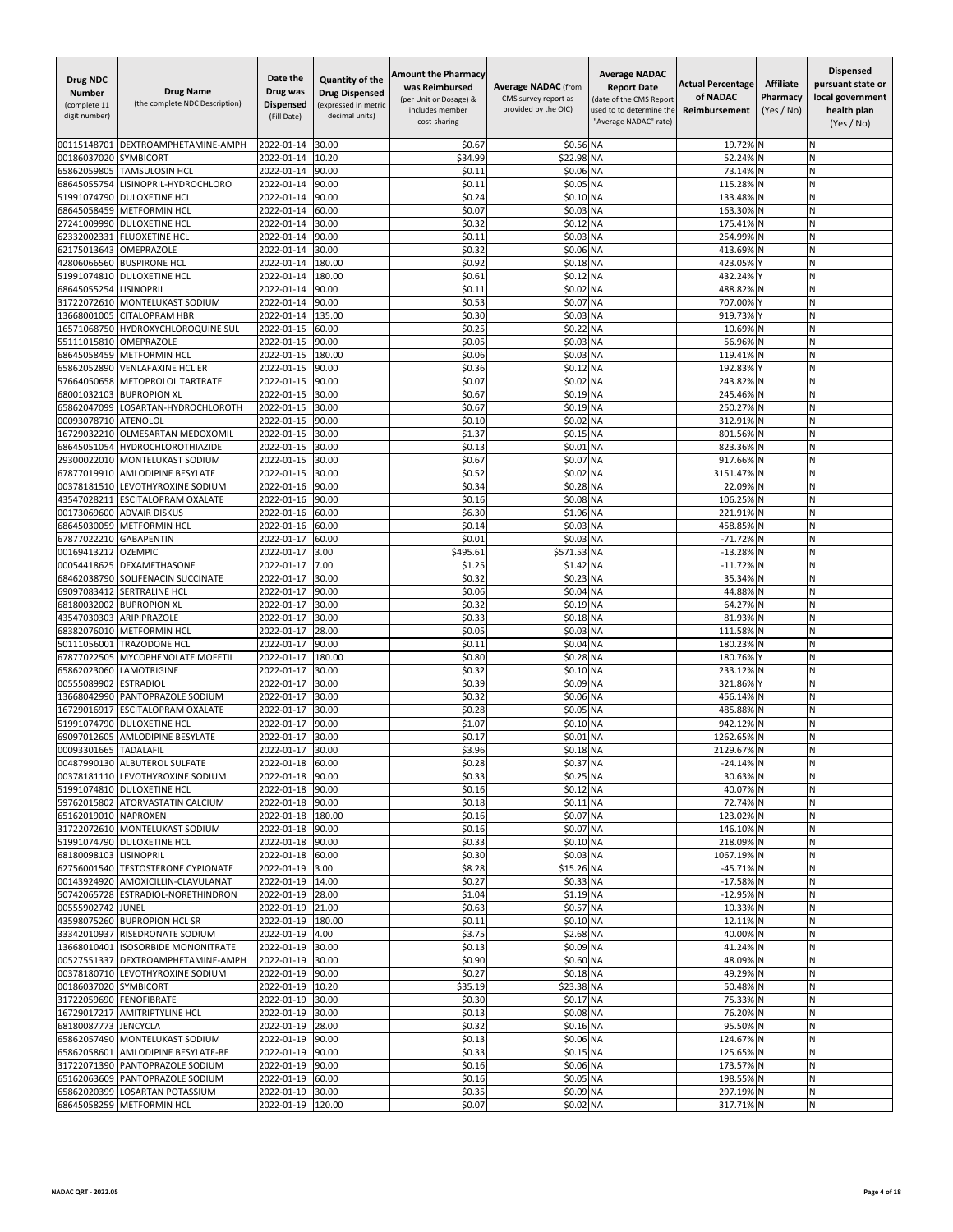| <b>Drug NDC</b><br><b>Number</b><br>(complete 11<br>digit number) | <b>Drug Name</b><br>(the complete NDC Description)                       | Date the<br>Drug was<br><b>Dispensed</b><br>(Fill Date) | Quantity of the<br><b>Drug Dispensed</b><br>(expressed in metric<br>decimal units) | <b>Amount the Pharmacy</b><br>was Reimbursed<br>(per Unit or Dosage) &<br>includes member<br>cost-sharing | <b>Average NADAC (from</b><br>CMS survey report as<br>provided by the OIC) | <b>Average NADAC</b><br><b>Report Date</b><br>(date of the CMS Report<br>used to to determine the<br>"Average NADAC" rate) | <b>Actual Percentage</b><br>of NADAC<br>Reimbursement | <b>Affiliate</b><br>Pharmacy<br>(Yes / No) | <b>Dispensed</b><br>pursuant state or<br>local government<br>health plan<br>(Yes / No) |
|-------------------------------------------------------------------|--------------------------------------------------------------------------|---------------------------------------------------------|------------------------------------------------------------------------------------|-----------------------------------------------------------------------------------------------------------|----------------------------------------------------------------------------|----------------------------------------------------------------------------------------------------------------------------|-------------------------------------------------------|--------------------------------------------|----------------------------------------------------------------------------------------|
| 00115148701                                                       | DEXTROAMPHETAMINE-AMPH                                                   | 2022-01-14                                              | 30.00                                                                              | \$0.67                                                                                                    | \$0.56 NA                                                                  |                                                                                                                            | 19.72%                                                |                                            | Ν                                                                                      |
| 00186037020                                                       | SYMBICORT                                                                | 2022-01-14                                              | 10.20                                                                              | \$34.99                                                                                                   | \$22.98 NA                                                                 |                                                                                                                            | 52.24%                                                |                                            | N                                                                                      |
| 65862059805                                                       | <b>TAMSULOSIN HCL</b>                                                    | 2022-01-14                                              | 90.00                                                                              | \$0.11                                                                                                    | \$0.06 NA                                                                  |                                                                                                                            | 73.14%                                                |                                            | N                                                                                      |
| 68645055754                                                       | LISINOPRIL-HYDROCHLORO                                                   | 2022-01-14                                              | 90.00                                                                              | \$0.11                                                                                                    | \$0.05 NA                                                                  |                                                                                                                            | 115.28%                                               |                                            | N<br>N                                                                                 |
| 51991074790<br>68645058459                                        | <b>DULOXETINE HCL</b><br><b>METFORMIN HCL</b>                            | 2022-01-14<br>2022-01-14                                | 90.00<br>60.00                                                                     | \$0.24<br>\$0.07                                                                                          | \$0.10 NA<br>\$0.03 NA                                                     |                                                                                                                            | 133.48%<br>163.30%                                    |                                            | N                                                                                      |
| 27241009990                                                       | <b>DULOXETINE HCL</b>                                                    | 2022-01-14                                              | 30.00                                                                              | \$0.32                                                                                                    | \$0.12                                                                     | <b>NA</b>                                                                                                                  | 175.41%                                               |                                            | Ń                                                                                      |
| 62332002331                                                       | <b>FLUOXETINE HCL</b>                                                    | 2022-01-14                                              | 90.00                                                                              | \$0.11                                                                                                    | \$0.03                                                                     | <b>NA</b>                                                                                                                  | 254.99%                                               |                                            | N                                                                                      |
| 62175013643                                                       | OMEPRAZOLE                                                               | 2022-01-14                                              | 30.00                                                                              | \$0.32                                                                                                    | \$0.06 NA                                                                  |                                                                                                                            | 413.69%                                               |                                            | Ν                                                                                      |
| 42806066560                                                       | <b>BUSPIRONE HCL</b>                                                     | 2022-01-14                                              | 180.00                                                                             | \$0.92                                                                                                    | \$0.18 NA                                                                  |                                                                                                                            | 423.05%                                               |                                            | N                                                                                      |
| 51991074810<br>68645055254                                        | <b>DULOXETINE HCL</b><br><b>LISINOPRIL</b>                               | 2022-01-14<br>2022-01-14                                | 180.00<br>90.00                                                                    | \$0.61<br>\$0.11                                                                                          | \$0.12<br>\$0.02 NA                                                        | <b>NA</b>                                                                                                                  | 432.24%<br>488.82%                                    |                                            | N<br>N                                                                                 |
| 31722072610                                                       | MONTELUKAST SODIUM                                                       | 2022-01-14                                              | 90.00                                                                              | \$0.53                                                                                                    | \$0.07                                                                     | <b>NA</b>                                                                                                                  | 707.00%                                               |                                            | N                                                                                      |
| 13668001005                                                       | <b>CITALOPRAM HBR</b>                                                    | 2022-01-14                                              | 135.00                                                                             | \$0.30                                                                                                    | \$0.03                                                                     | <b>NA</b>                                                                                                                  | 919.73%                                               |                                            | N                                                                                      |
| 16571068750                                                       | HYDROXYCHLOROQUINE SUL                                                   | 2022-01-15                                              | 60.00                                                                              | \$0.25                                                                                                    | \$0.22                                                                     | <b>NA</b>                                                                                                                  | 10.69%                                                |                                            | Ν                                                                                      |
| 55111015810                                                       | OMEPRAZOLE                                                               | 2022-01-15                                              | 90.00                                                                              | \$0.05                                                                                                    | \$0.03                                                                     | <b>NA</b>                                                                                                                  | 56.96%                                                |                                            | N                                                                                      |
| 68645058459<br>65862052890                                        | <b>METFORMIN HCL</b><br><b>VENLAFAXINE HCL ER</b>                        | 2022-01-15                                              | 180.00                                                                             | \$0.06<br>\$0.36                                                                                          | \$0.03 NA                                                                  |                                                                                                                            | 119.41%                                               |                                            | N<br>N                                                                                 |
| 57664050658                                                       | METOPROLOL TARTRATE                                                      | 2022-01-15<br>2022-01-15                                | 90.00<br>90.00                                                                     | \$0.07                                                                                                    | \$0.1<br>\$0.02                                                            | <b>NA</b><br><b>NA</b>                                                                                                     | 192.83%<br>243.82%                                    |                                            | N                                                                                      |
| 68001032103                                                       | <b>BUPROPION XL</b>                                                      | 2022-01-15                                              | 30.00                                                                              | \$0.67                                                                                                    | \$0.19 NA                                                                  |                                                                                                                            | 245.46% N                                             |                                            | Ν                                                                                      |
| 65862047099                                                       | LOSARTAN-HYDROCHLOROTH                                                   | 2022-01-15                                              | 30.00                                                                              | \$0.67                                                                                                    | \$0.19 NA                                                                  |                                                                                                                            | 250.27%                                               | IN                                         | N                                                                                      |
| 00093078710                                                       | <b>ATENOLOL</b>                                                          | 2022-01-15                                              | 90.00                                                                              | \$0.10                                                                                                    | \$0.02 NA                                                                  |                                                                                                                            | 312.91%                                               | ΙN                                         | N                                                                                      |
| 16729032210                                                       | OLMESARTAN MEDOXOMIL                                                     | 2022-01-15                                              | 30.00                                                                              | \$1.37                                                                                                    | \$0.15 NA                                                                  |                                                                                                                            | 801.56%                                               |                                            | N                                                                                      |
| 68645051054<br>29300022010                                        | <b>HYDROCHLOROTHIAZIDE</b><br>MONTELUKAST SODIUM                         | 2022-01-15<br>2022-01-15                                | 30.00<br>30.00                                                                     | \$0.13<br>\$0.67                                                                                          | \$0.01<br>\$0.07                                                           | <b>NA</b><br><b>NA</b>                                                                                                     | 823.36%<br>917.66%                                    |                                            | N<br>N                                                                                 |
| 67877019910                                                       | AMLODIPINE BESYLATE                                                      | 2022-01-15                                              | 30.00                                                                              | \$0.52                                                                                                    | \$0.02                                                                     | <b>NA</b>                                                                                                                  | 3151.47%                                              |                                            | Ν                                                                                      |
| 00378181510                                                       | LEVOTHYROXINE SODIUM                                                     | 2022-01-16                                              | 90.00                                                                              | \$0.34                                                                                                    | \$0.28 NA                                                                  |                                                                                                                            | 22.09%                                                |                                            | N                                                                                      |
| 43547028211                                                       | <b>ESCITALOPRAM OXALATE</b>                                              | 2022-01-16                                              | 90.00                                                                              | \$0.16                                                                                                    | \$0.08                                                                     | <b>NA</b>                                                                                                                  | 106.25%                                               |                                            | N                                                                                      |
| 00173069600                                                       | <b>ADVAIR DISKUS</b>                                                     | 2022-01-16                                              | 60.00                                                                              | \$6.30                                                                                                    | \$1.96 NA                                                                  |                                                                                                                            | 221.91%                                               |                                            | Ń                                                                                      |
| 68645030059                                                       | <b>METFORMIN HCL</b>                                                     | 2022-01-16                                              | 60.00                                                                              | \$0.14                                                                                                    | \$0.03                                                                     | <b>NA</b>                                                                                                                  | 458.85%                                               |                                            | Ń                                                                                      |
| 67877022210<br>00169413212                                        | <b>GABAPENTIN</b><br><b>OZEMPIC</b>                                      | 2022-01-17<br>2022-01-17                                | 60.00<br>3.00                                                                      | \$0.01<br>\$495.61                                                                                        | \$0.03<br>\$571.53 NA                                                      | <b>NA</b>                                                                                                                  | $-71.72%$<br>$-13.28%$                                | IN<br>N                                    | Ν<br>N                                                                                 |
| 00054418625                                                       | DEXAMETHASONE                                                            | 2022-01-17                                              | 7.00                                                                               | \$1.25                                                                                                    | \$1.42                                                                     | <b>NA</b>                                                                                                                  | $-11.72%$                                             |                                            | N                                                                                      |
| 68462038790                                                       | SOLIFENACIN SUCCINATE                                                    | 2022-01-17                                              | 30.00                                                                              | \$0.32                                                                                                    | \$0.23 NA                                                                  |                                                                                                                            | 35.34%                                                |                                            | N                                                                                      |
| 69097083412                                                       | <b>SERTRALINE HCL</b>                                                    | 2022-01-17                                              | 90.00                                                                              | \$0.06                                                                                                    | \$0.04                                                                     | <b>NA</b>                                                                                                                  | 44.88%                                                |                                            | Ń                                                                                      |
| 68180032002                                                       | <b>BUPROPION XL</b>                                                      | 2022-01-17                                              | 30.00                                                                              | \$0.32                                                                                                    | \$0.19 NA                                                                  |                                                                                                                            | 64.27%                                                |                                            | N                                                                                      |
| 43547030303                                                       | ARIPIPRAZOLE                                                             | 2022-01-17                                              | 30.00<br>28.00                                                                     | \$0.33<br>\$0.05                                                                                          | \$0.18 NA<br>\$0.03                                                        | <b>NA</b>                                                                                                                  | 81.93%<br>111.58%                                     | N                                          | Ν<br>Ν                                                                                 |
| 68382076010<br>50111056001                                        | <b>METFORMIN HCL</b><br><b>TRAZODONE HCL</b>                             | 2022-01-17<br>2022-01-17                                | 90.00                                                                              | \$0.11                                                                                                    | \$0.04 NA                                                                  |                                                                                                                            | 180.23%                                               | N                                          | N                                                                                      |
| 67877022505                                                       | <b>MYCOPHENOLATE MOFETIL</b>                                             | 2022-01-17                                              | 180.00                                                                             | \$0.80                                                                                                    | \$0.28 NA                                                                  |                                                                                                                            | 180.76%                                               |                                            | N                                                                                      |
| 65862023060                                                       | <b>LAMOTRIGINE</b>                                                       | 2022-01-17                                              | 30.00                                                                              | \$0.32                                                                                                    | \$0.10                                                                     | <b>NA</b>                                                                                                                  | 233.12%                                               |                                            | Ń                                                                                      |
| 00555089902                                                       | <b>ESTRADIOL</b>                                                         | 2022-01-17                                              | 30.00                                                                              | \$0.39                                                                                                    | \$0.09 NA                                                                  |                                                                                                                            | 321.86%                                               |                                            | Ν                                                                                      |
| 13668042990                                                       | PANTOPRAZOLE SODIUM                                                      | 2022-01-17                                              | 30.00                                                                              | \$0.32                                                                                                    | \$0.06 NA                                                                  |                                                                                                                            | 456.14%                                               |                                            | N                                                                                      |
| 16729016917<br>51991074790                                        | <b>ESCITALOPRAM OXALATE</b><br><b>DULOXETINE HCL</b>                     | 2022-01-17<br>2022-01-17                                | 30.00<br>90.00                                                                     | \$0.28<br>\$1.07                                                                                          | \$0.05 NA<br>\$0.10 NA                                                     |                                                                                                                            | 485.88%<br>942.12%                                    |                                            | N<br>N                                                                                 |
| 69097012605                                                       | <b>AMLODIPINE BESYLATE</b>                                               | 2022-01-17                                              | 30.00                                                                              | \$0.17                                                                                                    | \$0.01                                                                     | <b>NA</b>                                                                                                                  | 1262.65%                                              |                                            | Ń                                                                                      |
| 00093301665 TADALAFIL                                             |                                                                          | 2022-01-17                                              | 30.00                                                                              | \$3.96                                                                                                    | \$0.18 NA                                                                  |                                                                                                                            | 2129.67% N                                            |                                            | N                                                                                      |
|                                                                   | 00487990130 ALBUTEROL SULFATE                                            | 2022-01-18 60.00                                        |                                                                                    | \$0.28                                                                                                    | \$0.37 NA                                                                  |                                                                                                                            | $-24.14\%$ N                                          |                                            | Ν                                                                                      |
|                                                                   | 00378181110 LEVOTHYROXINE SODIUM                                         | 2022-01-18                                              | 90.00                                                                              | \$0.33                                                                                                    | \$0.25 NA                                                                  |                                                                                                                            | 30.63% N                                              |                                            | N                                                                                      |
|                                                                   | 51991074810 DULOXETINE HCL<br>59762015802 ATORVASTATIN CALCIUM           | 2022-01-18<br>2022-01-18 90.00                          | 90.00                                                                              | \$0.16<br>\$0.18                                                                                          | \$0.12 NA<br>\$0.11 NA                                                     |                                                                                                                            | 40.07% N<br>72.74% N                                  |                                            | N<br>N                                                                                 |
| 65162019010 NAPROXEN                                              |                                                                          | 2022-01-18                                              | 180.00                                                                             | \$0.16                                                                                                    | \$0.07 NA                                                                  |                                                                                                                            | 123.02% N                                             |                                            | Ν                                                                                      |
|                                                                   | 31722072610 MONTELUKAST SODIUM                                           | 2022-01-18                                              | 90.00                                                                              | \$0.16                                                                                                    | \$0.07 NA                                                                  |                                                                                                                            | 146.10% N                                             |                                            | N                                                                                      |
|                                                                   | 51991074790 DULOXETINE HCL                                               | 2022-01-18                                              | 90.00                                                                              | \$0.33                                                                                                    | \$0.10 NA                                                                  |                                                                                                                            | 218.09% N                                             |                                            | N                                                                                      |
| 68180098103 LISINOPRIL                                            |                                                                          | 2022-01-18                                              | 60.00                                                                              | \$0.30                                                                                                    | \$0.03 NA                                                                  |                                                                                                                            | 1067.19% N                                            |                                            | N                                                                                      |
|                                                                   | 62756001540 TESTOSTERONE CYPIONATE<br>00143924920 AMOXICILLIN-CLAVULANAT | 2022-01-19<br>2022-01-19                                | 3.00<br>14.00                                                                      | \$8.28<br>\$0.27                                                                                          | \$15.26 NA<br>\$0.33 NA                                                    |                                                                                                                            | -45.71% N<br>$-17.58\%$ N                             |                                            | Ν<br>N                                                                                 |
|                                                                   | 50742065728 ESTRADIOL-NORETHINDRON                                       | 2022-01-19                                              | 28.00                                                                              | \$1.04                                                                                                    | \$1.19 NA                                                                  |                                                                                                                            | -12.95% N                                             |                                            | Ν                                                                                      |
| 00555902742 JUNEL                                                 |                                                                          | 2022-01-19                                              | 21.00                                                                              | \$0.63                                                                                                    | \$0.57 NA                                                                  |                                                                                                                            | 10.33% N                                              |                                            | Ν                                                                                      |
|                                                                   | 43598075260 BUPROPION HCL SR                                             | 2022-01-19                                              | 180.00                                                                             | \$0.11                                                                                                    | \$0.10 NA                                                                  |                                                                                                                            | 12.11% N                                              |                                            | N                                                                                      |
|                                                                   | 33342010937 RISEDRONATE SODIUM                                           | 2022-01-19                                              | 4.00                                                                               | \$3.75                                                                                                    | \$2.68 NA                                                                  |                                                                                                                            | 40.00% N                                              |                                            | N                                                                                      |
|                                                                   | 13668010401 ISOSORBIDE MONONITRATE                                       | 2022-01-19 30.00                                        |                                                                                    | \$0.13                                                                                                    | \$0.09 NA                                                                  |                                                                                                                            | 41.24% N                                              |                                            | N                                                                                      |
|                                                                   | 00527551337 DEXTROAMPHETAMINE-AMPH<br>00378180710 LEVOTHYROXINE SODIUM   | 2022-01-19<br>2022-01-19                                | 30.00<br>90.00                                                                     | \$0.90<br>\$0.27                                                                                          | \$0.60 NA<br>\$0.18 NA                                                     |                                                                                                                            | 48.09% N<br>49.29% N                                  |                                            | Ν<br>N                                                                                 |
| 00186037020 SYMBICORT                                             |                                                                          | 2022-01-19                                              | 10.20                                                                              | \$35.19                                                                                                   | \$23.38 NA                                                                 |                                                                                                                            | 50.48% N                                              |                                            | И                                                                                      |
|                                                                   | 31722059690 FENOFIBRATE                                                  | 2022-01-19                                              | 30.00                                                                              | \$0.30                                                                                                    | \$0.17 NA                                                                  |                                                                                                                            | 75.33% N                                              |                                            | Ν                                                                                      |
|                                                                   | 16729017217 AMITRIPTYLINE HCL                                            | 2022-01-19                                              | 30.00                                                                              | \$0.13                                                                                                    | \$0.08 NA                                                                  |                                                                                                                            | 76.20% N                                              |                                            | Ν                                                                                      |
| 68180087773 JENCYCLA                                              |                                                                          | 2022-01-19                                              | 28.00                                                                              | \$0.32                                                                                                    | \$0.16 NA                                                                  |                                                                                                                            | 95.50% N                                              |                                            | N                                                                                      |
|                                                                   | 65862057490 MONTELUKAST SODIUM                                           | 2022-01-19                                              | 90.00                                                                              | \$0.13                                                                                                    | \$0.06 NA                                                                  |                                                                                                                            | 124.67% N                                             |                                            | Ν                                                                                      |
|                                                                   | 65862058601 AMLODIPINE BESYLATE-BE                                       | 2022-01-19                                              | 90.00                                                                              | \$0.33                                                                                                    | \$0.15 NA                                                                  |                                                                                                                            | 125.65% N                                             |                                            | Ν                                                                                      |
|                                                                   | 31722071390 PANTOPRAZOLE SODIUM<br>65162063609 PANTOPRAZOLE SODIUM       | 2022-01-19<br>2022-01-19                                | 90.00<br>60.00                                                                     | \$0.16<br>\$0.16                                                                                          | \$0.06 NA<br>\$0.05 NA                                                     |                                                                                                                            | 173.57% N<br>198.55% N                                |                                            | N<br>Ν                                                                                 |
|                                                                   | 65862020399 LOSARTAN POTASSIUM                                           | 2022-01-19                                              | 30.00                                                                              | \$0.35                                                                                                    | \$0.09 NA                                                                  |                                                                                                                            | 297.19% N                                             |                                            | Ν                                                                                      |
|                                                                   | 68645058259 METFORMIN HCL                                                | 2022-01-19                                              | 120.00                                                                             | \$0.07                                                                                                    | \$0.02 NA                                                                  |                                                                                                                            | 317.71% N                                             |                                            | Ν                                                                                      |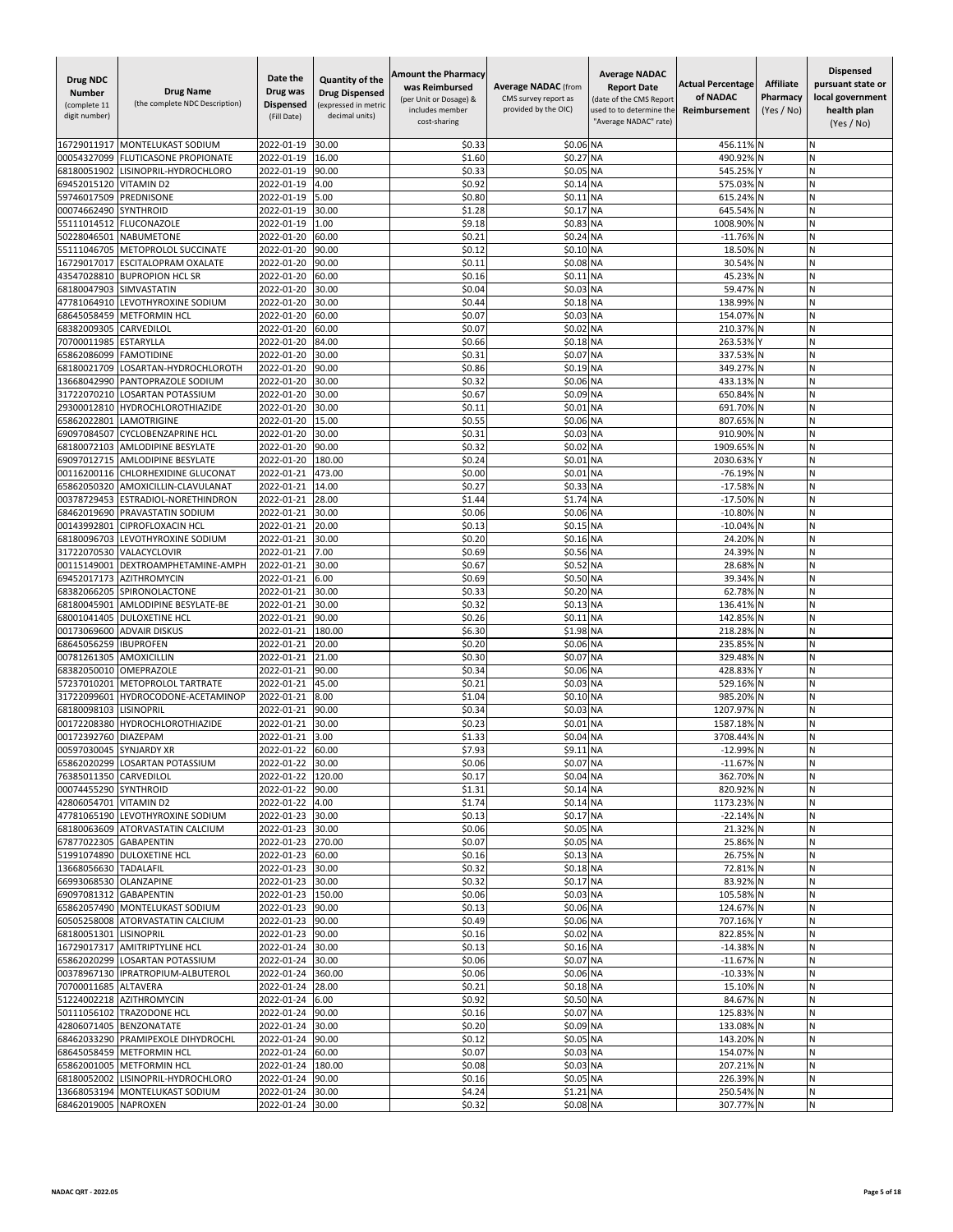| <b>Drug NDC</b><br><b>Number</b><br>(complete 11<br>digit number) | <b>Drug Name</b><br>(the complete NDC Description)                  | Date the<br>Drug was<br><b>Dispensed</b><br>(Fill Date) | Quantity of the<br><b>Drug Dispensed</b><br>(expressed in metric<br>decimal units) | <b>Amount the Pharmacy</b><br>was Reimbursed<br>(per Unit or Dosage) &<br>includes member<br>cost-sharing | <b>Average NADAC (from</b><br>CMS survey report as<br>provided by the OIC) | <b>Average NADAC</b><br><b>Report Date</b><br>(date of the CMS Report<br>used to to determine the<br>"Average NADAC" rate) | <b>Actual Percentage</b><br>of NADAC<br>Reimbursement | <b>Affiliate</b><br>Pharmacy<br>(Yes / No) | <b>Dispensed</b><br>pursuant state or<br>local government<br>health plan<br>(Yes / No) |
|-------------------------------------------------------------------|---------------------------------------------------------------------|---------------------------------------------------------|------------------------------------------------------------------------------------|-----------------------------------------------------------------------------------------------------------|----------------------------------------------------------------------------|----------------------------------------------------------------------------------------------------------------------------|-------------------------------------------------------|--------------------------------------------|----------------------------------------------------------------------------------------|
| 16729011917                                                       | <b>MONTELUKAST SODIUM</b>                                           | 2022-01-19                                              | 30.00                                                                              | \$0.33                                                                                                    | \$0.06 NA                                                                  |                                                                                                                            | 456.11% N                                             |                                            | Ν                                                                                      |
| 00054327099                                                       | <b>FLUTICASONE PROPIONATE</b>                                       | 2022-01-19                                              | 16.00                                                                              | \$1.60                                                                                                    | \$0.27                                                                     | <b>NA</b>                                                                                                                  | 490.92%                                               |                                            | N                                                                                      |
| 68180051902                                                       | LISINOPRIL-HYDROCHLORO                                              | 2022-01-19                                              | 90.00                                                                              | \$0.33                                                                                                    | \$0.05                                                                     | <b>NA</b>                                                                                                                  | 545.25%                                               |                                            | N                                                                                      |
| 69452015120<br>59746017509                                        | <b>VITAMIND2</b><br>PREDNISONE                                      | 2022-01-19<br>2022-01-19                                | 4.00<br>5.00                                                                       | \$0.92<br>\$0.80                                                                                          | \$0.14 NA<br>\$0.11                                                        | <b>NA</b>                                                                                                                  | 575.03% N<br>615.24%                                  |                                            | N<br>N                                                                                 |
| 00074662490                                                       | <b>SYNTHROID</b>                                                    | 2022-01-19                                              | 30.00                                                                              | \$1.28                                                                                                    | \$0.17                                                                     | <b>NA</b>                                                                                                                  | 645.54%                                               |                                            | N                                                                                      |
| 55111014512                                                       | <b>FLUCONAZOLE</b>                                                  | 2022-01-19                                              | 1.00                                                                               | \$9.18                                                                                                    | \$0.83                                                                     | <b>NA</b>                                                                                                                  | 1008.90%                                              |                                            | Ń                                                                                      |
| 50228046501                                                       | <b>NABUMETONE</b>                                                   | 2022-01-20                                              | 60.00                                                                              | \$0.21                                                                                                    | \$0.24                                                                     | <b>NA</b>                                                                                                                  | $-11.76%$                                             |                                            | N                                                                                      |
| 55111046705                                                       | METOPROLOL SUCCINATE                                                | 2022-01-20                                              | 90.00                                                                              | \$0.12                                                                                                    | \$0.10 NA                                                                  |                                                                                                                            | 18.50%                                                |                                            | Ν                                                                                      |
| 16729017017<br>43547028810                                        | <b>ESCITALOPRAM OXALATE</b><br><b>BUPROPION HCL SR</b>              | 2022-01-20<br>2022-01-20                                | 90.00<br>60.00                                                                     | \$0.11<br>\$0.16                                                                                          | \$0.08 NA<br>\$0.11                                                        | <b>NA</b>                                                                                                                  | 30.54%<br>45.23% N                                    |                                            | Ν<br>N                                                                                 |
| 68180047903                                                       | SIMVASTATIN                                                         | 2022-01-20                                              | 30.00                                                                              | \$0.04                                                                                                    | \$0.03 NA                                                                  |                                                                                                                            | 59.47% N                                              |                                            | N                                                                                      |
| 47781064910                                                       | LEVOTHYROXINE SODIUM                                                | 2022-01-20                                              | 30.00                                                                              | \$0.44                                                                                                    | \$0.18                                                                     | <b>NA</b>                                                                                                                  | 138.99%                                               |                                            | N                                                                                      |
| 68645058459                                                       | <b>METFORMIN HCL</b>                                                | 2022-01-20                                              | 60.00                                                                              | \$0.07                                                                                                    | \$0.03                                                                     | <b>NA</b>                                                                                                                  | 154.07%                                               | ΙN                                         | N                                                                                      |
| 68382009305                                                       | CARVEDILOL                                                          | 2022-01-20                                              | 60.00                                                                              | \$0.07                                                                                                    | \$0.02                                                                     | <b>NA</b>                                                                                                                  | 210.37%                                               |                                            | И                                                                                      |
| 70700011985                                                       | <b>ESTARYLLA</b>                                                    | 2022-01-20                                              | 84.00                                                                              | \$0.66                                                                                                    | \$0.18                                                                     | <b>NA</b>                                                                                                                  | 263.53%                                               |                                            | N                                                                                      |
| 65862086099<br>68180021709                                        | <b>FAMOTIDINE</b><br>LOSARTAN-HYDROCHLOROTH                         | 2022-01-20<br>2022-01-20                                | 30.00<br>90.00                                                                     | \$0.31<br>\$0.86                                                                                          | \$0.07<br>\$0.19 NA                                                        | <b>NA</b>                                                                                                                  | 337.53%<br>349.27%                                    |                                            | N<br>N                                                                                 |
| 13668042990                                                       | PANTOPRAZOLE SODIUM                                                 | 2022-01-20                                              | 30.00                                                                              | \$0.32                                                                                                    | \$0.06                                                                     | <b>NA</b>                                                                                                                  | 433.13%                                               |                                            | N                                                                                      |
| 31722070210                                                       | LOSARTAN POTASSIUM                                                  | 2022-01-20                                              | 30.00                                                                              | \$0.67                                                                                                    | \$0.09 NA                                                                  |                                                                                                                            | 650.84% N                                             |                                            | Ν                                                                                      |
| 29300012810                                                       | <b>HYDROCHLOROTHIAZIDE</b>                                          | 2022-01-20                                              | 30.00                                                                              | \$0.11                                                                                                    | \$0.01                                                                     | <b>NA</b>                                                                                                                  | 691.70%                                               | N                                          | Ν                                                                                      |
| 65862022801                                                       | <b>LAMOTRIGINE</b>                                                  | 2022-01-20                                              | 15.00                                                                              | \$0.55                                                                                                    | \$0.06 NA                                                                  |                                                                                                                            | 807.65%                                               | IN.                                        | N                                                                                      |
| 69097084507                                                       | <b>CYCLOBENZAPRINE HCL</b>                                          | 2022-01-20                                              | 30.00                                                                              | \$0.31                                                                                                    | \$0.03 NA                                                                  |                                                                                                                            | 910.90%                                               |                                            | N                                                                                      |
| 68180072103<br>69097012715                                        | AMLODIPINE BESYLATE<br><b>AMLODIPINE BESYLATE</b>                   | 2022-01-20<br>2022-01-20                                | 90.00<br>180.00                                                                    | \$0.32<br>\$0.24                                                                                          | \$0.02<br>\$0.01                                                           | <b>NA</b><br><b>NA</b>                                                                                                     | 1909.65%<br>2030.63%                                  |                                            | N<br>Ν                                                                                 |
| 00116200116                                                       | CHLORHEXIDINE GLUCONAT                                              | 2022-01-21                                              | 473.00                                                                             | \$0.00                                                                                                    | \$0.01                                                                     | <b>NA</b>                                                                                                                  | $-76.19%$                                             |                                            | Ν                                                                                      |
| 65862050320                                                       | AMOXICILLIN-CLAVULANAT                                              | 2022-01-21                                              | 14.00                                                                              | \$0.27                                                                                                    | \$0.33 NA                                                                  |                                                                                                                            | $-17.58%$                                             |                                            | N                                                                                      |
| 00378729453                                                       | ESTRADIOL-NORETHINDRON                                              | 2022-01-21                                              | 28.00                                                                              | \$1.44                                                                                                    | \$1.74                                                                     | <b>NA</b>                                                                                                                  | $-17.50%$                                             |                                            | Ν                                                                                      |
| 68462019690                                                       | PRAVASTATIN SODIUM                                                  | 2022-01-21                                              | 30.00                                                                              | \$0.06                                                                                                    | \$0.06 NA                                                                  |                                                                                                                            | $-10.80%$                                             |                                            | N                                                                                      |
| 00143992801<br>68180096703                                        | <b>CIPROFLOXACIN HCL</b><br>LEVOTHYROXINE SODIUM                    | 2022-01-21<br>2022-01-21                                | 20.00<br>30.00                                                                     | \$0.13<br>\$0.20                                                                                          | \$0.15<br>\$0.16 NA                                                        | <b>NA</b>                                                                                                                  | $-10.04%$<br>24.20%                                   | N                                          | N<br>Ν                                                                                 |
| 31722070530                                                       | VALACYCLOVIR                                                        | 2022-01-21                                              | 7.00                                                                               | \$0.69                                                                                                    | \$0.56 NA                                                                  |                                                                                                                            | 24.39%                                                | N                                          | N                                                                                      |
| 00115149001                                                       | DEXTROAMPHETAMINE-AMPH                                              | 2022-01-21                                              | 30.00                                                                              | \$0.67                                                                                                    | \$0.52 NA                                                                  |                                                                                                                            | 28.68%                                                |                                            | N                                                                                      |
| 69452017173                                                       | <b>AZITHROMYCIN</b>                                                 | 2022-01-21                                              | 6.00                                                                               | \$0.69                                                                                                    | \$0.50 NA                                                                  |                                                                                                                            | 39.34%                                                |                                            | N                                                                                      |
| 68382066205                                                       | SPIRONOLACTONE                                                      | 2022-01-21                                              | 30.00                                                                              | \$0.33                                                                                                    | \$0.20                                                                     | <b>NA</b>                                                                                                                  | 62.78%                                                |                                            | N                                                                                      |
| 68180045901                                                       | AMLODIPINE BESYLATE-BE                                              | 2022-01-21                                              | 30.00                                                                              | \$0.32                                                                                                    | \$0.13                                                                     | <b>NA</b>                                                                                                                  | 136.41%                                               |                                            | Ν                                                                                      |
| 68001041405<br>00173069600                                        | <b>DULOXETINE HCI</b><br><b>ADVAIR DISKUS</b>                       | 2022-01-21<br>2022-01-21                                | 90.00<br>180.00                                                                    | \$0.26<br>\$6.30                                                                                          | \$0.11<br>\$1.98                                                           | <b>NA</b><br><b>NA</b>                                                                                                     | 142.85%<br>218.28%                                    |                                            | И<br>Ν                                                                                 |
| 68645056259                                                       | <b>IBUPROFEN</b>                                                    | 2022-01-21                                              | 20.00                                                                              | \$0.20                                                                                                    | \$0.06 NA                                                                  |                                                                                                                            | 235.85%                                               | N                                          | N                                                                                      |
| 00781261305                                                       | <b>AMOXICILLIN</b>                                                  | 2022-01-21                                              | 21.00                                                                              | \$0.30                                                                                                    | \$0.07                                                                     | <b>NA</b>                                                                                                                  | 329.48%                                               |                                            | N                                                                                      |
| 68382050010                                                       | OMEPRAZOLE                                                          | 2022-01-21                                              | 90.00                                                                              | \$0.34                                                                                                    | \$0.06                                                                     | <b>NA</b>                                                                                                                  | 428.839                                               |                                            | Ń                                                                                      |
| 57237010201                                                       | METOPROLOL TARTRATE                                                 | 2022-01-21                                              | 45.00                                                                              | \$0.21                                                                                                    | \$0.03 NA                                                                  |                                                                                                                            | 529.16%                                               |                                            | Ν                                                                                      |
| 31722099601                                                       | HYDROCODONE-ACETAMINOP                                              | 2022-01-21                                              | 8.00                                                                               | \$1.04                                                                                                    | \$0.10 NA                                                                  |                                                                                                                            | 985.20%                                               |                                            | Ν<br>N                                                                                 |
| 68180098103<br>00172208380                                        | LISINOPRIL<br><b>HYDROCHLOROTHIAZIDE</b>                            | 2022-01-21<br>2022-01-21                                | 90.00<br>30.00                                                                     | \$0.34<br>\$0.23                                                                                          | \$0.03 NA<br>\$0.01                                                        | <b>NA</b>                                                                                                                  | 1207.97%<br>1587.18%                                  |                                            | N                                                                                      |
| 00172392760                                                       | <b>DIAZEPAM</b>                                                     | 2022-01-21                                              | 3.00                                                                               | \$1.33                                                                                                    | \$0.04                                                                     | <b>NA</b>                                                                                                                  | 3708.44%                                              |                                            | Ń                                                                                      |
| 00597030045 SYNJARDY XR                                           |                                                                     | 2022-01-22                                              | 60.00                                                                              | \$7.93                                                                                                    | \$9.11 NA                                                                  |                                                                                                                            | -12.99% N                                             |                                            | N                                                                                      |
|                                                                   | 65862020299 LOSARTAN POTASSIUM                                      | 2022-01-22 30.00                                        |                                                                                    | \$0.06                                                                                                    | \$0.07 NA                                                                  |                                                                                                                            | $-11.67%$ N                                           |                                            | Ν                                                                                      |
| 76385011350 CARVEDILOL<br>00074455290 SYNTHROID                   |                                                                     | 2022-01-22                                              | 120.00                                                                             | \$0.17                                                                                                    | \$0.04 NA                                                                  |                                                                                                                            | 362.70% N                                             |                                            | N                                                                                      |
| 42806054701 VITAMIN D2                                            |                                                                     | 2022-01-22<br>2022-01-22                                | 90.00<br>4.00                                                                      | \$1.31<br>\$1.74                                                                                          | \$0.14 NA<br>\$0.14 NA                                                     |                                                                                                                            | 820.92% N<br>1173.23% N                               |                                            | N<br>И                                                                                 |
|                                                                   | 47781065190 LEVOTHYROXINE SODIUM                                    | 2022-01-23                                              | 30.00                                                                              | \$0.13                                                                                                    | \$0.17 NA                                                                  |                                                                                                                            | $-22.14%$ N                                           |                                            | Ν                                                                                      |
|                                                                   | 68180063609 ATORVASTATIN CALCIUM                                    | 2022-01-23                                              | 30.00                                                                              | \$0.06                                                                                                    | \$0.05 NA                                                                  |                                                                                                                            | 21.32% N                                              |                                            | N                                                                                      |
| 67877022305 GABAPENTIN                                            |                                                                     | 2022-01-23                                              | 270.00                                                                             | \$0.07                                                                                                    | \$0.05 NA                                                                  |                                                                                                                            | 25.86% N                                              |                                            | N                                                                                      |
|                                                                   | 51991074890 DULOXETINE HCL                                          | 2022-01-23                                              | 60.00                                                                              | \$0.16                                                                                                    | \$0.13 NA                                                                  |                                                                                                                            | 26.75% N                                              |                                            | N                                                                                      |
| 13668056630 TADALAFIL<br>66993068530 OLANZAPINE                   |                                                                     | 2022-01-23<br>2022-01-23                                | 30.00<br>30.00                                                                     | \$0.32<br>\$0.32                                                                                          | \$0.18 NA<br>\$0.17 NA                                                     |                                                                                                                            | 72.81% N<br>83.92% N                                  |                                            | N<br>N                                                                                 |
| 69097081312 GABAPENTIN                                            |                                                                     | 2022-01-23                                              | 150.00                                                                             | \$0.06                                                                                                    | \$0.03 NA                                                                  |                                                                                                                            | 105.58% N                                             |                                            | И                                                                                      |
|                                                                   | 65862057490 MONTELUKAST SODIUM                                      | 2022-01-23                                              | 90.00                                                                              | \$0.13                                                                                                    | \$0.06 NA                                                                  |                                                                                                                            | 124.67% N                                             |                                            | Ν                                                                                      |
|                                                                   | 60505258008 ATORVASTATIN CALCIUM                                    | 2022-01-23                                              | 90.00                                                                              | \$0.49                                                                                                    | \$0.06 NA                                                                  |                                                                                                                            | 707.16% Y                                             |                                            | N                                                                                      |
| 68180051301 LISINOPRIL                                            |                                                                     | 2022-01-23                                              | 90.00                                                                              | \$0.16                                                                                                    | \$0.02 NA                                                                  |                                                                                                                            | 822.85% N                                             |                                            | N                                                                                      |
|                                                                   | 16729017317 AMITRIPTYLINE HCL                                       | 2022-01-24 30.00                                        |                                                                                    | \$0.13                                                                                                    | \$0.16 NA                                                                  |                                                                                                                            | $-14.38\%$ N                                          |                                            | N                                                                                      |
|                                                                   | 65862020299 LOSARTAN POTASSIUM<br>00378967130 IPRATROPIUM-ALBUTEROL | 2022-01-24<br>2022-01-24                                | 30.00<br>360.00                                                                    | \$0.06<br>\$0.06                                                                                          | \$0.07 NA<br>\$0.06 NA                                                     |                                                                                                                            | -11.67% N<br>-10.33% N                                |                                            | Ν<br>N                                                                                 |
| 70700011685 ALTAVERA                                              |                                                                     | 2022-01-24                                              | 28.00                                                                              | \$0.21                                                                                                    | \$0.18 NA                                                                  |                                                                                                                            | 15.10% N                                              |                                            | Ν                                                                                      |
|                                                                   | 51224002218 AZITHROMYCIN                                            | 2022-01-24                                              | 6.00                                                                               | \$0.92                                                                                                    | \$0.50 NA                                                                  |                                                                                                                            | 84.67% N                                              |                                            | И                                                                                      |
|                                                                   | 50111056102 TRAZODONE HCL                                           | 2022-01-24                                              | 90.00                                                                              | \$0.16                                                                                                    | \$0.07 NA                                                                  |                                                                                                                            | 125.83% N                                             |                                            | Ν                                                                                      |
|                                                                   | 42806071405 BENZONATATE                                             | 2022-01-24                                              | 30.00                                                                              | \$0.20                                                                                                    | \$0.09 NA                                                                  |                                                                                                                            | 133.08% N                                             |                                            | N                                                                                      |
|                                                                   | 68462033290 PRAMIPEXOLE DIHYDROCHL                                  | 2022-01-24                                              | 90.00                                                                              | \$0.12                                                                                                    | \$0.05 NA                                                                  |                                                                                                                            | 143.20% N                                             |                                            | Ν                                                                                      |
|                                                                   | 68645058459 METFORMIN HCL<br>65862001005 METFORMIN HCL              | 2022-01-24<br>2022-01-24                                | 60.00<br>180.00                                                                    | \$0.07<br>\$0.08                                                                                          | \$0.03 NA<br>\$0.03 NA                                                     |                                                                                                                            | 154.07% N<br>207.21% N                                |                                            | Ν<br>N                                                                                 |
|                                                                   | 68180052002 LISINOPRIL-HYDROCHLORO                                  | 2022-01-24 90.00                                        |                                                                                    | \$0.16                                                                                                    | \$0.05 NA                                                                  |                                                                                                                            | 226.39% N                                             |                                            | Ν                                                                                      |
|                                                                   | 13668053194 MONTELUKAST SODIUM                                      | 2022-01-24 30.00                                        |                                                                                    | \$4.24                                                                                                    | \$1.21 NA                                                                  |                                                                                                                            | 250.54% N                                             |                                            | Ν                                                                                      |
| 68462019005 NAPROXEN                                              |                                                                     | 2022-01-24 30.00                                        |                                                                                    | \$0.32                                                                                                    | \$0.08 NA                                                                  |                                                                                                                            | 307.77% N                                             |                                            | Ν                                                                                      |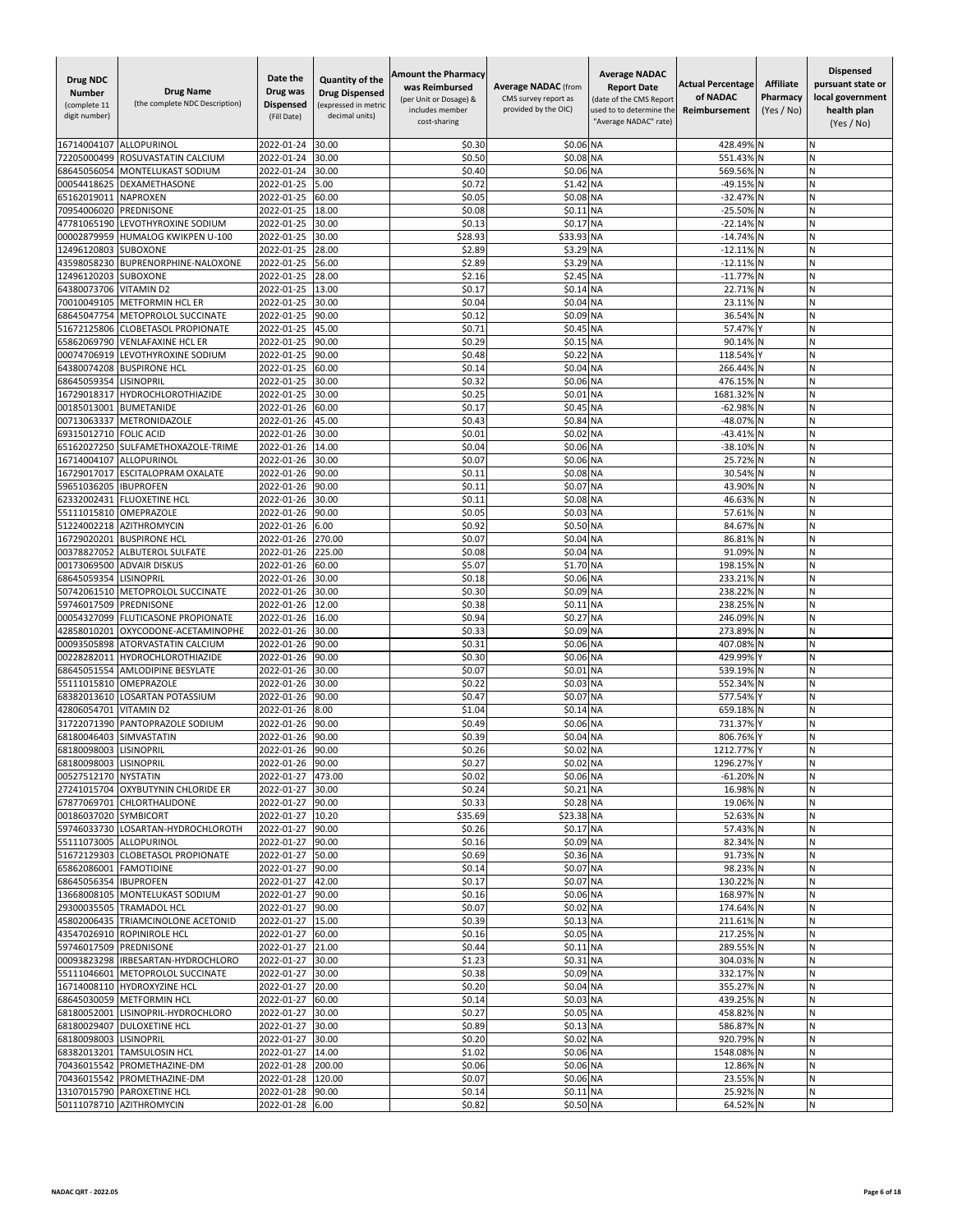| <b>Drug NDC</b><br><b>Number</b><br>(complete 11<br>digit number) | <b>Drug Name</b><br>(the complete NDC Description)                     | Date the<br>Drug was<br><b>Dispensed</b><br>(Fill Date) | Quantity of the<br><b>Drug Dispensed</b><br>(expressed in metric<br>decimal units) | <b>Amount the Pharmacy</b><br>was Reimbursed<br>(per Unit or Dosage) &<br>includes member<br>cost-sharing | <b>Average NADAC (from</b><br>CMS survey report as<br>provided by the OIC) | <b>Average NADAC</b><br><b>Report Date</b><br>(date of the CMS Report<br>used to to determine the<br>"Average NADAC" rate) | <b>Actual Percentage</b><br>of NADAC<br>Reimbursement | <b>Affiliate</b><br>Pharmacy<br>(Yes / No) | Dispensed<br>pursuant state or<br>local government<br>health plan<br>(Yes / No) |
|-------------------------------------------------------------------|------------------------------------------------------------------------|---------------------------------------------------------|------------------------------------------------------------------------------------|-----------------------------------------------------------------------------------------------------------|----------------------------------------------------------------------------|----------------------------------------------------------------------------------------------------------------------------|-------------------------------------------------------|--------------------------------------------|---------------------------------------------------------------------------------|
| 16714004107                                                       | <b>ALLOPURINOL</b>                                                     | 2022-01-24                                              | 30.00                                                                              | \$0.30                                                                                                    | \$0.06 NA                                                                  |                                                                                                                            | 428.49%                                               |                                            | И                                                                               |
| 72205000499                                                       | ROSUVASTATIN CALCIUM                                                   | 2022-01-24                                              | 30.00                                                                              | \$0.50                                                                                                    | \$0.08 NA                                                                  |                                                                                                                            | 551.43%                                               |                                            | N                                                                               |
| 68645056054                                                       | MONTELUKAST SODIUM                                                     | 2022-01-24                                              | 30.00                                                                              | \$0.40                                                                                                    | \$0.06 NA                                                                  |                                                                                                                            | 569.56%                                               |                                            | N                                                                               |
| 00054418625<br>65162019011                                        | DEXAMETHASONE<br><b>NAPROXEN</b>                                       | 2022-01-25<br>2022-01-25                                | 5.00<br>60.00                                                                      | \$0.72<br>\$0.05                                                                                          | \$1.42<br>\$0.08 NA                                                        | <b>NA</b>                                                                                                                  | $-49.15%$<br>$-32.47%$                                | N                                          | N<br>N                                                                          |
| 70954006020                                                       | PREDNISONE                                                             | 2022-01-25                                              | 18.00                                                                              | \$0.08                                                                                                    | \$0.11                                                                     | <b>NA</b>                                                                                                                  | $-25.50%$                                             |                                            | N                                                                               |
| 47781065190                                                       | LEVOTHYROXINE SODIUM                                                   | 2022-01-25                                              | 30.00                                                                              | \$0.13                                                                                                    | \$0.17                                                                     | <b>NA</b>                                                                                                                  | $-22.14%$                                             |                                            | N                                                                               |
| 00002879959                                                       | HUMALOG KWIKPEN U-100                                                  | 2022-01-25                                              | 30.00                                                                              | \$28.93                                                                                                   | \$33.93                                                                    | <b>NA</b>                                                                                                                  | $-14.74%$                                             |                                            | N                                                                               |
| 12496120803                                                       | <b>SUBOXONE</b>                                                        | 2022-01-25                                              | 28.00                                                                              | \$2.89                                                                                                    | \$3.29 NA                                                                  |                                                                                                                            | $-12.11%$                                             |                                            | И                                                                               |
| 43598058230<br>12496120203                                        | <b>BUPRENORPHINE-NALOXONE</b><br><b>SUBOXONE</b>                       | 2022-01-25<br>2022-01-25                                | 56.00<br>28.00                                                                     | \$2.89<br>\$2.16                                                                                          | \$3.29 NA<br>\$2.45 NA                                                     |                                                                                                                            | $-12.11\%$ N<br>-11.77% N                             |                                            | N<br>N                                                                          |
| 64380073706                                                       | <b>VITAMIND2</b>                                                       | 2022-01-25                                              | 13.00                                                                              | \$0.17                                                                                                    | \$0.14 NA                                                                  |                                                                                                                            | 22.71% N                                              |                                            | N                                                                               |
| 70010049105                                                       | <b>METFORMIN HCL ER</b>                                                | 2022-01-25                                              | 30.00                                                                              | \$0.04                                                                                                    | \$0.04                                                                     | <b>NA</b>                                                                                                                  | 23.11%                                                |                                            | Ń                                                                               |
| 68645047754                                                       | METOPROLOL SUCCINATE                                                   | 2022-01-25                                              | 90.00                                                                              | \$0.12                                                                                                    | \$0.09                                                                     | <b>NA</b>                                                                                                                  | 36.54%                                                |                                            | N                                                                               |
| 51672125806                                                       | <b>CLOBETASOL PROPIONATE</b>                                           | 2022-01-25                                              | 45.00                                                                              | \$0.71                                                                                                    | \$0.45 NA                                                                  |                                                                                                                            | 57.47%                                                |                                            | Ν                                                                               |
| 65862069790                                                       | <b>VENLAFAXINE HCL ER</b>                                              | 2022-01-25                                              | 90.00                                                                              | \$0.29                                                                                                    | \$0.15                                                                     | <b>NA</b>                                                                                                                  | 90.14%                                                |                                            | N                                                                               |
| 00074706919<br>64380074208                                        | LEVOTHYROXINE SODIUM<br><b>BUSPIRONE HCL</b>                           | 2022-01-25<br>2022-01-25                                | 90.00<br>60.00                                                                     | \$0.48<br>\$0.14                                                                                          | \$0.22 NA<br>\$0.04                                                        | <b>NA</b>                                                                                                                  | 118.54%<br>266.44%                                    |                                            | N<br>N                                                                          |
| 68645059354                                                       | <b>LISINOPRIL</b>                                                      | 2022-01-25                                              | 30.00                                                                              | \$0.32                                                                                                    | \$0.06                                                                     | <b>NA</b>                                                                                                                  | 476.159                                               |                                            | Ń                                                                               |
| 16729018317                                                       | HYDROCHLOROTHIAZIDE                                                    | 2022-01-25                                              | 30.00                                                                              | \$0.25                                                                                                    | \$0.01                                                                     | <b>NA</b>                                                                                                                  | 1681.32%                                              |                                            | N                                                                               |
| 00185013001                                                       | <b>BUMETANIDE</b>                                                      | 2022-01-26                                              | 60.00                                                                              | \$0.17                                                                                                    | \$0.45 NA                                                                  |                                                                                                                            | $-62.98%$                                             | N                                          | N                                                                               |
| 00713063337                                                       | <b>METRONIDAZOLE</b>                                                   | 2022-01-26                                              | 45.00                                                                              | \$0.43                                                                                                    | \$0.84 NA                                                                  |                                                                                                                            | -48.07%                                               | IN                                         | N                                                                               |
| 69315012710                                                       | <b>FOLIC ACID</b>                                                      | 2022-01-26                                              | 30.00                                                                              | \$0.01                                                                                                    | \$0.02 NA                                                                  |                                                                                                                            | -43.41% N                                             |                                            | N                                                                               |
| 65162027250<br>16714004107                                        | SULFAMETHOXAZOLE-TRIME<br>ALLOPURINOL                                  | 2022-01-26<br>2022-01-26                                | 14.00<br>30.00                                                                     | \$0.04<br>\$0.07                                                                                          | \$0.06 NA<br>\$0.06 NA                                                     |                                                                                                                            | $-38.10%$<br>25.72%                                   | N                                          | N<br>N                                                                          |
| 16729017017                                                       | <b>ESCITALOPRAM OXALATE</b>                                            | 2022-01-26                                              | 90.00                                                                              | \$0.11                                                                                                    | \$0.08 NA                                                                  |                                                                                                                            | 30.54%                                                |                                            | Ν                                                                               |
| 59651036205                                                       | <b>IBUPROFEN</b>                                                       | 2022-01-26                                              | 90.00                                                                              | \$0.11                                                                                                    | \$0.07                                                                     | <b>NA</b>                                                                                                                  | 43.90%                                                |                                            | N                                                                               |
| 62332002431                                                       | <b>FLUOXETINE HCL</b>                                                  | 2022-01-26                                              | 30.00                                                                              | \$0.11                                                                                                    | \$0.08 NA                                                                  |                                                                                                                            | 46.63%                                                |                                            | N                                                                               |
| 55111015810                                                       | OMEPRAZOLE                                                             | 2022-01-26                                              | 90.00                                                                              | \$0.05                                                                                                    | \$0.03 NA                                                                  |                                                                                                                            | 57.61%                                                |                                            | Ń                                                                               |
| 51224002218<br>16729020201                                        | AZITHROMYCIN<br><b>BUSPIRONE HCL</b>                                   | 2022-01-26<br>2022-01-26                                | 6.00<br>270.00                                                                     | \$0.92<br>\$0.07                                                                                          | \$0.50<br>\$0.04                                                           | <b>NA</b><br><b>NA</b>                                                                                                     | 84.67%<br>86.81% N                                    |                                            | N<br>И                                                                          |
| 00378827052                                                       | <b>ALBUTEROL SULFATE</b>                                               | 2022-01-26                                              | 225.00                                                                             | \$0.08                                                                                                    | \$0.04 NA                                                                  |                                                                                                                            | 91.09%                                                |                                            | N                                                                               |
| 00173069500                                                       | <b>ADVAIR DISKUS</b>                                                   | 2022-01-26                                              | 60.00                                                                              | \$5.07                                                                                                    | \$1.70 NA                                                                  |                                                                                                                            | 198.15%                                               |                                            | N                                                                               |
| 68645059354                                                       | <b>LISINOPRIL</b>                                                      | 2022-01-26                                              | 30.00                                                                              | \$0.18                                                                                                    | \$0.06 NA                                                                  |                                                                                                                            | 233.21%                                               |                                            | N                                                                               |
| 50742061510                                                       | METOPROLOL SUCCINATE                                                   | 2022-01-26                                              | 30.00                                                                              | \$0.30                                                                                                    | \$0.09                                                                     | <b>NA</b>                                                                                                                  | 238.22%                                               |                                            | N                                                                               |
| 59746017509                                                       | PREDNISONE                                                             | 2022-01-26                                              | 12.00                                                                              | \$0.38                                                                                                    | \$0.11                                                                     | <b>NA</b>                                                                                                                  | 238.25%                                               |                                            | N                                                                               |
| 00054327099<br>42858010201                                        | FLUTICASONE PROPIONATE<br>OXYCODONE-ACETAMINOPHE                       | 2022-01-26<br>2022-01-26                                | 16.00<br>30.00                                                                     | \$0.94<br>\$0.33                                                                                          | \$0.27<br>\$0.09                                                           | <b>NA</b><br><b>NA</b>                                                                                                     | 246.09%<br>273.89%                                    |                                            | Ν<br>Ν                                                                          |
| 00093505898                                                       | <b>ATORVASTATIN CALCIUM</b>                                            | 2022-01-26                                              | 90.00                                                                              | \$0.31                                                                                                    | \$0.06 NA                                                                  |                                                                                                                            | 407.08%                                               |                                            | N                                                                               |
| 00228282011                                                       | <b>HYDROCHLOROTHIAZIDE</b>                                             | 2022-01-26                                              | 90.00                                                                              | \$0.30                                                                                                    | \$0.06 NA                                                                  |                                                                                                                            | 429.99%                                               |                                            | N                                                                               |
| 68645051554                                                       | AMLODIPINE BESYLATE                                                    | 2022-01-26                                              | 30.00                                                                              | \$0.07                                                                                                    | \$0.01                                                                     | <b>NA</b>                                                                                                                  | 539.19%                                               |                                            | N                                                                               |
| 55111015810                                                       | <b>OMEPRAZOLE</b>                                                      | 2022-01-26                                              | 30.00                                                                              | \$0.22                                                                                                    | \$0.03                                                                     | <b>NA</b>                                                                                                                  | 552.34%                                               |                                            | И                                                                               |
| 68382013610                                                       | <b>LOSARTAN POTASSIUM</b>                                              | 2022-01-26                                              | 90.00                                                                              | \$0.47                                                                                                    | \$0.07                                                                     | <b>NA</b>                                                                                                                  | 577.54%                                               |                                            | N<br>N                                                                          |
| 42806054701<br>31722071390                                        | <b>VITAMIND2</b><br>PANTOPRAZOLE SODIUM                                | 2022-01-26<br>2022-01-26                                | 8.00<br>90.00                                                                      | \$1.04<br>\$0.49                                                                                          | \$0.14 NA<br>\$0.06 NA                                                     |                                                                                                                            | 659.18%<br>731.37%                                    |                                            | N                                                                               |
| 68180046403                                                       | SIMVASTATIN                                                            | 2022-01-26                                              | 90.00                                                                              | \$0.39                                                                                                    | \$0.04 NA                                                                  |                                                                                                                            | 806.76%                                               |                                            | Ń                                                                               |
| 68180098003 LISINOPRIL                                            |                                                                        | 2022-01-26                                              | 90.00                                                                              | \$0.26                                                                                                    | \$0.02 NA                                                                  |                                                                                                                            | 1212.77% Y                                            |                                            | N                                                                               |
| 68180098003 LISINOPRIL                                            |                                                                        | 2022-01-26 90.00                                        |                                                                                    | \$0.27                                                                                                    | \$0.02 NA                                                                  |                                                                                                                            | 1296.27% Y                                            |                                            | Ν                                                                               |
| 00527512170 NYSTATIN                                              |                                                                        | 2022-01-27                                              | 473.00                                                                             | \$0.02                                                                                                    | \$0.06 NA                                                                  |                                                                                                                            | $-61.20\%$ N                                          |                                            | N                                                                               |
|                                                                   | 27241015704 OXYBUTYNIN CHLORIDE ER<br>67877069701 CHLORTHALIDONE       | 2022-01-27<br>2022-01-27                                | 30.00<br>90.00                                                                     | \$0.24<br>\$0.33                                                                                          | \$0.21 NA<br>\$0.28 NA                                                     |                                                                                                                            | 16.98% N<br>19.06% N                                  |                                            | N<br>N                                                                          |
| 00186037020 SYMBICORT                                             |                                                                        | 2022-01-27                                              | 10.20                                                                              | \$35.69                                                                                                   | \$23.38 NA                                                                 |                                                                                                                            | 52.63% N                                              |                                            | N                                                                               |
|                                                                   | 59746033730 LOSARTAN-HYDROCHLOROTH                                     | 2022-01-27                                              | 90.00                                                                              | \$0.26                                                                                                    | \$0.17 NA                                                                  |                                                                                                                            | 57.43% N                                              |                                            | N                                                                               |
|                                                                   | 55111073005 ALLOPURINOL                                                | 2022-01-27                                              | 90.00                                                                              | \$0.16                                                                                                    | \$0.09 NA                                                                  |                                                                                                                            | 82.34% N                                              |                                            | N                                                                               |
|                                                                   | 51672129303 CLOBETASOL PROPIONATE                                      | 2022-01-27                                              | 50.00                                                                              | \$0.69                                                                                                    | \$0.36 NA                                                                  |                                                                                                                            | 91.73% N                                              |                                            | N                                                                               |
| 65862086001 FAMOTIDINE<br>68645056354 IBUPROFEN                   |                                                                        | 2022-01-27<br>2022-01-27                                | 90.00<br>42.00                                                                     | \$0.14<br>\$0.17                                                                                          | \$0.07 NA<br>\$0.07 NA                                                     |                                                                                                                            | 98.23% N<br>130.22% N                                 |                                            | N<br>N                                                                          |
|                                                                   | 13668008105 MONTELUKAST SODIUM                                         | 2022-01-27                                              | 90.00                                                                              | \$0.16                                                                                                    | \$0.06 NA                                                                  |                                                                                                                            | 168.97% N                                             |                                            | Ν                                                                               |
|                                                                   | 29300035505 TRAMADOL HCL                                               | 2022-01-27                                              | 90.00                                                                              | \$0.07                                                                                                    | \$0.02 NA                                                                  |                                                                                                                            | 174.64% N                                             |                                            | Ν                                                                               |
|                                                                   | 45802006435 TRIAMCINOLONE ACETONID                                     | 2022-01-27                                              | 15.00                                                                              | \$0.39                                                                                                    | \$0.13 NA                                                                  |                                                                                                                            | 211.61% N                                             |                                            | N                                                                               |
|                                                                   | 43547026910 ROPINIROLE HCL                                             | 2022-01-27                                              | 60.00                                                                              | \$0.16                                                                                                    | \$0.05 NA                                                                  |                                                                                                                            | 217.25% N                                             |                                            | N                                                                               |
| 59746017509 PREDNISONE                                            |                                                                        | 2022-01-27 21.00                                        |                                                                                    | \$0.44                                                                                                    | \$0.11 NA                                                                  |                                                                                                                            | 289.55% N                                             |                                            | И                                                                               |
|                                                                   | 00093823298 IRBESARTAN-HYDROCHLORO<br>55111046601 METOPROLOL SUCCINATE | 2022-01-27<br>2022-01-27                                | 30.00<br>30.00                                                                     | \$1.23<br>\$0.38                                                                                          | \$0.31 NA<br>\$0.09 NA                                                     |                                                                                                                            | 304.03% N<br>332.17% N                                |                                            | Ν<br>N                                                                          |
|                                                                   | 16714008110 HYDROXYZINE HCL                                            | 2022-01-27                                              | 20.00                                                                              | \$0.20                                                                                                    | \$0.04 NA                                                                  |                                                                                                                            | 355.27% N                                             |                                            | Ν                                                                               |
|                                                                   | 68645030059 METFORMIN HCL                                              | 2022-01-27                                              | 60.00                                                                              | \$0.14                                                                                                    | \$0.03 NA                                                                  |                                                                                                                            | 439.25% N                                             |                                            | И                                                                               |
|                                                                   | 68180052001 LISINOPRIL-HYDROCHLORO                                     | 2022-01-27                                              | 30.00                                                                              | \$0.27                                                                                                    | \$0.05 NA                                                                  |                                                                                                                            | 458.82% N                                             |                                            | N                                                                               |
|                                                                   | 68180029407 DULOXETINE HCL                                             | 2022-01-27                                              | 30.00                                                                              | \$0.89                                                                                                    | \$0.13 NA                                                                  |                                                                                                                            | 586.87% N                                             |                                            | N                                                                               |
| 68180098003                                                       | <b>LISINOPRIL</b>                                                      | 2022-01-27                                              | 30.00                                                                              | \$0.20                                                                                                    | \$0.02 NA                                                                  |                                                                                                                            | 920.79% N                                             |                                            | N                                                                               |
|                                                                   | 68382013201 TAMSULOSIN HCL<br>70436015542 PROMETHAZINE-DM              | 2022-01-27<br>2022-01-28                                | 14.00<br>200.00                                                                    | \$1.02<br>\$0.06                                                                                          | \$0.06 NA<br>\$0.06 NA                                                     |                                                                                                                            | 1548.08% N<br>12.86% N                                |                                            | Ν<br>N                                                                          |
|                                                                   | 70436015542 PROMETHAZINE-DM                                            | 2022-01-28 120.00                                       |                                                                                    | \$0.07                                                                                                    | \$0.06 NA                                                                  |                                                                                                                            | 23.55% N                                              |                                            | N                                                                               |
|                                                                   | 13107015790 PAROXETINE HCL                                             | 2022-01-28                                              | 90.00                                                                              | \$0.14                                                                                                    | \$0.11 NA                                                                  |                                                                                                                            | 25.92% N                                              |                                            | N                                                                               |
|                                                                   | 50111078710 AZITHROMYCIN                                               | 2022-01-28                                              | 6.00                                                                               | \$0.82                                                                                                    | \$0.50 NA                                                                  |                                                                                                                            | 64.52% N                                              |                                            | Ν                                                                               |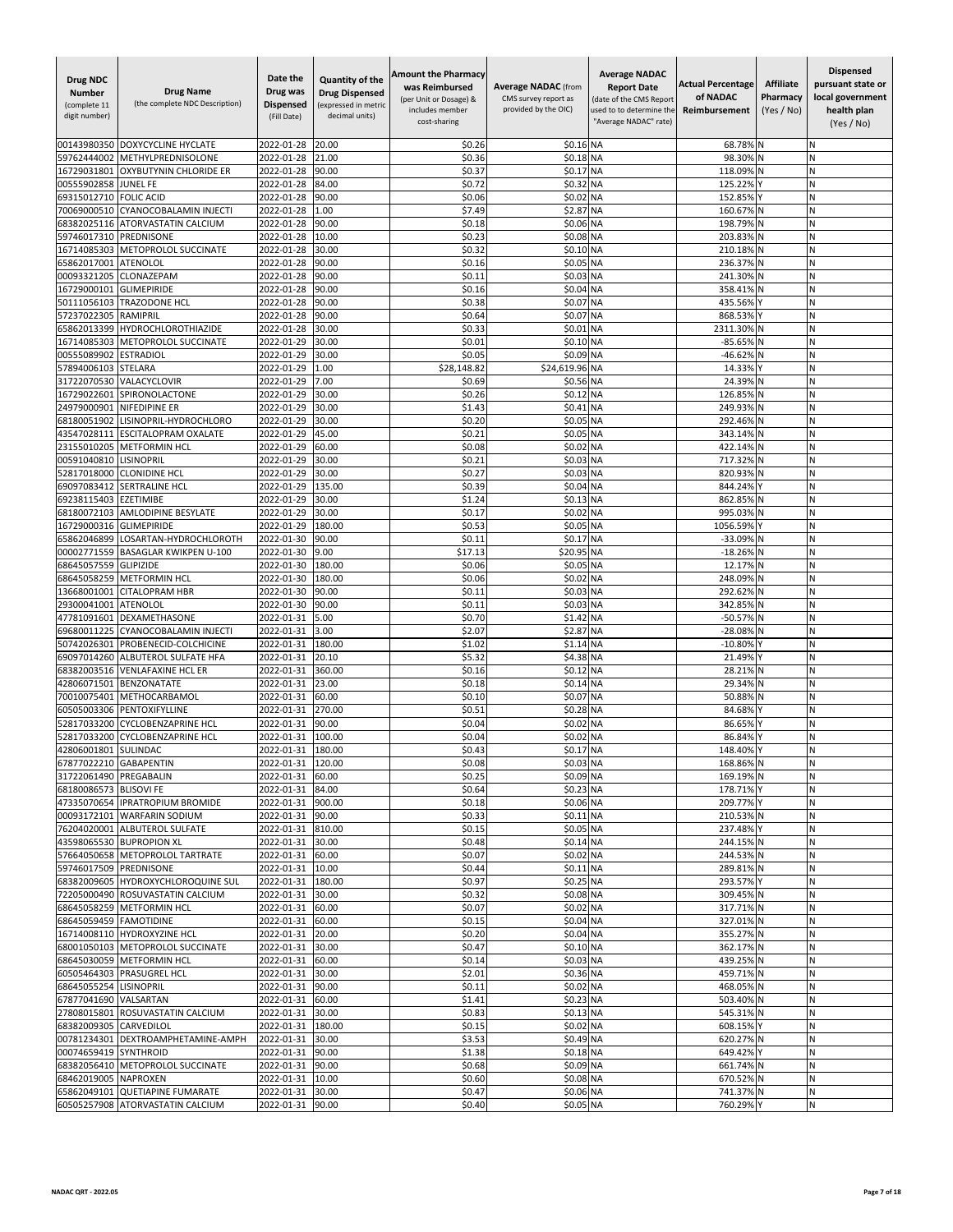| <b>Drug NDC</b><br><b>Number</b><br>(complete 11<br>digit number) | <b>Drug Name</b><br>(the complete NDC Description)     | Date the<br>Drug was<br><b>Dispensed</b><br>(Fill Date) | Quantity of the<br><b>Drug Dispensed</b><br>(expressed in metric<br>decimal units) | <b>Amount the Pharmacy</b><br>was Reimbursed<br>(per Unit or Dosage) &<br>includes member<br>cost-sharing | <b>Average NADAC (from</b><br>CMS survey report as<br>provided by the OIC) | <b>Average NADAC</b><br><b>Report Date</b><br>(date of the CMS Report<br>used to to determine the<br>"Average NADAC" rate) | <b>Actual Percentage</b><br>of NADAC<br>Reimbursement | <b>Affiliate</b><br>Pharmacy<br>(Yes / No) | <b>Dispensed</b><br>pursuant state or<br>local government<br>health plan<br>(Yes / No) |
|-------------------------------------------------------------------|--------------------------------------------------------|---------------------------------------------------------|------------------------------------------------------------------------------------|-----------------------------------------------------------------------------------------------------------|----------------------------------------------------------------------------|----------------------------------------------------------------------------------------------------------------------------|-------------------------------------------------------|--------------------------------------------|----------------------------------------------------------------------------------------|
| 00143980350                                                       | DOXYCYCLINE HYCLATE                                    | 2022-01-28                                              | 20.00                                                                              | \$0.26                                                                                                    | \$0.16 NA                                                                  |                                                                                                                            | 68.78%                                                |                                            | Ν                                                                                      |
| 59762444002                                                       | METHYLPREDNISOLONE                                     | 2022-01-28                                              | 21.00                                                                              | \$0.36                                                                                                    | \$0.18                                                                     | <b>NA</b>                                                                                                                  | 98.30%                                                |                                            | N                                                                                      |
| 16729031801                                                       | OXYBUTYNIN CHLORIDE ER                                 | 2022-01-28                                              | 90.00                                                                              | \$0.37                                                                                                    | \$0.17                                                                     | <b>NA</b>                                                                                                                  | 118.09%                                               |                                            | N                                                                                      |
| 00555902858<br>69315012710                                        | <b>JUNEL FE</b><br><b>FOLIC ACID</b>                   | 2022-01-28<br>2022-01-28                                | 84.00<br>90.00                                                                     | \$0.72<br>\$0.06                                                                                          | \$0.32<br>\$0.02                                                           | <b>NA</b><br><b>NA</b>                                                                                                     | 125.22%<br>152.85%                                    |                                            | N<br>N                                                                                 |
| 70069000510                                                       | CYANOCOBALAMIN INJECTI                                 | 2022-01-28                                              | 1.00                                                                               | \$7.49                                                                                                    | \$2.87                                                                     | <b>NA</b>                                                                                                                  | 160.67%                                               |                                            | N                                                                                      |
| 68382025116                                                       | <b>ATORVASTATIN CALCIUM</b>                            | 2022-01-28                                              | 90.00                                                                              | \$0.18                                                                                                    | \$0.06 NA                                                                  |                                                                                                                            | 198.79%                                               |                                            | N                                                                                      |
| 59746017310                                                       | PREDNISONE                                             | 2022-01-28                                              | 10.00                                                                              | \$0.23                                                                                                    | \$0.08 NA                                                                  |                                                                                                                            | 203.83%                                               |                                            | N                                                                                      |
| 16714085303                                                       | METOPROLOL SUCCINATE                                   | 2022-01-28                                              | 30.00                                                                              | \$0.32                                                                                                    | \$0.10 NA                                                                  |                                                                                                                            | 210.18%                                               |                                            | Ν                                                                                      |
| 65862017001<br>00093321205                                        | <b>ATENOLOL</b><br>CLONAZEPAM                          | 2022-01-28<br>2022-01-28                                | 90.00<br>90.00                                                                     | \$0.16<br>\$0.11                                                                                          | \$0.05 NA<br>\$0.03                                                        | <b>NA</b>                                                                                                                  | 236.37% N<br>241.30%                                  |                                            | N<br>N                                                                                 |
| 16729000101                                                       | <b>GLIMEPIRIDE</b>                                     | 2022-01-28                                              | 90.00                                                                              | \$0.16                                                                                                    | \$0.04 NA                                                                  |                                                                                                                            | 358.41%                                               | N                                          | N                                                                                      |
| 50111056103                                                       | <b>TRAZODONE HCL</b>                                   | 2022-01-28                                              | 90.00                                                                              | \$0.38                                                                                                    | \$0.07                                                                     | <b>NA</b>                                                                                                                  | 435.56%                                               |                                            | Ń                                                                                      |
| 57237022305                                                       | RAMIPRIL                                               | 2022-01-28                                              | 90.00                                                                              | \$0.64                                                                                                    | \$0.07                                                                     | <b>NA</b>                                                                                                                  | 868.53%                                               |                                            | N                                                                                      |
| 65862013399                                                       | <b>HYDROCHLOROTHIAZIDE</b>                             | 2022-01-28                                              | 30.00                                                                              | \$0.33                                                                                                    | \$0.01                                                                     | <b>NA</b>                                                                                                                  | 2311.30%                                              |                                            | Ν                                                                                      |
| 16714085303                                                       | METOPROLOL SUCCINATE                                   | 2022-01-29                                              | 30.00                                                                              | \$0.01                                                                                                    | \$0.10                                                                     | <b>NA</b>                                                                                                                  | $-85.65%$                                             |                                            | N                                                                                      |
| 00555089902<br>57894006103                                        | <b>ESTRADIOL</b><br><b>STELARA</b>                     | 2022-01-29<br>2022-01-29                                | 30.00<br>1.00                                                                      | \$0.05<br>\$28,148.82                                                                                     | \$0.09 NA<br>\$24,619.96 NA                                                |                                                                                                                            | $-46.62%$<br>14.33%                                   |                                            | N<br>N                                                                                 |
| 31722070530                                                       | VALACYCLOVIR                                           | 2022-01-29                                              | 7.00                                                                               | \$0.69                                                                                                    | \$0.56                                                                     | <b>NA</b>                                                                                                                  | 24.399                                                |                                            | Ń                                                                                      |
| 16729022601                                                       | SPIRONOLACTONE                                         | 2022-01-29                                              | 30.00                                                                              | \$0.26                                                                                                    | \$0.12 NA                                                                  |                                                                                                                            | 126.85%                                               | N                                          | И                                                                                      |
| 24979000901                                                       | NIFEDIPINE ER                                          | 2022-01-29                                              | 30.00                                                                              | \$1.43                                                                                                    | \$0.41                                                                     | <b>NA</b>                                                                                                                  | 249.93%                                               | N                                          | N                                                                                      |
| 68180051902                                                       | LISINOPRIL-HYDROCHLORO                                 | 2022-01-29                                              | 30.00                                                                              | \$0.20                                                                                                    | \$0.05 NA                                                                  |                                                                                                                            | 292.46%                                               |                                            | Ν                                                                                      |
| 43547028111                                                       | ESCITALOPRAM OXALATE                                   | 2022-01-29                                              | 45.00                                                                              | \$0.21                                                                                                    | \$0.05 NA                                                                  |                                                                                                                            | 343.14%                                               |                                            | N<br>Ń                                                                                 |
| 23155010205<br>00591040810                                        | <b>METFORMIN HCL</b><br>LISINOPRIL                     | 2022-01-29<br>2022-01-29                                | 60.00<br>30.00                                                                     | \$0.08<br>\$0.21                                                                                          | \$0.02<br>\$0.03                                                           | <b>NA</b><br><b>NA</b>                                                                                                     | 422.14%<br>717.32%                                    |                                            | N                                                                                      |
| 52817018000                                                       | <b>CLONIDINE HCL</b>                                   | 2022-01-29                                              | 30.00                                                                              | \$0.27                                                                                                    | \$0.03 NA                                                                  |                                                                                                                            | 820.93%                                               |                                            | И                                                                                      |
| 69097083412                                                       | <b>SERTRALINE HCL</b>                                  | 2022-01-29                                              | 135.00                                                                             | \$0.39                                                                                                    | \$0.04 NA                                                                  |                                                                                                                            | 844.24%                                               |                                            | N                                                                                      |
| 69238115403                                                       | <b>EZETIMIBE</b>                                       | 2022-01-29                                              | 30.00                                                                              | \$1.24                                                                                                    | \$0.13                                                                     | <b>NA</b>                                                                                                                  | 862.85%                                               |                                            | N                                                                                      |
| 68180072103                                                       | <b>AMLODIPINE BESYLATE</b>                             | 2022-01-29                                              | 30.00                                                                              | \$0.17                                                                                                    | \$0.02                                                                     | <b>NA</b>                                                                                                                  | 995.03%                                               |                                            | N                                                                                      |
| 16729000316<br>65862046899                                        | <b>GLIMEPIRIDE</b><br>LOSARTAN-HYDROCHLOROTH           | 2022-01-29<br>2022-01-30                                | 180.00<br>90.00                                                                    | \$0.53<br>\$0.11                                                                                          | \$0.05<br>\$0.1                                                            | <b>NA</b><br><b>NA</b>                                                                                                     | 1056.59%<br>-33.09%                                   | IN                                         | N<br>Ν                                                                                 |
| 00002771559                                                       | <b>BASAGLAR KWIKPEN U-100</b>                          | 2022-01-30                                              | 9.00                                                                               | \$17.13                                                                                                   | \$20.95 NA                                                                 |                                                                                                                            | $-18.26%$                                             |                                            | Ν                                                                                      |
| 68645057559                                                       | <b>GLIPIZIDE</b>                                       | 2022-01-30                                              | 180.00                                                                             | \$0.06                                                                                                    | \$0.05 NA                                                                  |                                                                                                                            | 12.17%                                                |                                            | N                                                                                      |
| 68645058259                                                       | <b>METFORMIN HCL</b>                                   | 2022-01-30                                              | 180.00                                                                             | \$0.06                                                                                                    | \$0.02 NA                                                                  |                                                                                                                            | 248.09%                                               |                                            | N                                                                                      |
| 13668001001                                                       | <b>CITALOPRAM HBR</b>                                  | 2022-01-30                                              | 90.00                                                                              | \$0.11                                                                                                    | \$0.03                                                                     | <b>NA</b>                                                                                                                  | 292.62%                                               |                                            | Ń                                                                                      |
| 29300041001                                                       | <b>ATENOLOL</b>                                        | 2022-01-30                                              | 90.00                                                                              | \$0.11                                                                                                    | \$0.03                                                                     | <b>NA</b>                                                                                                                  | 342.85%                                               |                                            | N                                                                                      |
| 47781091601<br>69680011225                                        | DEXAMETHASONE<br>CYANOCOBALAMIN INJECTI                | 2022-01-31<br>2022-01-31                                | 5.00<br>3.00                                                                       | \$0.70<br>\$2.07                                                                                          | \$1.42<br>\$2.87                                                           | <b>NA</b><br><b>NA</b>                                                                                                     | $-50.57%$<br>$-28.08%$                                |                                            | И<br>Ν                                                                                 |
| 50742026301                                                       | PROBENECID-COLCHICINE                                  | 2022-01-31                                              | 180.00                                                                             | \$1.02                                                                                                    | \$1.14 NA                                                                  |                                                                                                                            | $-10.80%$                                             |                                            | Ν                                                                                      |
| 69097014260                                                       | ALBUTEROL SULFATE HFA                                  | 2022-01-31                                              | 20.10                                                                              | \$5.32                                                                                                    | \$4.38 NA                                                                  |                                                                                                                            | 21.49%                                                |                                            | N                                                                                      |
| 68382003516                                                       | <b>VENLAFAXINE HCL ER</b>                              | 2022-01-31                                              | 360.00                                                                             | \$0.16                                                                                                    | \$0.12                                                                     | <b>NA</b>                                                                                                                  | 28.21%                                                |                                            | Ń                                                                                      |
| 42806071501                                                       | <b>BENZONATATE</b>                                     | 2022-01-31                                              | 23.00                                                                              | \$0.18                                                                                                    | \$0.14 NA                                                                  |                                                                                                                            | 29.34%                                                |                                            | И                                                                                      |
| 70010075401                                                       | METHOCARBAMOL                                          | 2022-01-31                                              | 60.00                                                                              | \$0.10                                                                                                    | \$0.07                                                                     | <b>NA</b>                                                                                                                  | 50.88%                                                |                                            | N<br>N                                                                                 |
| 60505003306<br>52817033200                                        | PENTOXIFYLLINE<br><b>CYCLOBENZAPRINE HCL</b>           | 2022-01-31<br>2022-01-31                                | 270.00<br>90.00                                                                    | \$0.51<br>\$0.04                                                                                          | \$0.28 NA<br>\$0.02                                                        | <b>NA</b>                                                                                                                  | 84.68%<br>86.65%                                      |                                            | N                                                                                      |
| 52817033200                                                       | <b>CYCLOBENZAPRINE HCL</b>                             | 2022-01-31                                              | 100.00                                                                             | \$0.04                                                                                                    | \$0.02                                                                     | <b>NA</b>                                                                                                                  | 86.84%                                                |                                            | Ń                                                                                      |
| 42806001801 SULINDAC                                              |                                                        | 2022-01-31                                              | 180.00                                                                             | \$0.43                                                                                                    | \$0.17 NA                                                                  |                                                                                                                            | 148.40% Y                                             |                                            | N                                                                                      |
| 67877022210 GABAPENTIN                                            |                                                        | 2022-01-31 120.00                                       |                                                                                    | \$0.08                                                                                                    | \$0.03 NA                                                                  |                                                                                                                            | 168.86% N                                             |                                            | Ν                                                                                      |
| 31722061490 PREGABALIN                                            |                                                        | 2022-01-31                                              | 60.00                                                                              | \$0.25                                                                                                    | \$0.09 NA                                                                  |                                                                                                                            | 169.19% N                                             |                                            | Ν                                                                                      |
| 68180086573 BLISOVI FE                                            | 47335070654 IPRATROPIUM BROMIDE                        | 2022-01-31 84.00<br>2022-01-31 900.00                   |                                                                                    | \$0.64<br>\$0.18                                                                                          | \$0.23 NA<br>\$0.06 NA                                                     |                                                                                                                            | 178.71% Y<br>209.77% Y                                |                                            | N<br>N                                                                                 |
|                                                                   | 00093172101 WARFARIN SODIUM                            | 2022-01-31                                              | 90.00                                                                              | \$0.33                                                                                                    | \$0.11 NA                                                                  |                                                                                                                            | 210.53% N                                             |                                            | N                                                                                      |
|                                                                   | 76204020001 ALBUTEROL SULFATE                          | 2022-01-31                                              | 810.00                                                                             | \$0.15                                                                                                    | \$0.05 NA                                                                  |                                                                                                                            | 237.48% Y                                             |                                            | N                                                                                      |
|                                                                   | 43598065530 BUPROPION XL                               | 2022-01-31                                              | 30.00                                                                              | \$0.48                                                                                                    | \$0.14 NA                                                                  |                                                                                                                            | 244.15% N                                             |                                            | N                                                                                      |
|                                                                   | 57664050658 METOPROLOL TARTRATE                        | 2022-01-31                                              | 60.00                                                                              | \$0.07                                                                                                    | \$0.02 NA                                                                  |                                                                                                                            | 244.53% N                                             |                                            | Ν                                                                                      |
| 59746017509 PREDNISONE                                            | 68382009605 HYDROXYCHLOROQUINE SUL                     | 2022-01-31 10.00<br>2022-01-31                          | 180.00                                                                             | \$0.44<br>\$0.97                                                                                          | \$0.11 NA<br>\$0.25 NA                                                     |                                                                                                                            | 289.81% N<br>293.57% Y                                |                                            | И<br>Ν                                                                                 |
|                                                                   | 72205000490 ROSUVASTATIN CALCIUM                       | 2022-01-31                                              | 30.00                                                                              | \$0.32                                                                                                    | \$0.08 NA                                                                  |                                                                                                                            | 309.45% N                                             |                                            | Ν                                                                                      |
|                                                                   | 68645058259 METFORMIN HCL                              | 2022-01-31                                              | 60.00                                                                              | \$0.07                                                                                                    | \$0.02 NA                                                                  |                                                                                                                            | 317.71% N                                             |                                            | Ν                                                                                      |
| 68645059459 FAMOTIDINE                                            |                                                        | 2022-01-31                                              | 60.00                                                                              | \$0.15                                                                                                    | \$0.04 NA                                                                  |                                                                                                                            | 327.01% N                                             |                                            | N                                                                                      |
|                                                                   | 16714008110 HYDROXYZINE HCL                            | 2022-01-31                                              | 20.00                                                                              | \$0.20                                                                                                    | \$0.04 NA                                                                  |                                                                                                                            | 355.27% N                                             |                                            | N                                                                                      |
|                                                                   | 68001050103 METOPROLOL SUCCINATE                       | 2022-01-31 30.00                                        |                                                                                    | \$0.47                                                                                                    | \$0.10 NA                                                                  |                                                                                                                            | 362.17% N                                             |                                            | N                                                                                      |
|                                                                   | 68645030059 METFORMIN HCL<br>60505464303 PRASUGREL HCL | 2022-01-31<br>2022-01-31                                | 60.00<br>30.00                                                                     | \$0.14<br>\$2.01                                                                                          | \$0.03 NA<br>\$0.36 NA                                                     |                                                                                                                            | 439.25% N<br>459.71% N                                |                                            | И<br>N                                                                                 |
| 68645055254 LISINOPRIL                                            |                                                        | 2022-01-31                                              | 90.00                                                                              | \$0.11                                                                                                    | \$0.02 NA                                                                  |                                                                                                                            | 468.05% N                                             |                                            | Ν                                                                                      |
| 67877041690 VALSARTAN                                             |                                                        | 2022-01-31                                              | 60.00                                                                              | \$1.41                                                                                                    | \$0.23 NA                                                                  |                                                                                                                            | 503.40% N                                             |                                            | И                                                                                      |
|                                                                   | 27808015801 ROSUVASTATIN CALCIUM                       | 2022-01-31                                              | 30.00                                                                              | \$0.83                                                                                                    | \$0.13 NA                                                                  |                                                                                                                            | 545.31% N                                             |                                            | N                                                                                      |
| 68382009305 CARVEDILOL                                            |                                                        | 2022-01-31                                              | 180.00                                                                             | \$0.15                                                                                                    | \$0.02 NA                                                                  |                                                                                                                            | 608.15%                                               |                                            | Ν                                                                                      |
|                                                                   | 00781234301 DEXTROAMPHETAMINE-AMPH                     | 2022-01-31                                              | 30.00                                                                              | \$3.53                                                                                                    | \$0.49 NA                                                                  |                                                                                                                            | 620.27% N                                             |                                            | Ν                                                                                      |
| 00074659419 SYNTHROID                                             | 68382056410 METOPROLOL SUCCINATE                       | 2022-01-31<br>2022-01-31                                | 90.00<br>90.00                                                                     | \$1.38<br>\$0.68                                                                                          | \$0.18 NA<br>\$0.09 NA                                                     |                                                                                                                            | 649.42% Y<br>661.74% N                                |                                            | Ν<br>N                                                                                 |
| 68462019005 NAPROXEN                                              |                                                        | 2022-01-31 10.00                                        |                                                                                    | \$0.60                                                                                                    | \$0.08 NA                                                                  |                                                                                                                            | 670.52% N                                             |                                            | N                                                                                      |
|                                                                   | 65862049101 QUETIAPINE FUMARATE                        | 2022-01-31                                              | 30.00                                                                              | \$0.47                                                                                                    | \$0.06 NA                                                                  |                                                                                                                            | 741.37% N                                             |                                            | Ν                                                                                      |
|                                                                   | 60505257908 ATORVASTATIN CALCIUM                       | 2022-01-31                                              | 90.00                                                                              | \$0.40                                                                                                    | \$0.05 NA                                                                  |                                                                                                                            | 760.29% Y                                             |                                            | Ν                                                                                      |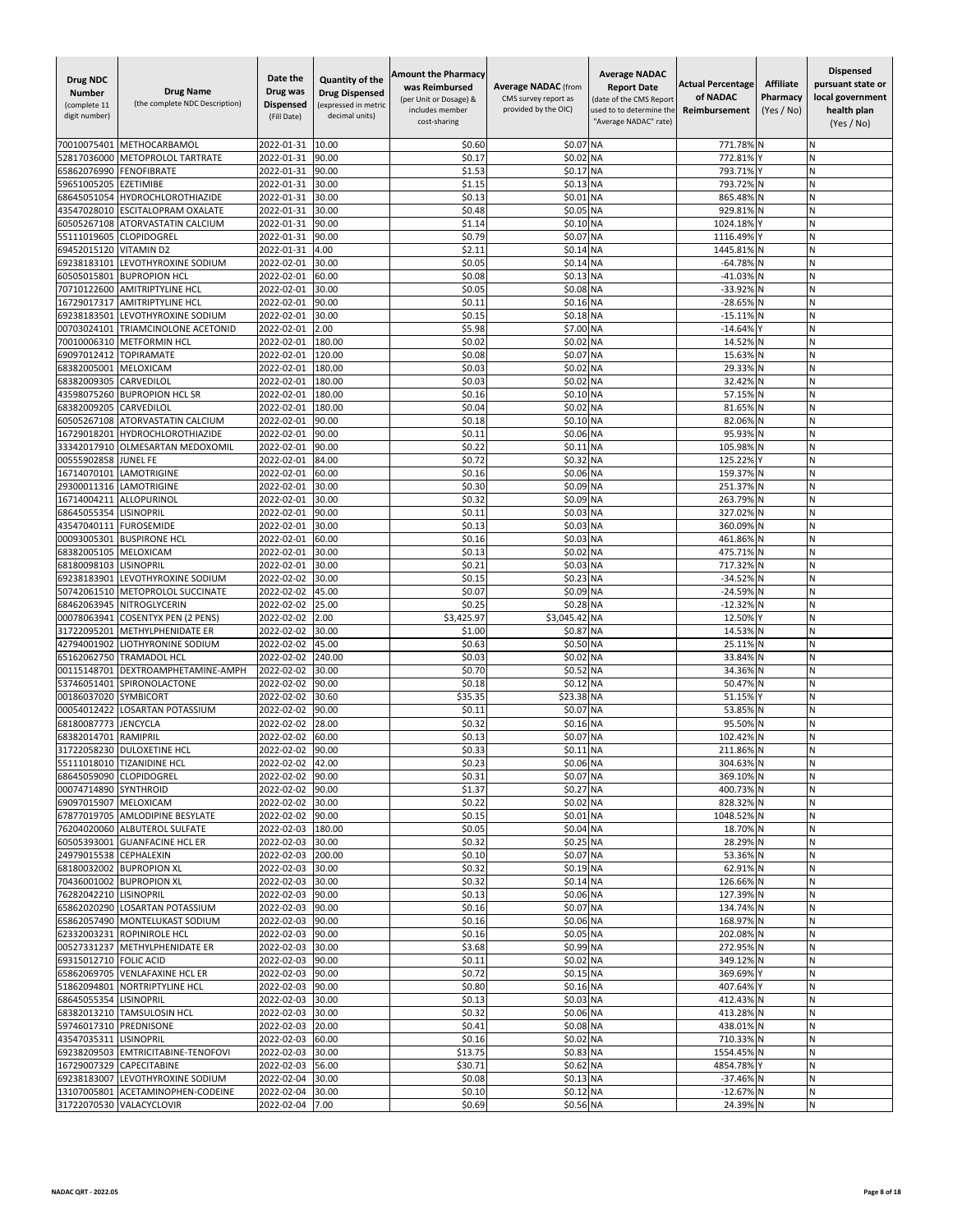| <b>Drug NDC</b><br><b>Number</b><br>(complete 11<br>digit number) | <b>Drug Name</b><br>(the complete NDC Description)              | Date the<br>Drug was<br><b>Dispensed</b><br>(Fill Date) | <b>Quantity of the</b><br><b>Drug Dispensed</b><br>(expressed in metric<br>decimal units) | <b>Amount the Pharmacy</b><br>was Reimbursed<br>(per Unit or Dosage) &<br>includes member<br>cost-sharing | <b>Average NADAC</b> (from<br>CMS survey report as<br>provided by the OIC) | <b>Average NADAC</b><br><b>Report Date</b><br>(date of the CMS Report<br>used to to determine the<br>"Average NADAC" rate) | <b>Actual Percentage</b><br>of NADAC<br>Reimbursement | <b>Affiliate</b><br>Pharmacy<br>(Yes / No) | <b>Dispensed</b><br>pursuant state or<br>local government<br>health plan<br>(Yes / No) |
|-------------------------------------------------------------------|-----------------------------------------------------------------|---------------------------------------------------------|-------------------------------------------------------------------------------------------|-----------------------------------------------------------------------------------------------------------|----------------------------------------------------------------------------|----------------------------------------------------------------------------------------------------------------------------|-------------------------------------------------------|--------------------------------------------|----------------------------------------------------------------------------------------|
| 70010075401                                                       | <b>METHOCARBAMOL</b>                                            | 2022-01-31                                              | 10.00                                                                                     | \$0.60                                                                                                    | \$0.07                                                                     | <b>NA</b>                                                                                                                  | 771.78%                                               |                                            | Ν                                                                                      |
| 52817036000                                                       | <b>METOPROLOL TARTRATE</b>                                      | 2022-01-31                                              | 90.00                                                                                     | \$0.1]                                                                                                    | \$0.02                                                                     | <b>NA</b>                                                                                                                  | 772.819                                               |                                            | N                                                                                      |
| 65862076990                                                       | <b>FENOFIBRATE</b>                                              | 2022-01-31                                              | 90.00                                                                                     | \$1.53                                                                                                    | \$0.17                                                                     | <b>NA</b>                                                                                                                  | 793.71%                                               |                                            | N                                                                                      |
| 59651005205                                                       | EZETIMIBE                                                       | 2022-01-31                                              | 30.00                                                                                     | \$1.15                                                                                                    | \$0.13                                                                     | <b>NA</b>                                                                                                                  | 793.72%                                               | N                                          | N                                                                                      |
| 68645051054                                                       | HYDROCHLOROTHIAZIDE                                             | 2022-01-31                                              | 30.00                                                                                     | \$0.13                                                                                                    | \$0.01                                                                     | <b>NA</b>                                                                                                                  | 865.48%                                               |                                            | N                                                                                      |
| 43547028010<br>60505267108                                        | ESCITALOPRAM OXALATE                                            | 2022-01-31                                              | 30.00                                                                                     | \$0.48                                                                                                    | \$0.05                                                                     | <b>NA</b>                                                                                                                  | 929.81%                                               |                                            | N<br>N                                                                                 |
| 55111019605                                                       | <b>ATORVASTATIN CALCIUM</b><br>CLOPIDOGREL                      | 2022-01-31<br>2022-01-31                                | 90.00<br>90.00                                                                            | \$1.14<br>\$0.79                                                                                          | \$0.10 NA<br>\$0.07                                                        | <b>NA</b>                                                                                                                  | 1024.189<br>1116.499                                  |                                            | N                                                                                      |
| 69452015120                                                       | <b>VITAMIND2</b>                                                | 2022-01-31                                              | 4.00                                                                                      | \$2.11                                                                                                    | \$0.14 NA                                                                  |                                                                                                                            | 1445.81%                                              |                                            | Ν                                                                                      |
| 69238183101                                                       | LEVOTHYROXINE SODIUM                                            | 2022-02-01                                              | 30.00                                                                                     | \$0.05                                                                                                    | \$0.14 NA                                                                  |                                                                                                                            | $-64.78%$                                             |                                            | Ν                                                                                      |
| 60505015801                                                       | <b>BUPROPION HCL</b>                                            | 2022-02-01                                              | 60.00                                                                                     | \$0.08                                                                                                    | \$0.13 NA                                                                  |                                                                                                                            | $-41.03%$                                             | ΙN                                         | N                                                                                      |
| 70710122600                                                       | <b>AMITRIPTYLINE HCL</b>                                        | 2022-02-01                                              | 30.00                                                                                     | \$0.05                                                                                                    | \$0.08 NA                                                                  |                                                                                                                            | -33.92%                                               |                                            | N                                                                                      |
| 16729017317                                                       | <b>AMITRIPTYLINE HCL</b>                                        | 2022-02-01                                              | 90.00                                                                                     | \$0.11                                                                                                    | \$0.16 NA                                                                  |                                                                                                                            | $-28.65%$                                             |                                            | N                                                                                      |
| 69238183501                                                       | LEVOTHYROXINE SODIUM                                            | 2022-02-01                                              | 30.00                                                                                     | \$0.15                                                                                                    | \$0.18 NA                                                                  |                                                                                                                            | $-15.11%$                                             | N                                          | Ν                                                                                      |
| 00703024101                                                       | TRIAMCINOLONE ACETONID                                          | 2022-02-01                                              | 2.00                                                                                      | \$5.98                                                                                                    | \$7.00 NA                                                                  |                                                                                                                            | $-14.64%$                                             |                                            | И                                                                                      |
| 70010006310<br>69097012412                                        | <b>METFORMIN HCL</b><br><b>TOPIRAMATE</b>                       | 2022-02-01<br>2022-02-01                                | 180.00<br>120.00                                                                          | \$0.02<br>\$0.08                                                                                          | \$0.02<br>\$0.07                                                           | <b>NA</b><br><b>NA</b>                                                                                                     | 14.52%<br>15.63%                                      | IN                                         | Ν<br>N                                                                                 |
| 68382005001                                                       | MELOXICAM                                                       | 2022-02-01                                              | 180.00                                                                                    | \$0.03                                                                                                    | \$0.02                                                                     | <b>NA</b>                                                                                                                  | 29.33%                                                |                                            | N                                                                                      |
| 68382009305                                                       | CARVEDILOL                                                      | 2022-02-01                                              | 180.00                                                                                    | \$0.03                                                                                                    | \$0.02                                                                     | <b>NA</b>                                                                                                                  | 32.429                                                |                                            | Ń                                                                                      |
| 43598075260                                                       | <b>BUPROPION HCL SR</b>                                         | 2022-02-01                                              | 180.00                                                                                    | \$0.16                                                                                                    | \$0.10 NA                                                                  |                                                                                                                            | 57.15%                                                | IN                                         | Ν                                                                                      |
| 68382009205                                                       | CARVEDILOL                                                      | 2022-02-01                                              | 180.00                                                                                    | \$0.04                                                                                                    | \$0.02                                                                     | <b>NA</b>                                                                                                                  | 81.65%                                                | N                                          | N                                                                                      |
| 60505267108                                                       | ATORVASTATIN CALCIUM                                            | 2022-02-01                                              | 90.00                                                                                     | \$0.18                                                                                                    | \$0.10 NA                                                                  |                                                                                                                            | 82.06%                                                | N                                          | Ν                                                                                      |
| 16729018201                                                       | <b>HYDROCHLOROTHIAZIDE</b>                                      | 2022-02-01                                              | 90.00                                                                                     | \$0.11                                                                                                    | \$0.06 NA                                                                  |                                                                                                                            | 95.93%                                                |                                            | N                                                                                      |
| 33342017910                                                       | OLMESARTAN MEDOXOMIL                                            | 2022-02-01                                              | 90.00                                                                                     | \$0.22                                                                                                    | \$0.11 NA                                                                  |                                                                                                                            | 105.98%                                               |                                            | Ń                                                                                      |
| 00555902858                                                       | JUNEL FE                                                        | 2022-02-01                                              | 84.00                                                                                     | \$0.72                                                                                                    | \$0.32                                                                     | <b>NA</b>                                                                                                                  | 125.22%                                               |                                            | Ν                                                                                      |
| 16714070101                                                       | LAMOTRIGINE                                                     | 2022-02-01                                              | 60.00                                                                                     | \$0.16<br>\$0.30                                                                                          | \$0.06 NA<br>\$0.09 NA                                                     |                                                                                                                            | 159.37%                                               | N                                          | Ν<br>Ν                                                                                 |
| 29300011316<br>16714004211                                        | LAMOTRIGINE<br>ALLOPURINOL                                      | 2022-02-01<br>2022-02-01                                | 30.00<br>30.00                                                                            | \$0.32                                                                                                    | \$0.09                                                                     | <b>NA</b>                                                                                                                  | 251.37%<br>263.79%                                    | N                                          | N                                                                                      |
| 68645055354                                                       | LISINOPRIL                                                      | 2022-02-01                                              | 90.00                                                                                     | \$0.11                                                                                                    | \$0.03                                                                     | <b>NA</b>                                                                                                                  | 327.02%                                               |                                            | Ń                                                                                      |
| 43547040111                                                       | <b>FUROSEMIDE</b>                                               | 2022-02-01                                              | 30.00                                                                                     | \$0.13                                                                                                    | \$0.03                                                                     | <b>NA</b>                                                                                                                  | 360.09%                                               |                                            | Ń                                                                                      |
| 00093005301                                                       | <b>BUSPIRONE HCL</b>                                            | 2022-02-01                                              | 60.00                                                                                     | \$0.16                                                                                                    | \$0.03                                                                     | <b>NA</b>                                                                                                                  | 461.86%                                               | N                                          | Ν                                                                                      |
| 68382005105                                                       | MELOXICAM                                                       | 2022-02-01                                              | 30.00                                                                                     | \$0.13                                                                                                    | \$0.02                                                                     | <b>NA</b>                                                                                                                  | 475.71%                                               |                                            | N                                                                                      |
| 68180098103                                                       | <b>LISINOPRIL</b>                                               | 2022-02-01                                              | 30.00                                                                                     | \$0.21                                                                                                    | \$0.03                                                                     | <b>NA</b>                                                                                                                  | 717.32%                                               |                                            | Ν                                                                                      |
| 69238183901                                                       | LEVOTHYROXINE SODIUM                                            | 2022-02-02                                              | 30.00                                                                                     | \$0.15                                                                                                    | \$0.23 NA                                                                  |                                                                                                                            | $-34.52%$                                             |                                            | N                                                                                      |
| 50742061510                                                       | METOPROLOL SUCCINATE                                            | 2022-02-02                                              | 45.00                                                                                     | \$0.07                                                                                                    | \$0.09                                                                     | <b>NA</b>                                                                                                                  | $-24.59%$                                             |                                            | N<br>N                                                                                 |
| 68462063945<br>00078063941                                        | NITROGLYCERIN<br><b>COSENTYX PEN (2 PENS)</b>                   | 2022-02-02<br>2022-02-02                                | 25.00<br>2.00                                                                             | \$0.25<br>\$3,425.97                                                                                      | \$0.28<br>\$3,045.42                                                       | <b>NA</b><br><b>NA</b>                                                                                                     | $-12.32%$<br>12.50%                                   |                                            | И                                                                                      |
| 31722095201                                                       | METHYLPHENIDATE ER                                              | 2022-02-02                                              | 30.00                                                                                     | \$1.00                                                                                                    | \$0.8                                                                      | <b>NA</b>                                                                                                                  | 14.53%                                                | N                                          | И                                                                                      |
| 42794001902                                                       | LIOTHYRONINE SODIUM                                             | 2022-02-02                                              | 45.00                                                                                     | \$0.63                                                                                                    | \$0.50 NA                                                                  |                                                                                                                            | 25.11%                                                | <b>N</b>                                   | Ν                                                                                      |
| 65162062750                                                       | <b>TRAMADOL HCL</b>                                             | 2022-02-02                                              | 240.00                                                                                    | \$0.03                                                                                                    | \$0.02                                                                     | <b>NA</b>                                                                                                                  | 33.84%                                                |                                            | N                                                                                      |
| 00115148701                                                       | DEXTROAMPHETAMINE-AMPH                                          | 2022-02-02                                              | 30.00                                                                                     | \$0.70                                                                                                    | \$0.52                                                                     | <b>NA</b>                                                                                                                  | 34.369                                                |                                            | Ń                                                                                      |
| 53746051401                                                       | SPIRONOLACTONE                                                  | 2022-02-02                                              | 90.00                                                                                     | \$0.18                                                                                                    | \$0.12                                                                     | <b>NA</b>                                                                                                                  | 50.47%                                                |                                            | Ν                                                                                      |
| 00186037020                                                       | SYMBICORT                                                       | 2022-02-02                                              | 30.60                                                                                     | \$35.35                                                                                                   | \$23.38 NA                                                                 |                                                                                                                            | 51.15%                                                |                                            | N                                                                                      |
| 00054012422                                                       | <b>LOSARTAN POTASSIUM</b>                                       | 2022-02-02                                              | 90.00                                                                                     | \$0.11                                                                                                    | \$0.07                                                                     | <b>NA</b>                                                                                                                  | 53.85%                                                |                                            | N                                                                                      |
| 68180087773<br>68382014701                                        | <b>JENCYCLA</b><br>RAMIPRIL                                     | 2022-02-02<br>2022-02-02                                | 28.00<br>60.00                                                                            | \$0.32<br>\$0.13                                                                                          | \$0.16 NA<br>\$0.07                                                        | <b>NA</b>                                                                                                                  | 95.50%<br>102.42%                                     |                                            | N<br>Ń                                                                                 |
| 31722058230                                                       | <b>DULOXETINE HCL</b>                                           | 2022-02-02                                              | 90.00                                                                                     | \$0.33                                                                                                    | \$0.11 NA                                                                  |                                                                                                                            | 211.86% N                                             |                                            | N                                                                                      |
|                                                                   | 55111018010 TIZANIDINE HCL                                      | 2022-02-02 42.00                                        |                                                                                           | \$0.23                                                                                                    | \$0.06 NA                                                                  |                                                                                                                            | 304.63% N                                             |                                            | Ν                                                                                      |
| 68645059090 CLOPIDOGREL                                           |                                                                 | 2022-02-02                                              | 90.00                                                                                     | \$0.31                                                                                                    | \$0.07 NA                                                                  |                                                                                                                            | 369.10% N                                             |                                            | Ν                                                                                      |
| 00074714890 SYNTHROID                                             |                                                                 | 2022-02-02 90.00                                        |                                                                                           | \$1.37                                                                                                    | \$0.27 NA                                                                  |                                                                                                                            | 400.73% N                                             |                                            | N                                                                                      |
| 69097015907 MELOXICAM                                             |                                                                 | 2022-02-02 30.00                                        |                                                                                           | \$0.22                                                                                                    | \$0.02 NA                                                                  |                                                                                                                            | 828.32% N                                             |                                            | Ν                                                                                      |
| 67877019705                                                       | AMLODIPINE BESYLATE                                             | 2022-02-02                                              | 90.00                                                                                     | \$0.15                                                                                                    | \$0.01 NA                                                                  |                                                                                                                            | 1048.52% N                                            |                                            | И                                                                                      |
| 76204020060                                                       | <b>ALBUTEROL SULFATE</b>                                        | 2022-02-03                                              | 180.00                                                                                    | \$0.05                                                                                                    | \$0.04 NA                                                                  |                                                                                                                            | 18.70% N                                              |                                            | N                                                                                      |
| 60505393001<br>24979015538 CEPHALEXIN                             | <b>GUANFACINE HCL ER</b>                                        | 2022-02-03<br>2022-02-03                                | 30.00                                                                                     | \$0.32<br>\$0.10                                                                                          | \$0.25 NA<br>\$0.07 NA                                                     |                                                                                                                            | 28.29% N                                              |                                            | N<br>Ν                                                                                 |
|                                                                   | 68180032002 BUPROPION XL                                        | 2022-02-03                                              | 200.00<br>30.00                                                                           | \$0.32                                                                                                    | \$0.19 NA                                                                  |                                                                                                                            | 53.36% N<br>62.91% N                                  |                                            | Ν                                                                                      |
|                                                                   | 70436001002 BUPROPION XL                                        | 2022-02-03                                              | 30.00                                                                                     | \$0.32                                                                                                    | \$0.14 NA                                                                  |                                                                                                                            | 126.66% N                                             |                                            | N                                                                                      |
| 76282042210 LISINOPRIL                                            |                                                                 | 2022-02-03                                              | 90.00                                                                                     | \$0.13                                                                                                    | \$0.06 NA                                                                  |                                                                                                                            | 127.39%                                               |                                            | Ν                                                                                      |
|                                                                   | 65862020290 LOSARTAN POTASSIUM                                  | 2022-02-03                                              | 90.00                                                                                     | \$0.16                                                                                                    | \$0.07 NA                                                                  |                                                                                                                            | 134.74% N                                             |                                            | Ν                                                                                      |
|                                                                   | 65862057490 MONTELUKAST SODIUM                                  | 2022-02-03                                              | 90.00                                                                                     | \$0.16                                                                                                    | \$0.06 NA                                                                  |                                                                                                                            | 168.97% N                                             |                                            | N                                                                                      |
|                                                                   | 62332003231 ROPINIROLE HCL                                      | 2022-02-03                                              | 90.00                                                                                     | \$0.16                                                                                                    | \$0.05 NA                                                                  |                                                                                                                            | 202.08% N                                             |                                            | N                                                                                      |
|                                                                   | 00527331237 METHYLPHENIDATE ER                                  | 2022-02-03                                              | 30.00                                                                                     | \$3.68                                                                                                    | \$0.99 NA                                                                  |                                                                                                                            | 272.95% N                                             |                                            | И                                                                                      |
| 69315012710 FOLIC ACID                                            |                                                                 | 2022-02-03                                              | 90.00                                                                                     | \$0.11                                                                                                    | \$0.02 NA                                                                  |                                                                                                                            | 349.12% N                                             |                                            | Ν                                                                                      |
|                                                                   | 65862069705 VENLAFAXINE HCL ER<br>51862094801 NORTRIPTYLINE HCL | 2022-02-03                                              | 90.00                                                                                     | \$0.72<br>\$0.80                                                                                          | \$0.15 NA<br>\$0.16 NA                                                     |                                                                                                                            | 369.69% Y                                             |                                            | N<br>И                                                                                 |
| 68645055354                                                       | <b>LISINOPRIL</b>                                               | 2022-02-03<br>2022-02-03                                | 90.00<br>30.00                                                                            | \$0.13                                                                                                    | \$0.03 NA                                                                  |                                                                                                                            | 407.64%<br>412.43% N                                  |                                            | Ν                                                                                      |
|                                                                   | 68382013210 TAMSULOSIN HCL                                      | 2022-02-03                                              | 30.00                                                                                     | \$0.32                                                                                                    | \$0.06 NA                                                                  |                                                                                                                            | 413.28% N                                             |                                            | Ν                                                                                      |
| 59746017310 PREDNISONE                                            |                                                                 | 2022-02-03                                              | 20.00                                                                                     | \$0.41                                                                                                    | \$0.08 NA                                                                  |                                                                                                                            | 438.01% N                                             |                                            | Ν                                                                                      |
| 43547035311                                                       | <b>LISINOPRIL</b>                                               | 2022-02-03                                              | 60.00                                                                                     | \$0.16                                                                                                    | \$0.02 NA                                                                  |                                                                                                                            | 710.33% N                                             |                                            | N                                                                                      |
|                                                                   | 69238209503 EMTRICITABINE-TENOFOVI                              | 2022-02-03                                              | 30.00                                                                                     | \$13.75                                                                                                   | \$0.83 NA                                                                  |                                                                                                                            | 1554.45% N                                            |                                            | Ν                                                                                      |
| 16729007329                                                       | CAPECITABINE                                                    | 2022-02-03                                              | 56.00                                                                                     | \$30.71                                                                                                   | \$0.62 NA                                                                  |                                                                                                                            | 4854.78% Y                                            |                                            | N                                                                                      |
|                                                                   | 69238183007 LEVOTHYROXINE SODIUM                                | 2022-02-04 30.00                                        |                                                                                           | \$0.08                                                                                                    | \$0.13 NA                                                                  |                                                                                                                            | -37.46% N                                             |                                            | N                                                                                      |
|                                                                   | 13107005801 ACETAMINOPHEN-CODEINE                               | 2022-02-04                                              | 30.00                                                                                     | \$0.10                                                                                                    | \$0.12 NA                                                                  |                                                                                                                            | $-12.67%$ N                                           |                                            | Ν                                                                                      |
|                                                                   | 31722070530 VALACYCLOVIR                                        | 2022-02-04                                              | 7.00                                                                                      | \$0.69                                                                                                    | \$0.56 NA                                                                  |                                                                                                                            | 24.39% N                                              |                                            | Ν                                                                                      |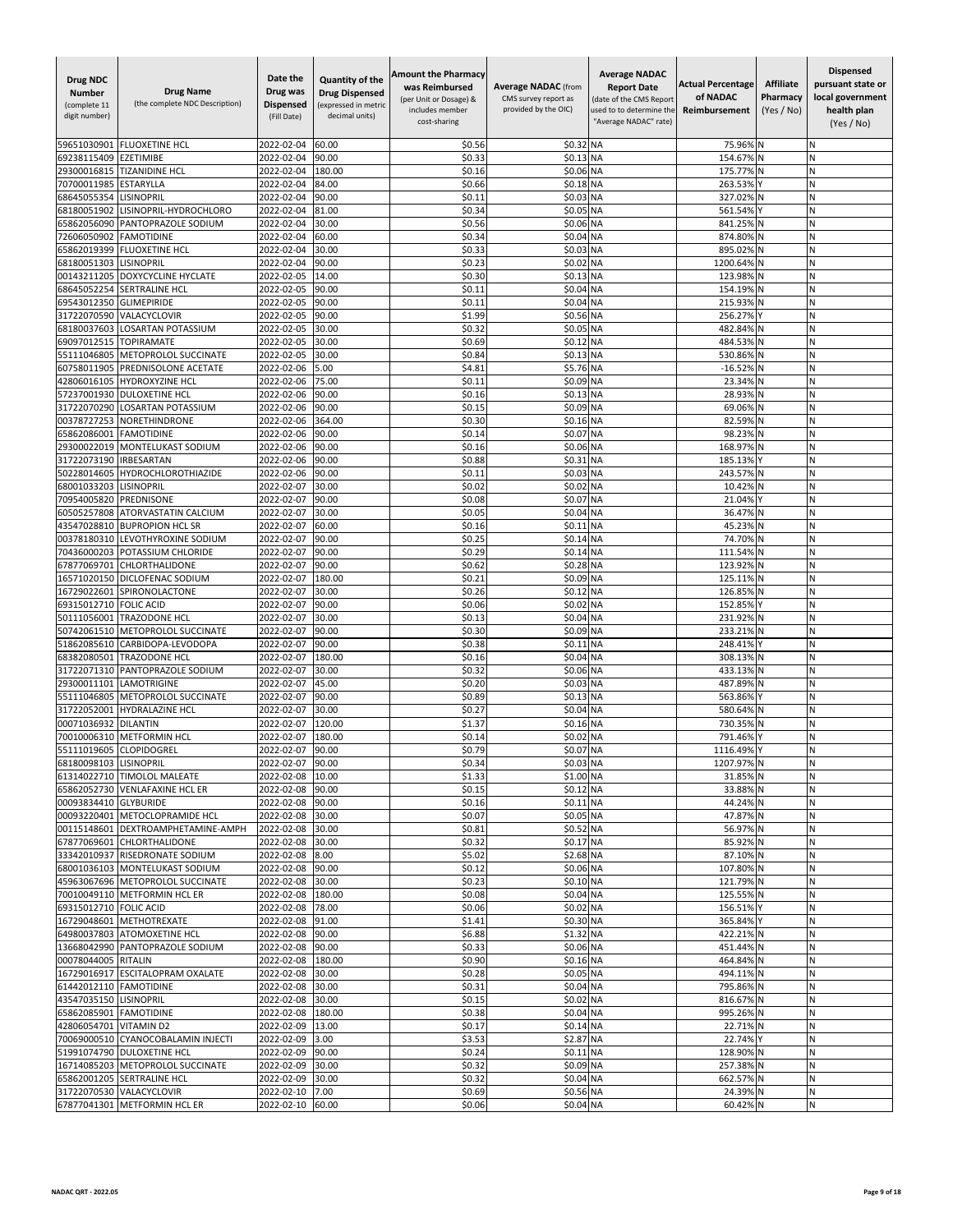| Drug NDC<br><b>Number</b><br>(complete 11<br>digit number) | <b>Drug Name</b><br>(the complete NDC Description)       | Date the<br>Drug was<br><b>Dispensed</b><br>(Fill Date) | Quantity of the<br><b>Drug Dispensed</b><br>(expressed in metric<br>decimal units) | <b>Amount the Pharmacy</b><br>was Reimbursed<br>(per Unit or Dosage) &<br>includes member<br>cost-sharing | <b>Average NADAC</b> (from<br>CMS survey report as<br>provided by the OIC) | <b>Average NADAC</b><br><b>Report Date</b><br>(date of the CMS Report<br>used to to determine the<br>"Average NADAC" rate) | <b>Actual Percentage</b><br>of NADAC<br>Reimbursement | <b>Affiliate</b><br>Pharmacy<br>(Yes / No) | <b>Dispensed</b><br>pursuant state or<br>local government<br>health plan<br>(Yes / No) |
|------------------------------------------------------------|----------------------------------------------------------|---------------------------------------------------------|------------------------------------------------------------------------------------|-----------------------------------------------------------------------------------------------------------|----------------------------------------------------------------------------|----------------------------------------------------------------------------------------------------------------------------|-------------------------------------------------------|--------------------------------------------|----------------------------------------------------------------------------------------|
| 59651030901                                                | <b>FLUOXETINE HCL</b>                                    | 2022-02-04                                              | 60.00                                                                              | \$0.56                                                                                                    | \$0.32 NA                                                                  |                                                                                                                            | 75.96%                                                |                                            | N                                                                                      |
| 69238115409                                                | <b>EZETIMIBE</b>                                         | 2022-02-04                                              | 90.00                                                                              | \$0.33                                                                                                    | \$0.13 NA                                                                  |                                                                                                                            | 154.67%                                               |                                            | N                                                                                      |
| 29300016815                                                | <b>TIZANIDINE HCL</b>                                    | 2022-02-04                                              | 180.00                                                                             | \$0.16                                                                                                    | \$0.06 NA                                                                  |                                                                                                                            | 175.77%                                               |                                            | Ν                                                                                      |
| 70700011985                                                | <b>ESTARYLLA</b>                                         | 2022-02-04                                              | 84.00                                                                              | \$0.66                                                                                                    | \$0.18 NA                                                                  |                                                                                                                            | 263.53%                                               |                                            | И                                                                                      |
| 68645055354<br>68180051902                                 | LISINOPRIL<br>LISINOPRIL-HYDROCHLORO                     | 2022-02-04<br>2022-02-04                                | 90.00<br>81.00                                                                     | \$0.11<br>\$0.34                                                                                          | \$0.03 NA<br>\$0.05                                                        | <b>NA</b>                                                                                                                  | 327.02%<br>561.54%                                    |                                            | N<br>N                                                                                 |
| 65862056090                                                | PANTOPRAZOLE SODIUM                                      | 2022-02-04                                              | 30.00                                                                              | \$0.56                                                                                                    | \$0.06                                                                     | <b>NA</b>                                                                                                                  | 841.25%                                               |                                            | Ń                                                                                      |
| 72606050902                                                | <b>FAMOTIDINE</b>                                        | 2022-02-04                                              | 60.00                                                                              | \$0.34                                                                                                    | \$0.04                                                                     | <b>NA</b>                                                                                                                  | 874.80%                                               | N                                          | Ν                                                                                      |
| 65862019399                                                | <b>FLUOXETINE HCL</b>                                    | 2022-02-04                                              | 30.00                                                                              | \$0.33                                                                                                    | \$0.03                                                                     | <b>NA</b>                                                                                                                  | 895.02%                                               |                                            | N                                                                                      |
| 68180051303                                                | <b>LISINOPRIL</b>                                        | 2022-02-04                                              | 90.00                                                                              | \$0.23                                                                                                    | \$0.02 NA                                                                  |                                                                                                                            | 1200.64%                                              |                                            | Ν<br>N                                                                                 |
| 00143211205<br>68645052254                                 | DOXYCYCLINE HYCLATE<br>SERTRALINE HCL                    | 2022-02-05<br>2022-02-05                                | 14.00<br>90.00                                                                     | \$0.30<br>\$0.11                                                                                          | \$0.13<br>\$0.04                                                           | <b>NA</b><br><b>NA</b>                                                                                                     | 123.98%<br>154.19%                                    |                                            | Ń                                                                                      |
| 69543012350                                                | <b>GLIMEPIRIDE</b>                                       | 2022-02-05                                              | 90.00                                                                              | \$0.11                                                                                                    | \$0.04 NA                                                                  |                                                                                                                            | 215.93%                                               | N                                          | Ν                                                                                      |
| 31722070590                                                | VALACYCLOVIR                                             | 2022-02-05                                              | 90.00                                                                              | \$1.99                                                                                                    | \$0.56 NA                                                                  |                                                                                                                            | 256.27%                                               |                                            | Ν                                                                                      |
| 68180037603                                                | LOSARTAN POTASSIUM                                       | 2022-02-05                                              | 30.00                                                                              | \$0.32                                                                                                    | \$0.05                                                                     | <b>NA</b>                                                                                                                  | 482.84%                                               |                                            | Ν                                                                                      |
| 69097012515                                                | <b>TOPIRAMATE</b>                                        | 2022-02-05                                              | 30.00                                                                              | \$0.69                                                                                                    | \$0.12                                                                     | <b>NA</b>                                                                                                                  | 484.53%                                               |                                            | N                                                                                      |
| 55111046805<br>60758011905                                 | METOPROLOL SUCCINATE<br>PREDNISOLONE ACETATE             | 2022-02-05<br>2022-02-06                                | 30.00<br>5.00                                                                      | \$0.84<br>\$4.81                                                                                          | \$0.13 NA<br>\$5.76                                                        | <b>NA</b>                                                                                                                  | 530.86%<br>$-16.529$                                  |                                            | N<br>Ń                                                                                 |
| 42806016105                                                | <b>HYDROXYZINE HCL</b>                                   | 2022-02-06                                              | 75.00                                                                              | \$0.11                                                                                                    | \$0.09 NA                                                                  |                                                                                                                            | 23.34%                                                |                                            | N                                                                                      |
| 57237001930                                                | <b>DULOXETINE HCL</b>                                    | 2022-02-06                                              | 90.00                                                                              | \$0.16                                                                                                    | \$0.13 NA                                                                  |                                                                                                                            | 28.93%                                                | <b>N</b>                                   | N                                                                                      |
| 31722070290                                                | LOSARTAN POTASSIUM                                       | 2022-02-06                                              | 90.00                                                                              | \$0.15                                                                                                    | \$0.09 NA                                                                  |                                                                                                                            | 69.06%                                                | N                                          | И                                                                                      |
| 00378727253                                                | NORETHINDRONE                                            | 2022-02-06                                              | 364.00                                                                             | \$0.30                                                                                                    | \$0.16 NA                                                                  |                                                                                                                            | 82.59%                                                |                                            | N                                                                                      |
| 65862086001<br>29300022019                                 | <b>FAMOTIDINE</b><br>MONTELUKAST SODIUM                  | 2022-02-06<br>2022-02-06                                | 90.00<br>90.00                                                                     | \$0.14<br>\$0.16                                                                                          | \$0.07<br>\$0.06 NA                                                        | <b>NA</b>                                                                                                                  | 98.23%<br>168.97%                                     |                                            | Ń<br>N                                                                                 |
| 31722073190                                                | <b>IRBESARTAN</b>                                        | 2022-02-06                                              | 90.00                                                                              | \$0.88                                                                                                    | \$0.31                                                                     | <b>NA</b>                                                                                                                  | 185.13%                                               |                                            | И                                                                                      |
| 50228014605                                                | HYDROCHLOROTHIAZIDE                                      | 2022-02-06                                              | 90.00                                                                              | \$0.1                                                                                                     | \$0.03                                                                     | <b>NA</b>                                                                                                                  | 243.57%                                               |                                            | Ν                                                                                      |
| 68001033203                                                | <b>LISINOPRIL</b>                                        | 2022-02-07                                              | 30.00                                                                              | \$0.02                                                                                                    | \$0.02 NA                                                                  |                                                                                                                            | 10.42%                                                | N                                          | N                                                                                      |
| 70954005820                                                | PREDNISONE                                               | 2022-02-07                                              | 90.00                                                                              | \$0.08                                                                                                    | \$0.07                                                                     | <b>NA</b>                                                                                                                  | 21.04%                                                |                                            | N                                                                                      |
| 60505257808                                                | ATORVASTATIN CALCIUM                                     | 2022-02-07                                              | 30.00                                                                              | \$0.05                                                                                                    | \$0.04                                                                     | <b>NA</b>                                                                                                                  | 36.47%                                                |                                            | N<br>N                                                                                 |
| 43547028810<br>00378180310                                 | <b>BUPROPION HCL SR</b><br>LEVOTHYROXINE SODIUM          | 2022-02-07<br>2022-02-07                                | 60.00<br>90.00                                                                     | \$0.16<br>\$0.25                                                                                          | \$0.11<br>\$0.14                                                           | <b>NA</b><br><b>NA</b>                                                                                                     | 45.23%<br>74.70%                                      |                                            | И                                                                                      |
| 70436000203                                                | POTASSIUM CHLORIDE                                       | 2022-02-07                                              | 90.00                                                                              | \$0.29                                                                                                    | \$0.14 NA                                                                  |                                                                                                                            | 111.54%                                               |                                            | N                                                                                      |
| 67877069701                                                | CHLORTHALIDONE                                           | 2022-02-07                                              | 90.00                                                                              | \$0.62                                                                                                    | \$0.28 NA                                                                  |                                                                                                                            | 123.92%                                               |                                            | N                                                                                      |
| 16571020150                                                | DICLOFENAC SODIUM                                        | 2022-02-07                                              | 180.00                                                                             | \$0.21                                                                                                    | \$0.09                                                                     | <b>NA</b>                                                                                                                  | 125.11%                                               |                                            | Ń                                                                                      |
| 16729022601                                                | SPIRONOLACTONE<br><b>FOLIC ACID</b>                      | 2022-02-07                                              | 30.00                                                                              | \$0.26                                                                                                    | \$0.12                                                                     | <b>NA</b>                                                                                                                  | 126.85%                                               |                                            | N                                                                                      |
| 69315012710<br>50111056001                                 | TRAZODONE HCL                                            | 2022-02-07<br>2022-02-07                                | 90.00<br>30.00                                                                     | \$0.06<br>\$0.13                                                                                          | \$0.02<br>\$0.04 NA                                                        | <b>NA</b>                                                                                                                  | 152.85%<br>231.92%                                    | IN                                         | И<br>N                                                                                 |
| 50742061510                                                | METOPROLOL SUCCINATE                                     | 2022-02-07                                              | 90.00                                                                              | \$0.30                                                                                                    | \$0.09 NA                                                                  |                                                                                                                            | 233.21%                                               | IN                                         | Ν                                                                                      |
| 51862085610                                                | CARBIDOPA-LEVODOPA                                       | 2022-02-07                                              | 90.00                                                                              | \$0.38                                                                                                    | \$0.11 NA                                                                  |                                                                                                                            | 248.41%                                               |                                            | N                                                                                      |
| 68382080501                                                | TRAZODONE HCL                                            | 2022-02-07                                              | 180.00                                                                             | \$0.16                                                                                                    | \$0.04 NA                                                                  |                                                                                                                            | 308.13%                                               |                                            | Ń                                                                                      |
| 31722071310                                                | PANTOPRAZOLE SODIUM                                      | 2022-02-07                                              | 30.00                                                                              | \$0.32                                                                                                    | \$0.06 NA                                                                  |                                                                                                                            | 433.13%                                               | N                                          | Ν                                                                                      |
| 29300011101<br>55111046805                                 | LAMOTRIGINE<br>METOPROLOL SUCCINATE                      | 2022-02-07<br>2022-02-07                                | 45.00<br>90.00                                                                     | \$0.20<br>\$0.89                                                                                          | \$0.03 NA<br>\$0.13                                                        | <b>NA</b>                                                                                                                  | 487.89%<br>563.86%                                    |                                            | Ν<br>И                                                                                 |
| 31722052001                                                | HYDRALAZINE HCL                                          | 2022-02-07                                              | 30.00                                                                              | \$0.27                                                                                                    | \$0.04 NA                                                                  |                                                                                                                            | 580.64%                                               | N                                          | N                                                                                      |
| 00071036932                                                | <b>DILANTIN</b>                                          | 2022-02-07                                              | 120.00                                                                             | \$1.37                                                                                                    | \$0.16                                                                     | <b>NA</b>                                                                                                                  | 730.35%                                               |                                            | N                                                                                      |
| 70010006310                                                | <b>METFORMIN HCL</b>                                     | 2022-02-07                                              | 180.00                                                                             | \$0.14                                                                                                    | \$0.02                                                                     | <b>NA</b>                                                                                                                  | 791.46%                                               |                                            | Ń                                                                                      |
| 55111019605                                                | CLOPIDOGREL                                              | 2022-02-07                                              | 90.00                                                                              | \$0.79                                                                                                    | \$0.07 NA                                                                  |                                                                                                                            | 1116.49% Y                                            |                                            | N                                                                                      |
| 68180098103 LISINOPRIL                                     | 61314022710 TIMOLOL MALEATE                              | 2022-02-07 90.00<br>2022-02-08                          | 10.00                                                                              | \$0.34<br>\$1.33                                                                                          | \$0.03 NA<br>\$1.00 NA                                                     |                                                                                                                            | 1207.97% N<br>31.85% N                                |                                            | Ν<br>Ν                                                                                 |
|                                                            | 65862052730 VENLAFAXINE HCL ER                           | 2022-02-08 90.00                                        |                                                                                    | \$0.15                                                                                                    | \$0.12 NA                                                                  |                                                                                                                            | 33.88% N                                              |                                            | И                                                                                      |
| 00093834410 GLYBURIDE                                      |                                                          | 2022-02-08                                              | 90.00                                                                              | \$0.16                                                                                                    | \$0.11 NA                                                                  |                                                                                                                            | 44.24% N                                              |                                            | И                                                                                      |
|                                                            | 00093220401 METOCLOPRAMIDE HCL                           | 2022-02-08                                              | 30.00                                                                              | \$0.07                                                                                                    | \$0.05 NA                                                                  |                                                                                                                            | 47.87% N                                              |                                            | N                                                                                      |
| 00115148601                                                | DEXTROAMPHETAMINE-AMPH                                   | 2022-02-08                                              | 30.00                                                                              | \$0.81                                                                                                    | \$0.52 NA                                                                  |                                                                                                                            | 56.97% N                                              |                                            | Ν                                                                                      |
| 67877069601<br>33342010937                                 | CHLORTHALIDONE<br>RISEDRONATE SODIUM                     | 2022-02-08<br>2022-02-08 8.00                           | 30.00                                                                              | \$0.32<br>\$5.02                                                                                          | \$0.17 NA<br>\$2.68 NA                                                     |                                                                                                                            | 85.92% N<br>87.10% N                                  |                                            | Ν<br>N                                                                                 |
|                                                            | 68001036103 MONTELUKAST SODIUM                           | 2022-02-08                                              | 90.00                                                                              | \$0.12                                                                                                    | \$0.06 NA                                                                  |                                                                                                                            | 107.80% N                                             |                                            | И                                                                                      |
|                                                            | 45963067696 METOPROLOL SUCCINATE                         | 2022-02-08                                              | 30.00                                                                              | \$0.23                                                                                                    | \$0.10 NA                                                                  |                                                                                                                            | 121.79% N                                             |                                            | Ν                                                                                      |
|                                                            | 70010049110 METFORMIN HCL ER                             | 2022-02-08                                              | 180.00                                                                             | \$0.08                                                                                                    | \$0.04 NA                                                                  |                                                                                                                            | 125.55% N                                             |                                            | Ν                                                                                      |
| 69315012710 FOLIC ACID                                     |                                                          | 2022-02-08                                              | 78.00                                                                              | \$0.06                                                                                                    | \$0.02 NA                                                                  |                                                                                                                            | 156.51% Y                                             |                                            | N                                                                                      |
|                                                            | 16729048601 METHOTREXATE<br>64980037803 ATOMOXETINE HCL  | 2022-02-08 91.00<br>2022-02-08                          | 90.00                                                                              | \$1.41<br>\$6.88                                                                                          | \$0.30 NA<br>\$1.32 NA                                                     |                                                                                                                            | 365.84% Y<br>422.21% N                                |                                            | Ν<br>Ν                                                                                 |
|                                                            | 13668042990 PANTOPRAZOLE SODIUM                          | 2022-02-08                                              | 90.00                                                                              | \$0.33                                                                                                    | \$0.06 NA                                                                  |                                                                                                                            | 451.44% N                                             |                                            | И                                                                                      |
| 00078044005 RITALIN                                        |                                                          | 2022-02-08                                              | 180.00                                                                             | \$0.90                                                                                                    | \$0.16 NA                                                                  |                                                                                                                            | 464.84% N                                             |                                            | N                                                                                      |
| 16729016917                                                | <b>ESCITALOPRAM OXALATE</b>                              | 2022-02-08                                              | 30.00                                                                              | \$0.28                                                                                                    | \$0.05 NA                                                                  |                                                                                                                            | 494.11% N                                             |                                            | Ν                                                                                      |
| 61442012110 FAMOTIDINE                                     |                                                          | 2022-02-08                                              | 30.00                                                                              | \$0.31                                                                                                    | \$0.04 NA                                                                  |                                                                                                                            | 795.86% N                                             |                                            | Ν                                                                                      |
| 43547035150 LISINOPRIL                                     |                                                          | 2022-02-08                                              | 30.00                                                                              | \$0.15                                                                                                    | \$0.02 NA                                                                  |                                                                                                                            | 816.67% N                                             |                                            | N                                                                                      |
| 65862085901 FAMOTIDINE<br>42806054701 VITAMIN D2           |                                                          | 2022-02-08<br>2022-02-09                                | 180.00<br>13.00                                                                    | \$0.38<br>\$0.17                                                                                          | \$0.04 NA<br>\$0.14 NA                                                     |                                                                                                                            | 995.26% N<br>22.71% N                                 |                                            | Ν<br>N                                                                                 |
|                                                            | 70069000510 CYANOCOBALAMIN INJECTI                       | 2022-02-09                                              | 3.00                                                                               | \$3.53                                                                                                    | \$2.87 NA                                                                  |                                                                                                                            | 22.74% Y                                              |                                            | Ν                                                                                      |
|                                                            | 51991074790 DULOXETINE HCL                               | 2022-02-09                                              | 90.00                                                                              | \$0.24                                                                                                    | \$0.11 NA                                                                  |                                                                                                                            | 128.90% N                                             |                                            | N                                                                                      |
|                                                            | 16714085203 METOPROLOL SUCCINATE                         | 2022-02-09                                              | 30.00                                                                              | \$0.32                                                                                                    | \$0.09 NA                                                                  |                                                                                                                            | 257.38% N                                             |                                            | И                                                                                      |
|                                                            | 65862001205 SERTRALINE HCL                               | 2022-02-09                                              | 30.00                                                                              | \$0.32                                                                                                    | \$0.04 NA                                                                  |                                                                                                                            | 662.57% N                                             |                                            | Ν                                                                                      |
|                                                            | 31722070530 VALACYCLOVIR<br>67877041301 METFORMIN HCL ER | 2022-02-10<br>2022-02-10 60.00                          | 7.00                                                                               | \$0.69<br>\$0.06                                                                                          | \$0.56 NA<br>\$0.04 NA                                                     |                                                                                                                            | 24.39% N<br>60.42% N                                  |                                            | N<br>Ν                                                                                 |
|                                                            |                                                          |                                                         |                                                                                    |                                                                                                           |                                                                            |                                                                                                                            |                                                       |                                            |                                                                                        |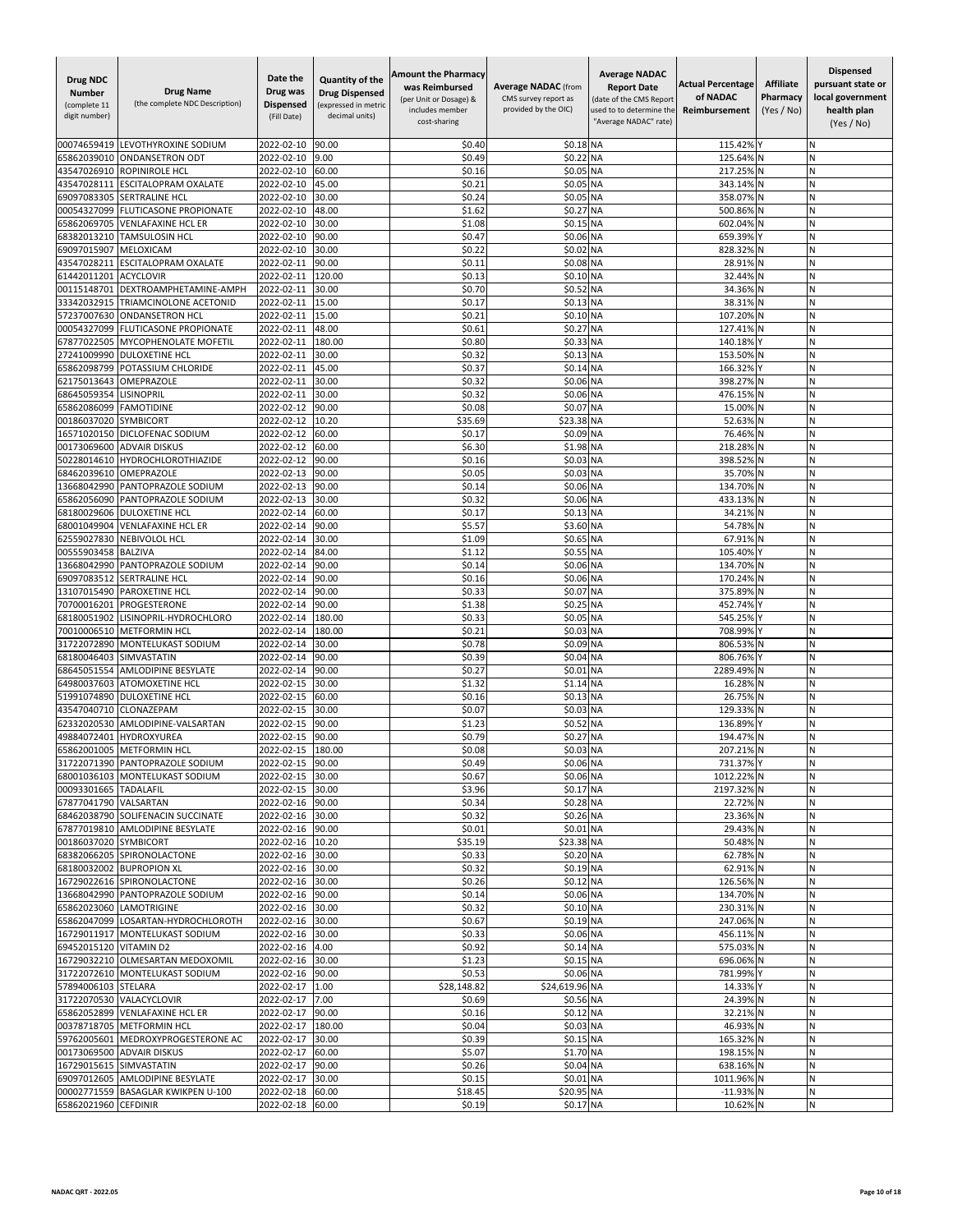| LEVOTHYROXINE SODIUM<br>2022-02-10<br>90.00<br>\$0.40<br>\$0.18 NA<br>00074659419<br>65862039010<br><b>ONDANSETRON ODT</b><br>2022-02-10<br>9.00<br>\$0.49<br>\$0.22<br><b>NA</b><br>2022-02-10<br>\$0.16<br>\$0.05 NA<br>43547026910<br>ROPINIROLE HCL<br>60.00<br>\$0.21<br>2022-02-10<br>45.00<br>\$0.05<br><b>NA</b><br>43547028111<br><b>ESCITALOPRAM OXALATE</b><br>69097083305<br><b>SERTRALINE HCL</b><br>2022-02-10<br>30.00<br>\$0.24<br>\$0.05 NA<br>\$1.62<br>00054327099<br><b>FLUTICASONE PROPIONATE</b><br>2022-02-10<br>48.00<br>\$0.27<br><b>NA</b><br>30.00<br>\$1.08<br>\$0.15<br><b>NA</b><br>65862069705<br><b>VENLAFAXINE HCL ER</b><br>2022-02-10 | 115.42%<br>125.64%<br>217.25%<br>343.14%<br>N<br>358.07%<br>N<br>500.86%<br>602.04%<br>659.39%<br>828.32%<br>28.91%<br>32.44%<br>34.36%<br>38.31%<br>107.20%<br>127.41%<br>140.18% | N<br>N<br>И<br>Ν<br>N<br>N<br>N<br>И<br>N<br>N<br>N<br>Ń<br>N<br>И |
|--------------------------------------------------------------------------------------------------------------------------------------------------------------------------------------------------------------------------------------------------------------------------------------------------------------------------------------------------------------------------------------------------------------------------------------------------------------------------------------------------------------------------------------------------------------------------------------------------------------------------------------------------------------------------|------------------------------------------------------------------------------------------------------------------------------------------------------------------------------------|--------------------------------------------------------------------|
|                                                                                                                                                                                                                                                                                                                                                                                                                                                                                                                                                                                                                                                                          |                                                                                                                                                                                    |                                                                    |
|                                                                                                                                                                                                                                                                                                                                                                                                                                                                                                                                                                                                                                                                          |                                                                                                                                                                                    |                                                                    |
|                                                                                                                                                                                                                                                                                                                                                                                                                                                                                                                                                                                                                                                                          |                                                                                                                                                                                    |                                                                    |
|                                                                                                                                                                                                                                                                                                                                                                                                                                                                                                                                                                                                                                                                          |                                                                                                                                                                                    |                                                                    |
|                                                                                                                                                                                                                                                                                                                                                                                                                                                                                                                                                                                                                                                                          |                                                                                                                                                                                    |                                                                    |
|                                                                                                                                                                                                                                                                                                                                                                                                                                                                                                                                                                                                                                                                          |                                                                                                                                                                                    |                                                                    |
| 2022-02-10<br>90.00<br>\$0.47<br>\$0.06 NA<br>68382013210<br><b>TAMSULOSIN HCL</b>                                                                                                                                                                                                                                                                                                                                                                                                                                                                                                                                                                                       |                                                                                                                                                                                    |                                                                    |
| \$0.22<br>30.00<br>\$0.02<br>69097015907<br>MELOXICAM<br>2022-02-10<br><b>NA</b>                                                                                                                                                                                                                                                                                                                                                                                                                                                                                                                                                                                         |                                                                                                                                                                                    |                                                                    |
| <b>ESCITALOPRAM OXALATE</b><br>90.00<br>\$0.11<br>\$0.08 NA<br>43547028211<br>2022-02-11                                                                                                                                                                                                                                                                                                                                                                                                                                                                                                                                                                                 |                                                                                                                                                                                    |                                                                    |
| <b>ACYCLOVIR</b><br>2022-02-11<br>120.00<br>\$0.13<br>\$0.10 NA<br>61442011201<br>\$0.70<br>00115148701<br>DEXTROAMPHETAMINE-AMPH<br>2022-02-11<br>30.00<br>\$0.52<br><b>NA</b>                                                                                                                                                                                                                                                                                                                                                                                                                                                                                          |                                                                                                                                                                                    |                                                                    |
| 33342032915<br>TRIAMCINOLONE ACETONID<br>2022-02-11<br>15.00<br>\$0.17<br>\$0.13 NA                                                                                                                                                                                                                                                                                                                                                                                                                                                                                                                                                                                      |                                                                                                                                                                                    |                                                                    |
| <b>ONDANSETRON HCL</b><br>2022-02-11<br>15.00<br>\$0.21<br>\$0.10 NA<br>57237007630                                                                                                                                                                                                                                                                                                                                                                                                                                                                                                                                                                                      |                                                                                                                                                                                    |                                                                    |
| \$0.61<br>\$0.27<br>00054327099<br>FLUTICASONE PROPIONATE<br>2022-02-11<br>48.00<br><b>NA</b>                                                                                                                                                                                                                                                                                                                                                                                                                                                                                                                                                                            |                                                                                                                                                                                    | N                                                                  |
| 67877022505<br>MYCOPHENOLATE MOFETIL<br>2022-02-11<br>180.00<br>\$0.80<br>\$0.33<br><b>NA</b>                                                                                                                                                                                                                                                                                                                                                                                                                                                                                                                                                                            |                                                                                                                                                                                    | N                                                                  |
| 30.00<br>\$0.32<br>\$0.13 NA<br>27241009990<br><b>DULOXETINE HCL</b><br>2022-02-11<br>45.00<br>\$0.37<br>\$0.14<br><b>NA</b><br>65862098799<br>POTASSIUM CHLORIDE<br>2022-02-11                                                                                                                                                                                                                                                                                                                                                                                                                                                                                          | 153.50%<br>166.32%                                                                                                                                                                 | N<br>N                                                             |
| 62175013643<br>OMEPRAZOLE<br>2022-02-11<br>30.00<br>\$0.32<br>\$0.06 NA                                                                                                                                                                                                                                                                                                                                                                                                                                                                                                                                                                                                  | 398.27%                                                                                                                                                                            | N                                                                  |
| 30.00<br>\$0.32<br>\$0.06 NA<br>68645059354<br><b>LISINOPRIL</b><br>2022-02-11                                                                                                                                                                                                                                                                                                                                                                                                                                                                                                                                                                                           | 476.15%                                                                                                                                                                            | N                                                                  |
| \$0.08<br>\$0.07<br>65862086099<br><b>FAMOTIDINE</b><br>2022-02-12<br>90.00<br><b>NA</b>                                                                                                                                                                                                                                                                                                                                                                                                                                                                                                                                                                                 | 15.00%<br>N                                                                                                                                                                        | И                                                                  |
| \$23.38 NA<br>00186037020<br><b>SYMBICORT</b><br>2022-02-12<br>10.20<br>\$35.69                                                                                                                                                                                                                                                                                                                                                                                                                                                                                                                                                                                          | 52.63% N                                                                                                                                                                           | N                                                                  |
| 60.00<br>\$0.17<br>\$0.09 NA<br>DICLOFENAC SODIUM<br>2022-02-12<br>16571020150                                                                                                                                                                                                                                                                                                                                                                                                                                                                                                                                                                                           | 76.46%                                                                                                                                                                             | Ń                                                                  |
| 00173069600<br>2022-02-12<br>60.00<br>\$6.30<br>\$1.98<br><b>NA</b><br><b>ADVAIR DISKUS</b><br>2022-02-12<br>\$0.16<br>\$0.03 NA<br>50228014610<br><b>HYDROCHLOROTHIAZIDE</b><br>90.00                                                                                                                                                                                                                                                                                                                                                                                                                                                                                   | 218.28%<br>398.52%                                                                                                                                                                 | Ń<br>Ν                                                             |
| \$0.05<br>90.00<br>\$0.03 NA<br>68462039610<br>OMEPRAZOLE<br>2022-02-13                                                                                                                                                                                                                                                                                                                                                                                                                                                                                                                                                                                                  | 35.70% N                                                                                                                                                                           | N                                                                  |
| 13668042990<br>PANTOPRAZOLE SODIUM<br>2022-02-13<br>90.00<br>\$0.14<br>\$0.06 NA                                                                                                                                                                                                                                                                                                                                                                                                                                                                                                                                                                                         | 134.70%<br>N                                                                                                                                                                       | N                                                                  |
| PANTOPRAZOLE SODIUM<br>2022-02-13<br>\$0.32<br>\$0.06 NA<br>65862056090<br>30.00                                                                                                                                                                                                                                                                                                                                                                                                                                                                                                                                                                                         | 433.13%                                                                                                                                                                            | Ν                                                                  |
| \$0.17<br>\$0.13 NA<br>68180029606<br><b>DULOXETINE HCL</b><br>2022-02-14<br>60.00                                                                                                                                                                                                                                                                                                                                                                                                                                                                                                                                                                                       | 34.21%                                                                                                                                                                             | N                                                                  |
| 68001049904<br><b>VENLAFAXINE HCL ER</b><br>2022-02-14<br>90.00<br>\$5.57<br>\$3.60 NA                                                                                                                                                                                                                                                                                                                                                                                                                                                                                                                                                                                   | 54.78%<br>N                                                                                                                                                                        | N                                                                  |
| 30.00<br>\$1.09<br>\$0.65<br>62559027830<br><b>NEBIVOLOL HCL</b><br>2022-02-14<br><b>NA</b><br>\$1.12<br>2022-02-14<br>84.00<br>\$0.55 NA<br>00555903458<br><b>BALZIVA</b>                                                                                                                                                                                                                                                                                                                                                                                                                                                                                               | 67.91%<br>105.40%                                                                                                                                                                  | И<br>N                                                             |
| PANTOPRAZOLE SODIUM<br>2022-02-14<br>90.00<br>\$0.14<br>\$0.06 NA<br>13668042990                                                                                                                                                                                                                                                                                                                                                                                                                                                                                                                                                                                         | 134.70%                                                                                                                                                                            | N                                                                  |
| \$0.16<br>69097083512<br>2022-02-14<br>90.00<br>\$0.06 NA<br><b>SERTRALINE HCL</b>                                                                                                                                                                                                                                                                                                                                                                                                                                                                                                                                                                                       | 170.24%                                                                                                                                                                            | Ń                                                                  |
| 13107015490<br><b>PAROXETINE HCL</b><br>2022-02-14<br>90.00<br>\$0.33<br>\$0.07<br><b>NA</b>                                                                                                                                                                                                                                                                                                                                                                                                                                                                                                                                                                             | 375.89%                                                                                                                                                                            | N                                                                  |
| PROGESTERONE<br>2022-02-14<br>90.00<br>\$1.38<br>\$0.25 NA<br>70700016201                                                                                                                                                                                                                                                                                                                                                                                                                                                                                                                                                                                                | 452.74%                                                                                                                                                                            | И                                                                  |
| 180.00<br>\$0.33<br>\$0.05 NA<br>68180051902<br>LISINOPRIL-HYDROCHLORO<br>2022-02-14<br>70010006510<br>2022-02-14<br>180.00<br>\$0.21<br>\$0.03<br><b>NA</b><br><b>METFORMIN HCL</b>                                                                                                                                                                                                                                                                                                                                                                                                                                                                                     | 545.25%<br>708.99%                                                                                                                                                                 | N<br>N                                                             |
| 2022-02-14<br>30.00<br>\$0.78<br>\$0.09 NA<br>31722072890<br>MONTELUKAST SODIUM                                                                                                                                                                                                                                                                                                                                                                                                                                                                                                                                                                                          | 806.53%                                                                                                                                                                            | N                                                                  |
| \$0.39<br>90.00<br>\$0.04<br><b>NA</b><br>68180046403<br>SIMVASTATIN<br>2022-02-14                                                                                                                                                                                                                                                                                                                                                                                                                                                                                                                                                                                       | 806.76%                                                                                                                                                                            | Ń                                                                  |
| 68645051554<br><b>AMLODIPINE BESYLATE</b><br>2022-02-14<br>90.00<br>\$0.27<br>\$0.01<br><b>NA</b>                                                                                                                                                                                                                                                                                                                                                                                                                                                                                                                                                                        | 2289.49%<br>N                                                                                                                                                                      | N                                                                  |
| \$1.32<br>64980037603<br><b>ATOMOXETINE HCL</b><br>2022-02-15<br>30.00<br>\$1.14 NA                                                                                                                                                                                                                                                                                                                                                                                                                                                                                                                                                                                      | 16.28%                                                                                                                                                                             | И                                                                  |
| \$0.16<br>\$0.13<br>51991074890<br><b>DULOXETINE HCL</b><br>2022-02-15<br>60.00<br><b>NA</b>                                                                                                                                                                                                                                                                                                                                                                                                                                                                                                                                                                             | 26.75%                                                                                                                                                                             | И                                                                  |
| 43547040710<br>2022-02-15<br>30.00<br>\$0.07<br>\$0.03 NA<br>CLONAZEPAM<br>\$1.23<br>AMLODIPINE-VALSARTAN<br>90.00<br>\$0.5<br><b>NA</b><br>62332020530<br>2022-02-15                                                                                                                                                                                                                                                                                                                                                                                                                                                                                                    | 129.33%<br>136.89%                                                                                                                                                                 | N<br>N                                                             |
| 90.00<br>\$0.79<br><b>NA</b><br>49884072401<br><b>HYDROXYUREA</b><br>2022-02-15<br>\$0.27                                                                                                                                                                                                                                                                                                                                                                                                                                                                                                                                                                                | 194.47%                                                                                                                                                                            | N                                                                  |
| 65862001005 METFORMIN HCL<br>2022-02-15<br>180.00<br>\$0.08<br>\$0.03 NA                                                                                                                                                                                                                                                                                                                                                                                                                                                                                                                                                                                                 | 207.21% N                                                                                                                                                                          | N                                                                  |
| 31722071390 PANTOPRAZOLE SODIUM<br>2022-02-15 90.00<br>\$0.49<br>\$0.06 NA                                                                                                                                                                                                                                                                                                                                                                                                                                                                                                                                                                                               | 731.37% Y                                                                                                                                                                          | N                                                                  |
| \$0.67<br>68001036103 MONTELUKAST SODIUM<br>2022-02-15 30.00<br>\$0.06 NA                                                                                                                                                                                                                                                                                                                                                                                                                                                                                                                                                                                                | 1012.22% N                                                                                                                                                                         | Ν                                                                  |
| 00093301665 TADALAFIL<br>2022-02-15 30.00<br>\$3.96<br>\$0.17 NA<br>67877041790 VALSARTAN<br>2022-02-16 90.00<br>\$0.34<br>\$0.28 NA                                                                                                                                                                                                                                                                                                                                                                                                                                                                                                                                     | 2197.32% N<br>22.72% N                                                                                                                                                             | N<br>N                                                             |
| 68462038790 SOLIFENACIN SUCCINATE<br>2022-02-16<br>30.00<br>\$0.32<br>\$0.26 NA                                                                                                                                                                                                                                                                                                                                                                                                                                                                                                                                                                                          | 23.36% N                                                                                                                                                                           | N                                                                  |
| 67877019810 AMLODIPINE BESYLATE<br>2022-02-16<br>90.00<br>\$0.01<br>\$0.01 NA                                                                                                                                                                                                                                                                                                                                                                                                                                                                                                                                                                                            | 29.43% N                                                                                                                                                                           | Ν                                                                  |
| 00186037020 SYMBICORT<br>2022-02-16<br>\$35.19<br>\$23.38 NA<br>10.20                                                                                                                                                                                                                                                                                                                                                                                                                                                                                                                                                                                                    | 50.48% N                                                                                                                                                                           | И                                                                  |
| 68382066205 SPIRONOLACTONE<br>2022-02-16<br>30.00<br>\$0.33<br>\$0.20 NA                                                                                                                                                                                                                                                                                                                                                                                                                                                                                                                                                                                                 | 62.78% N                                                                                                                                                                           | N                                                                  |
| \$0.32<br>\$0.19 NA<br>68180032002 BUPROPION XL<br>2022-02-16 30.00<br>\$0.12 NA                                                                                                                                                                                                                                                                                                                                                                                                                                                                                                                                                                                         | 62.91% N                                                                                                                                                                           | И                                                                  |
| 16729022616 SPIRONOLACTONE<br>2022-02-16<br>30.00<br>\$0.26<br>13668042990 PANTOPRAZOLE SODIUM<br>2022-02-16 90.00<br>\$0.14<br>\$0.06 NA                                                                                                                                                                                                                                                                                                                                                                                                                                                                                                                                | 126.56% N<br>134.70% N                                                                                                                                                             | N<br>Ν                                                             |
| \$0.32<br>\$0.10 NA<br>65862023060 LAMOTRIGINE<br>2022-02-16<br>30.00                                                                                                                                                                                                                                                                                                                                                                                                                                                                                                                                                                                                    | 230.31% N                                                                                                                                                                          | Ν                                                                  |
| 65862047099 LOSARTAN-HYDROCHLOROTH<br>2022-02-16 30.00<br>\$0.67<br>\$0.19 NA                                                                                                                                                                                                                                                                                                                                                                                                                                                                                                                                                                                            | 247.06% N                                                                                                                                                                          | Ν                                                                  |
| 16729011917 MONTELUKAST SODIUM<br>2022-02-16 30.00<br>\$0.33<br>\$0.06 NA                                                                                                                                                                                                                                                                                                                                                                                                                                                                                                                                                                                                | 456.11% N                                                                                                                                                                          | Ν                                                                  |
| 69452015120 VITAMIN D2<br>\$0.92<br>\$0.14 NA<br>2022-02-16<br>4.00                                                                                                                                                                                                                                                                                                                                                                                                                                                                                                                                                                                                      | 575.03% N                                                                                                                                                                          | N                                                                  |
| 16729032210 OLMESARTAN MEDOXOMIL<br>2022-02-16<br>30.00<br>\$1.23<br>\$0.15 NA                                                                                                                                                                                                                                                                                                                                                                                                                                                                                                                                                                                           | 696.06% N                                                                                                                                                                          | N                                                                  |
| 31722072610 MONTELUKAST SODIUM<br>2022-02-16<br>\$0.53<br>\$0.06 NA<br>90.00<br>57894006103 STELARA<br>2022-02-17<br>\$28,148.82<br>\$24,619.96 NA<br>1.00                                                                                                                                                                                                                                                                                                                                                                                                                                                                                                               | 781.99% Y<br>14.33% Y                                                                                                                                                              | Ν<br>Ν                                                             |
| 31722070530 VALACYCLOVIR<br>2022-02-17<br>7.00<br>\$0.69<br>\$0.56 NA                                                                                                                                                                                                                                                                                                                                                                                                                                                                                                                                                                                                    | 24.39% N                                                                                                                                                                           | N                                                                  |
| 65862052899 VENLAFAXINE HCL ER<br>\$0.16<br>\$0.12 NA<br>2022-02-17 90.00                                                                                                                                                                                                                                                                                                                                                                                                                                                                                                                                                                                                | 32.21% N                                                                                                                                                                           | N                                                                  |
| 00378718705 METFORMIN HCL<br>2022-02-17<br>\$0.04<br>\$0.03 NA<br>180.00                                                                                                                                                                                                                                                                                                                                                                                                                                                                                                                                                                                                 | 46.93% N                                                                                                                                                                           | N                                                                  |
| 59762005601 MEDROXYPROGESTERONE AC<br>2022-02-17<br>30.00<br>\$0.39<br>\$0.15 NA                                                                                                                                                                                                                                                                                                                                                                                                                                                                                                                                                                                         | 165.32% N                                                                                                                                                                          | N                                                                  |
| 60.00<br>\$5.07<br>\$1.70 NA<br>00173069500 ADVAIR DISKUS<br>2022-02-17                                                                                                                                                                                                                                                                                                                                                                                                                                                                                                                                                                                                  | 198.15% N                                                                                                                                                                          | И                                                                  |
| \$0.04 NA<br>16729015615 SIMVASTATIN<br>2022-02-17<br>90.00<br>\$0.26<br>2022-02-17<br>\$0.15<br>\$0.01 NA<br>69097012605 AMLODIPINE BESYLATE<br>30.00                                                                                                                                                                                                                                                                                                                                                                                                                                                                                                                   | 638.16% N<br>1011.96% N                                                                                                                                                            | Ν<br>Ν                                                             |
| 00002771559 BASAGLAR KWIKPEN U-100<br>60.00<br>\$18.45<br>\$20.95 NA<br>2022-02-18                                                                                                                                                                                                                                                                                                                                                                                                                                                                                                                                                                                       | $-11.93%$ N                                                                                                                                                                        | N                                                                  |
| 65862021960 CEFDINIR<br>2022-02-18 60.00<br>\$0.19<br>\$0.17 NA                                                                                                                                                                                                                                                                                                                                                                                                                                                                                                                                                                                                          | 10.62% N                                                                                                                                                                           | N                                                                  |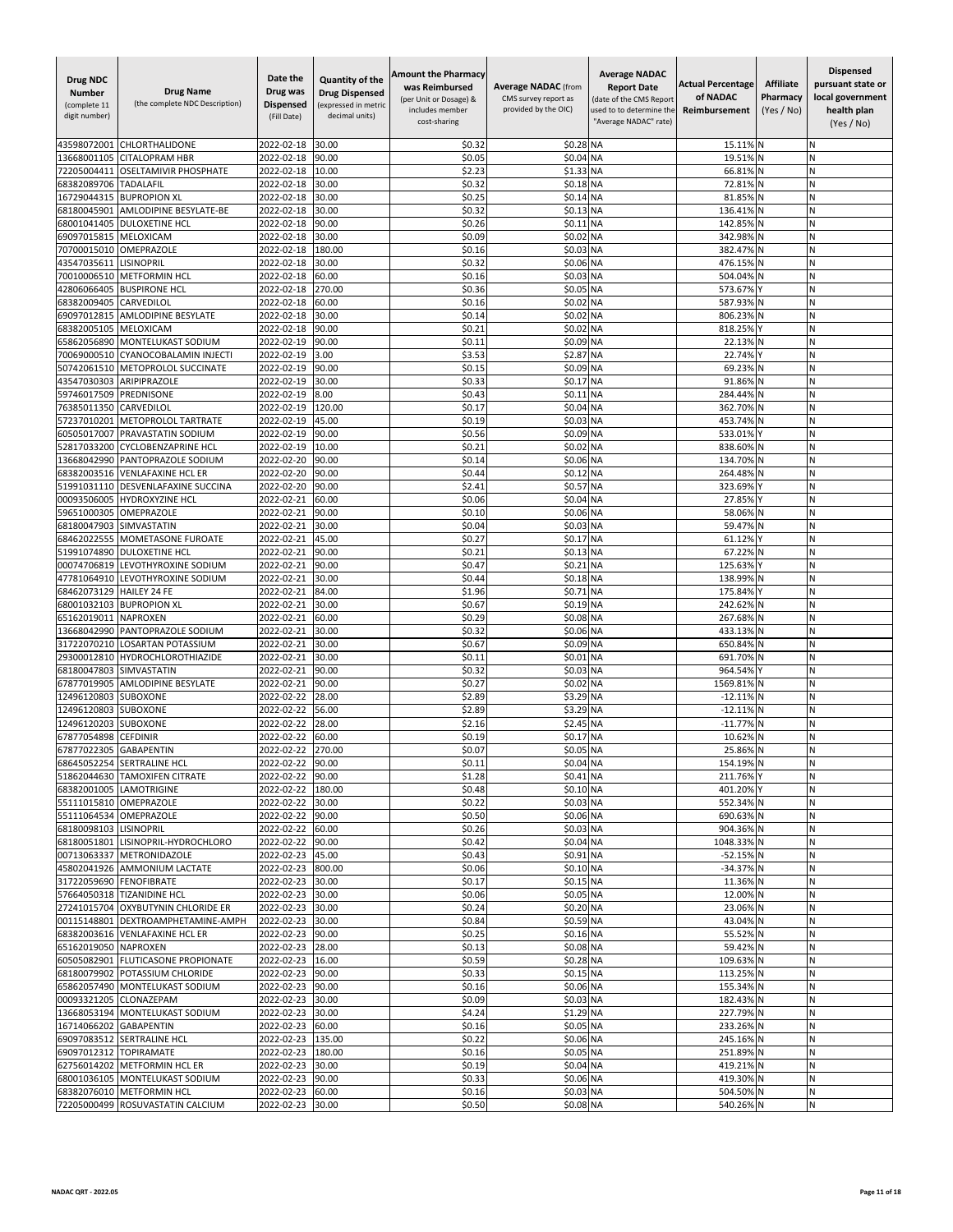| <b>Drug NDC</b><br><b>Number</b><br>(complete 11<br>digit number) | <b>Drug Name</b><br>(the complete NDC Description)               | Date the<br>Drug was<br><b>Dispensed</b><br>(Fill Date) | Quantity of the<br><b>Drug Dispensed</b><br>(expressed in metric<br>decimal units) | <b>Amount the Pharmacy</b><br>was Reimbursed<br>(per Unit or Dosage) &<br>includes member<br>cost-sharing | <b>Average NADAC</b> (from<br>CMS survey report as<br>provided by the OIC) | <b>Average NADAC</b><br><b>Report Date</b><br>(date of the CMS Report<br>used to to determine the<br>"Average NADAC" rate) | <b>Actual Percentage</b><br>of NADAC<br>Reimbursement | <b>Affiliate</b><br>Pharmacy<br>(Yes / No) | <b>Dispensed</b><br>pursuant state or<br>local government<br>health plan<br>(Yes / No) |
|-------------------------------------------------------------------|------------------------------------------------------------------|---------------------------------------------------------|------------------------------------------------------------------------------------|-----------------------------------------------------------------------------------------------------------|----------------------------------------------------------------------------|----------------------------------------------------------------------------------------------------------------------------|-------------------------------------------------------|--------------------------------------------|----------------------------------------------------------------------------------------|
| 43598072001                                                       | CHLORTHALIDONE                                                   | 2022-02-18                                              | 30.00                                                                              | \$0.32                                                                                                    | \$0.28 NA                                                                  |                                                                                                                            | 15.11% N                                              |                                            | N                                                                                      |
| 13668001105                                                       | <b>CITALOPRAM HBR</b>                                            | 2022-02-18                                              | 90.00                                                                              | \$0.05                                                                                                    | \$0.04 NA                                                                  |                                                                                                                            | 19.51%                                                |                                            | N                                                                                      |
| 72205004411                                                       | OSELTAMIVIR PHOSPHATE                                            | 2022-02-18                                              | 10.00                                                                              | \$2.23                                                                                                    | \$1.33                                                                     | <b>NA</b>                                                                                                                  | 66.81%                                                |                                            | И                                                                                      |
| 68382089706<br>16729044315                                        | TADALAFIL<br><b>BUPROPION XL</b>                                 | 2022-02-18<br>2022-02-18                                | 30.00<br>30.00                                                                     | \$0.32<br>\$0.25                                                                                          | \$0.18<br>\$0.14 NA                                                        | <b>NA</b>                                                                                                                  | 72.81%<br>81.85%                                      | N                                          | Ν<br>N                                                                                 |
| 68180045901                                                       | AMLODIPINE BESYLATE-BE                                           | 2022-02-18                                              | 30.00                                                                              | \$0.32                                                                                                    | \$0.13                                                                     | <b>NA</b>                                                                                                                  | 136.41%                                               |                                            | N                                                                                      |
| 68001041405                                                       | <b>DULOXETINE HCL</b>                                            | 2022-02-18                                              | 90.00                                                                              | \$0.26                                                                                                    | \$0.11                                                                     | <b>NA</b>                                                                                                                  | 142.85%                                               |                                            | Ń                                                                                      |
| 69097015815                                                       | MELOXICAM                                                        | 2022-02-18                                              | 30.00                                                                              | \$0.09                                                                                                    | \$0.02                                                                     | <b>NA</b>                                                                                                                  | 342.98%                                               | N                                          | Ν                                                                                      |
| 70700015010                                                       | OMEPRAZOLE                                                       | 2022-02-18                                              | 180.00                                                                             | \$0.16                                                                                                    | \$0.03                                                                     | <b>NA</b>                                                                                                                  | 382.47%<br>476.15%                                    |                                            | N                                                                                      |
| 43547035611<br>70010006510                                        | <b>LISINOPRIL</b><br><b>METFORMIN HCL</b>                        | 2022-02-18<br>2022-02-18                                | 30.00<br>60.00                                                                     | \$0.32<br>\$0.16                                                                                          | \$0.06 NA<br>\$0.03                                                        | <b>NA</b>                                                                                                                  | 504.04%                                               |                                            | Ν<br>N                                                                                 |
| 42806066405                                                       | <b>BUSPIRONE HCL</b>                                             | 2022-02-18                                              | 270.00                                                                             | \$0.36                                                                                                    | \$0.05                                                                     | <b>NA</b>                                                                                                                  | 573.67%                                               |                                            | Ń                                                                                      |
| 68382009405                                                       | CARVEDILOL                                                       | 2022-02-18                                              | 60.00                                                                              | \$0.16                                                                                                    | \$0.02                                                                     | <b>NA</b>                                                                                                                  | 587.93%                                               |                                            | N                                                                                      |
| 69097012815                                                       | AMLODIPINE BESYLATE                                              | 2022-02-18                                              | 30.00                                                                              | \$0.14                                                                                                    | \$0.02                                                                     | <b>NA</b>                                                                                                                  | 806.23%                                               | N                                          | И                                                                                      |
| 68382005105                                                       | MELOXICAM                                                        | 2022-02-18                                              | 90.00                                                                              | \$0.2                                                                                                     | \$0.02                                                                     | <b>NA</b>                                                                                                                  | 818.25%                                               |                                            | Ν                                                                                      |
| 65862056890<br>70069000510                                        | MONTELUKAST SODIUM<br>CYANOCOBALAMIN INJECTI                     | 2022-02-19<br>2022-02-19                                | 90.00<br>3.00                                                                      | \$0.11<br>\$3.53                                                                                          | \$0.09<br>\$2.87                                                           | <b>NA</b><br><b>NA</b>                                                                                                     | 22.13%<br>22.74%                                      | N                                          | Ν<br>N                                                                                 |
| 50742061510                                                       | METOPROLOL SUCCINATE                                             | 2022-02-19                                              | 90.00                                                                              | \$0.15                                                                                                    | \$0.09                                                                     | <b>NA</b>                                                                                                                  | 69.23%                                                |                                            | N                                                                                      |
| 43547030303                                                       | ARIPIPRAZOLE                                                     | 2022-02-19                                              | 30.00                                                                              | \$0.33                                                                                                    | \$0.17                                                                     | <b>NA</b>                                                                                                                  | 91.86%                                                |                                            | N                                                                                      |
| 59746017509                                                       | PREDNISONE                                                       | 2022-02-19                                              | 8.00                                                                               | \$0.43                                                                                                    | \$0.11                                                                     | <b>NA</b>                                                                                                                  | 284.44%                                               |                                            | N                                                                                      |
| 76385011350                                                       | CARVEDILOL                                                       | 2022-02-19                                              | 120.00                                                                             | \$0.17                                                                                                    | \$0.04                                                                     | <b>NA</b>                                                                                                                  | 362.70%                                               |                                            | Ν                                                                                      |
| 57237010201<br>60505017007                                        | METOPROLOL TARTRATE<br>PRAVASTATIN SODIUM                        | 2022-02-19<br>2022-02-19                                | 45.00<br>90.00                                                                     | \$0.19<br>\$0.56                                                                                          | \$0.03 NA<br>\$0.09                                                        | <b>NA</b>                                                                                                                  | 453.74%<br>533.01%                                    |                                            | N<br>N                                                                                 |
| 52817033200                                                       | <b>CYCLOBENZAPRINE HCL</b>                                       | 2022-02-19                                              | 10.00                                                                              | \$0.2                                                                                                     | \$0.02                                                                     | <b>NA</b>                                                                                                                  | 838.60%                                               |                                            | N                                                                                      |
| 13668042990                                                       | PANTOPRAZOLE SODIUM                                              | 2022-02-20                                              | 90.00                                                                              | \$0.14                                                                                                    | \$0.06 NA                                                                  |                                                                                                                            | 134.70%                                               |                                            | И                                                                                      |
| 68382003516                                                       | <b>VENLAFAXINE HCL ER</b>                                        | 2022-02-20                                              | 90.00                                                                              | \$0.44                                                                                                    | \$0.12                                                                     | <b>NA</b>                                                                                                                  | 264.489                                               |                                            | Ν                                                                                      |
| 51991031110                                                       | DESVENLAFAXINE SUCCINA                                           | 2022-02-20                                              | 90.00                                                                              | \$2.41                                                                                                    | \$0.57 NA                                                                  |                                                                                                                            | 323.69%                                               |                                            | Ν                                                                                      |
| 00093506005                                                       | HYDROXYZINE HCL                                                  | 2022-02-21                                              | 60.00                                                                              | \$0.06                                                                                                    | \$0.04                                                                     | <b>NA</b>                                                                                                                  | 27.85%                                                |                                            | Ν<br>N                                                                                 |
| 59651000305<br>68180047903                                        | OMEPRAZOLE<br>SIMVASTATIN                                        | 2022-02-21<br>2022-02-21                                | 90.00<br>30.00                                                                     | \$0.10<br>\$0.04                                                                                          | \$0.06<br>\$0.03                                                           | <b>NA</b><br><b>NA</b>                                                                                                     | 58.06%<br>59.47%                                      |                                            | N                                                                                      |
| 68462022555                                                       | MOMETASONE FUROATE                                               | 2022-02-21                                              | 45.00                                                                              | \$0.2]                                                                                                    | \$0.17                                                                     | <b>NA</b>                                                                                                                  | 61.129                                                |                                            | И                                                                                      |
| 51991074890                                                       | <b>DULOXETINE HCL</b>                                            | 2022-02-21                                              | 90.00                                                                              | \$0.2                                                                                                     | \$0.13                                                                     | 3 NA                                                                                                                       | 67.22%                                                |                                            | N                                                                                      |
| 00074706819                                                       | LEVOTHYROXINE SODIUM                                             | 2022-02-21                                              | 90.00                                                                              | \$0.47                                                                                                    | \$0.21                                                                     | <b>NA</b>                                                                                                                  | 125.63%                                               |                                            | N                                                                                      |
| 47781064910                                                       | LEVOTHYROXINE SODIUM                                             | 2022-02-21                                              | 30.00                                                                              | \$0.44                                                                                                    | \$0.18 NA<br>\$0.71                                                        | <b>NA</b>                                                                                                                  | 138.99%<br>175.84%                                    |                                            | Ń<br>N                                                                                 |
| 68462073129<br>68001032103                                        | <b>HAILEY 24 FE</b><br><b>BUPROPION XL</b>                       | 2022-02-21<br>2022-02-21                                | 84.00<br>30.00                                                                     | \$1.96<br>\$0.6                                                                                           | \$0.19 NA                                                                  |                                                                                                                            | 242.62%                                               | IN                                         | Ν                                                                                      |
| 65162019011                                                       | <b>NAPROXEN</b>                                                  | 2022-02-21                                              | 60.00                                                                              | \$0.29                                                                                                    | \$0.08 NA                                                                  |                                                                                                                            | 267.68%                                               |                                            | N                                                                                      |
| 13668042990                                                       | PANTOPRAZOLE SODIUM                                              | 2022-02-21                                              | 30.00                                                                              | \$0.32                                                                                                    | \$0.06 NA                                                                  |                                                                                                                            | 433.13%                                               | <b>N</b>                                   | Ν                                                                                      |
| 31722070210                                                       | <b>LOSARTAN POTASSIUM</b>                                        | 2022-02-21                                              | 30.00                                                                              | \$0.67                                                                                                    | \$0.09 NA                                                                  |                                                                                                                            | 650.84%                                               |                                            | N                                                                                      |
| 29300012810<br>68180047803                                        | HYDROCHLOROTHIAZIDE                                              | 2022-02-21<br>2022-02-21                                | 30.00<br>90.00                                                                     | \$0.11<br>\$0.32                                                                                          | \$0.01<br>\$0.03                                                           | <b>NA</b><br><b>NA</b>                                                                                                     | 691.70%<br>964.54%                                    |                                            | Ń<br>N                                                                                 |
| 67877019905                                                       | SIMVASTATIN<br><b>AMLODIPINE BESYLATE</b>                        | 2022-02-21                                              | 90.00                                                                              | \$0.27                                                                                                    | \$0.02                                                                     | <b>NA</b>                                                                                                                  | 1569.81%                                              |                                            | N                                                                                      |
| 12496120803                                                       | SUBOXONE                                                         | 2022-02-22                                              | 28.00                                                                              | \$2.89                                                                                                    | \$3.29                                                                     | <b>NA</b>                                                                                                                  | $-12.11%$                                             |                                            | N                                                                                      |
| 12496120803                                                       | SUBOXONE                                                         | 2022-02-22                                              | 56.00                                                                              | \$2.89                                                                                                    | \$3.29 NA                                                                  |                                                                                                                            | $-12.11%$                                             | ıΝ                                         | N                                                                                      |
| 12496120203                                                       | <b>SUBOXONE</b>                                                  | 2022-02-22                                              | 28.00                                                                              | \$2.16                                                                                                    | \$2.45                                                                     | <b>NA</b>                                                                                                                  | $-11.77%$                                             |                                            | N                                                                                      |
| 67877054898                                                       | <b>CEFDINIR</b>                                                  | 2022-02-22<br>2022-02-22                                | 60.00<br>270.00                                                                    | \$0.19                                                                                                    | \$0.17<br>\$0.05 NA                                                        | <b>NA</b>                                                                                                                  | 10.629<br>25.86% N                                    |                                            | Ń<br>N                                                                                 |
| 67877022305                                                       | <b>GABAPENTIN</b><br>68645052254 SERTRALINE HCL                  | 2022-02-22 90.00                                        |                                                                                    | \$0.07<br>\$0.11                                                                                          | \$0.04 NA                                                                  |                                                                                                                            | 154.19% N                                             |                                            | Ν                                                                                      |
|                                                                   | 51862044630 TAMOXIFEN CITRATE                                    | 2022-02-22 90.00                                        |                                                                                    | \$1.28                                                                                                    | \$0.41 NA                                                                  |                                                                                                                            | 211.76% Y                                             |                                            | Ν                                                                                      |
|                                                                   | 68382001005 LAMOTRIGINE                                          | 2022-02-22 180.00                                       |                                                                                    | \$0.48                                                                                                    | \$0.10 NA                                                                  |                                                                                                                            | 401.20% Y                                             |                                            | Ν                                                                                      |
|                                                                   | 55111015810 OMEPRAZOLE                                           | 2022-02-22                                              | 30.00                                                                              | \$0.22                                                                                                    | \$0.03 NA                                                                  |                                                                                                                            | 552.34% N                                             |                                            | И                                                                                      |
| 68180098103 LISINOPRIL                                            | 55111064534 OMEPRAZOLE                                           | 2022-02-22 90.00<br>2022-02-22                          |                                                                                    | \$0.50<br>\$0.26                                                                                          | \$0.06 NA<br>\$0.03 NA                                                     |                                                                                                                            | 690.63% N<br>904.36% N                                |                                            | N<br>Ν                                                                                 |
|                                                                   | 68180051801 LISINOPRIL-HYDROCHLORO                               | 2022-02-22                                              | 60.00<br>90.00                                                                     | \$0.42                                                                                                    | \$0.04 NA                                                                  |                                                                                                                            | 1048.33% N                                            |                                            | И                                                                                      |
|                                                                   | 00713063337 METRONIDAZOLE                                        | 2022-02-23 45.00                                        |                                                                                    | \$0.43                                                                                                    | \$0.91 NA                                                                  |                                                                                                                            | -52.15% N                                             |                                            | N                                                                                      |
|                                                                   | 45802041926 AMMONIUM LACTATE                                     | 2022-02-23 800.00                                       |                                                                                    | \$0.06                                                                                                    | \$0.10 NA                                                                  |                                                                                                                            | -34.37% N                                             |                                            | И                                                                                      |
| 31722059690                                                       | <b>FENOFIBRATE</b>                                               | 2022-02-23                                              | 30.00                                                                              | \$0.17                                                                                                    | \$0.15 NA                                                                  |                                                                                                                            | 11.36% N                                              |                                            | N                                                                                      |
|                                                                   | 57664050318 TIZANIDINE HCL<br>27241015704 OXYBUTYNIN CHLORIDE ER | 2022-02-23                                              | 30.00                                                                              | \$0.06                                                                                                    | \$0.05 NA<br>\$0.20 NA                                                     |                                                                                                                            | 12.00% N                                              |                                            | И<br>N                                                                                 |
|                                                                   | 00115148801 DEXTROAMPHETAMINE-AMPH                               | 2022-02-23<br>2022-02-23 30.00                          | 30.00                                                                              | \$0.24<br>\$0.84                                                                                          | \$0.59 NA                                                                  |                                                                                                                            | 23.06% N<br>43.04% N                                  |                                            | Ν                                                                                      |
|                                                                   | 68382003616 VENLAFAXINE HCL ER                                   | 2022-02-23 90.00                                        |                                                                                    | \$0.25                                                                                                    | \$0.16 NA                                                                  |                                                                                                                            | 55.52% N                                              |                                            | И                                                                                      |
| 65162019050 NAPROXEN                                              |                                                                  | 2022-02-23                                              | 28.00                                                                              | \$0.13                                                                                                    | \$0.08 NA                                                                  |                                                                                                                            | 59.42% N                                              |                                            | N                                                                                      |
|                                                                   | 60505082901 FLUTICASONE PROPIONATE                               | 2022-02-23 16.00                                        |                                                                                    | \$0.59                                                                                                    | \$0.28 NA                                                                  |                                                                                                                            | 109.63% N                                             |                                            | Ν                                                                                      |
| 68180079902                                                       | POTASSIUM CHLORIDE                                               | 2022-02-23                                              | 90.00                                                                              | \$0.33                                                                                                    | \$0.15 NA                                                                  |                                                                                                                            | 113.25% N                                             |                                            | Ν                                                                                      |
|                                                                   | 65862057490 MONTELUKAST SODIUM<br>00093321205 CLONAZEPAM         | 2022-02-23<br>2022-02-23 30.00                          | 90.00                                                                              | \$0.16<br>\$0.09                                                                                          | \$0.06 NA<br>\$0.03 NA                                                     |                                                                                                                            | 155.34% N<br>182.43% N                                |                                            | И<br>N                                                                                 |
|                                                                   | 13668053194 MONTELUKAST SODIUM                                   | 2022-02-23 30.00                                        |                                                                                    | \$4.24                                                                                                    | \$1.29 NA                                                                  |                                                                                                                            | 227.79% N                                             |                                            | И                                                                                      |
| 16714066202                                                       | <b>GABAPENTIN</b>                                                | 2022-02-23                                              | 60.00                                                                              | \$0.16                                                                                                    | \$0.05 NA                                                                  |                                                                                                                            | 233.26% N                                             |                                            | И                                                                                      |
| 69097083512                                                       | <b>SERTRALINE HCL</b>                                            | 2022-02-23                                              | 135.00                                                                             | \$0.22                                                                                                    | \$0.06 NA                                                                  |                                                                                                                            | 245.16% N                                             |                                            | Ν                                                                                      |
| 69097012312 TOPIRAMATE                                            |                                                                  | 2022-02-23                                              | 180.00                                                                             | \$0.16                                                                                                    | \$0.05 NA                                                                  |                                                                                                                            | 251.89% N                                             |                                            | Ν                                                                                      |
|                                                                   | 62756014202 METFORMIN HCL ER<br>68001036105 MONTELUKAST SODIUM   | 2022-02-23<br>2022-02-23 90.00                          | 30.00                                                                              | \$0.19<br>\$0.33                                                                                          | \$0.04 NA<br>\$0.06 NA                                                     |                                                                                                                            | 419.21% N<br>419.30% N                                |                                            | Ν<br>Ν                                                                                 |
|                                                                   | 68382076010 METFORMIN HCL                                        | 2022-02-23                                              | 60.00                                                                              | \$0.16                                                                                                    | \$0.03 NA                                                                  |                                                                                                                            | 504.50% N                                             |                                            | N                                                                                      |
|                                                                   | 72205000499 ROSUVASTATIN CALCIUM                                 | 2022-02-23 30.00                                        |                                                                                    | \$0.50                                                                                                    | \$0.08 NA                                                                  |                                                                                                                            | 540.26% N                                             |                                            | Ν                                                                                      |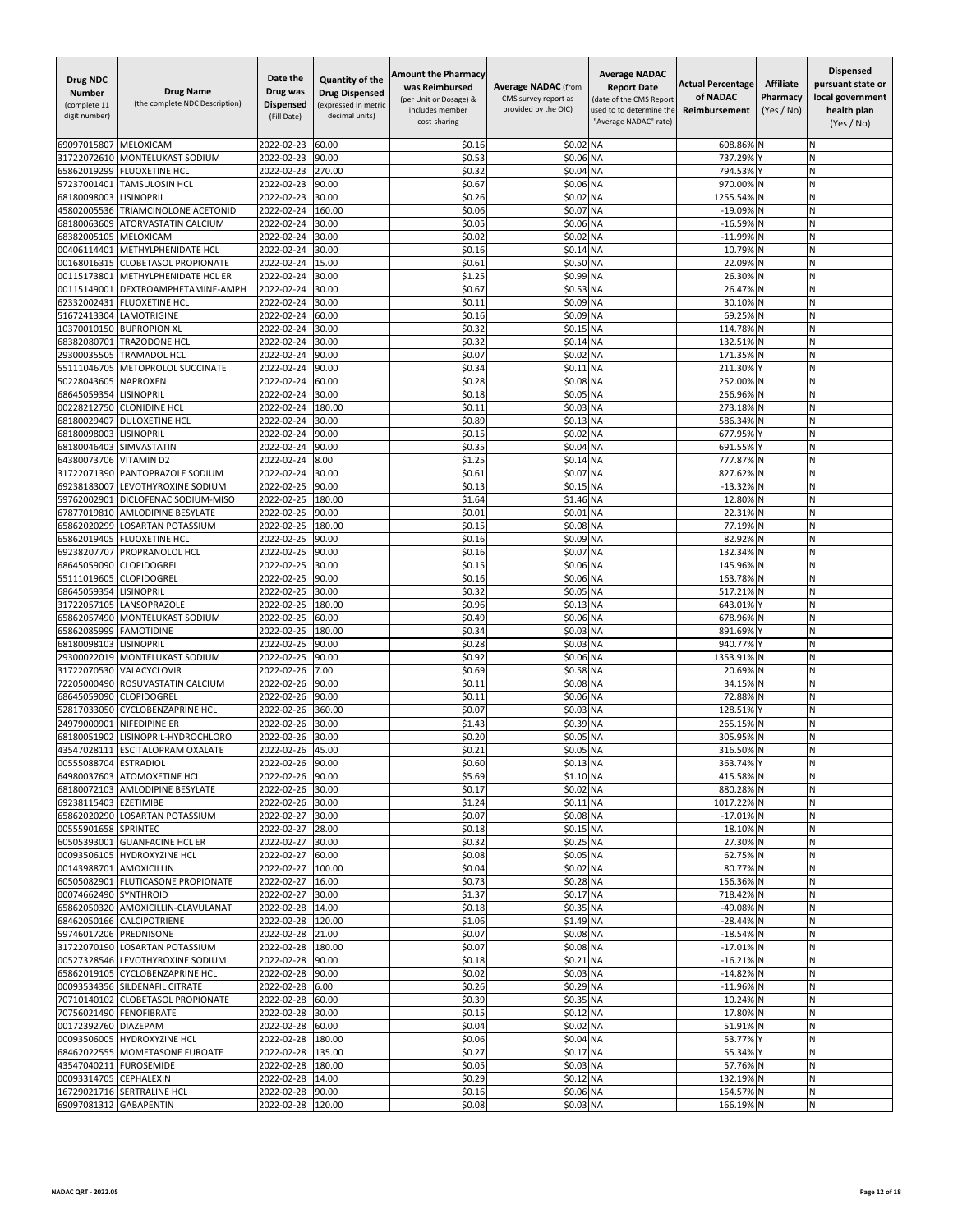| <b>Drug NDC</b><br><b>Number</b><br>(complete 11<br>digit number) | <b>Drug Name</b><br>(the complete NDC Description) | Date the<br>Drug was<br>Dispensed<br>(Fill Date) | <b>Quantity of the</b><br><b>Drug Dispensed</b><br>(expressed in metric<br>decimal units) | <b>Amount the Pharmacy</b><br>was Reimbursed<br>(per Unit or Dosage) &<br>includes member<br>cost-sharing | <b>Average NADAC</b> (from<br>CMS survey report as<br>provided by the OIC) | <b>Average NADAC</b><br><b>Report Date</b><br>(date of the CMS Report<br>used to to determine the<br>"Average NADAC" rate) | <b>Actual Percentage</b><br>of NADAC<br>Reimbursement | <b>Affiliate</b><br>Pharmacy<br>(Yes / No) | <b>Dispensed</b><br>pursuant state or<br>local government<br>health plan<br>(Yes / No) |
|-------------------------------------------------------------------|----------------------------------------------------|--------------------------------------------------|-------------------------------------------------------------------------------------------|-----------------------------------------------------------------------------------------------------------|----------------------------------------------------------------------------|----------------------------------------------------------------------------------------------------------------------------|-------------------------------------------------------|--------------------------------------------|----------------------------------------------------------------------------------------|
| 69097015807                                                       | MELOXICAM                                          | 2022-02-23                                       | 60.00                                                                                     | \$0.16                                                                                                    | \$0.02                                                                     | <b>NA</b>                                                                                                                  | 608.86%                                               |                                            | Ν                                                                                      |
| 31722072610                                                       | MONTELUKAST SODIUM                                 | 2022-02-23                                       | 90.00                                                                                     | \$0.53                                                                                                    | \$0.06                                                                     | <b>NA</b>                                                                                                                  | 737.299                                               |                                            | N                                                                                      |
| 65862019299                                                       | <b>FLUOXETINE HCL</b>                              | 2022-02-23                                       | 270.00                                                                                    | \$0.32                                                                                                    | \$0.04                                                                     | <b>NA</b>                                                                                                                  | 794.53%                                               |                                            | N                                                                                      |
| 57237001401                                                       | TAMSULOSIN HCL                                     | 2022-02-23                                       | 90.00                                                                                     | \$0.6                                                                                                     | \$0.06 NA                                                                  |                                                                                                                            | 970.00%                                               | <b>N</b>                                   | N                                                                                      |
| 68180098003                                                       | LISINOPRIL                                         | 2022-02-23                                       | 30.00                                                                                     | \$0.26                                                                                                    | \$0.02                                                                     | <b>NA</b>                                                                                                                  | 1255.54%                                              |                                            | Ν                                                                                      |
| 45802005536<br>68180063609                                        | TRIAMCINOLONE ACETONID<br>ATORVASTATIN CALCIUM     | 2022-02-24<br>2022-02-24                         | 160.00<br>30.00                                                                           | \$0.06<br>\$0.05                                                                                          | \$0.07<br>\$0.06                                                           | <b>NA</b><br><b>NA</b>                                                                                                     | $-19.09%$<br>$-16.59%$                                |                                            | N<br>N                                                                                 |
| 68382005105                                                       | MELOXICAM                                          | 2022-02-24                                       | 30.00                                                                                     | \$0.02                                                                                                    | \$0.02                                                                     | <b>NA</b>                                                                                                                  | $-11.999$                                             |                                            | N                                                                                      |
| 00406114401                                                       | METHYLPHENIDATE HCL                                | 2022-02-24                                       | 30.00                                                                                     | \$0.16                                                                                                    | \$0.14 NA                                                                  |                                                                                                                            | 10.79%                                                |                                            | И                                                                                      |
| 00168016315                                                       | <b>CLOBETASOL PROPIONATE</b>                       | 2022-02-24                                       | 15.00                                                                                     | \$0.61                                                                                                    | \$0.50 NA                                                                  |                                                                                                                            | 22.09%                                                |                                            | Ν                                                                                      |
| 00115173801                                                       | METHYLPHENIDATE HCL ER                             | 2022-02-24                                       | 30.00                                                                                     | \$1.25                                                                                                    | \$0.99 NA                                                                  |                                                                                                                            | 26.30%                                                | <b>N</b>                                   | Ν                                                                                      |
| 00115149001                                                       | DEXTROAMPHETAMINE-AMPH                             | 2022-02-24                                       | 30.00                                                                                     | \$0.67                                                                                                    | \$0.53 NA                                                                  |                                                                                                                            | 26.47%                                                |                                            | N                                                                                      |
| 62332002431                                                       | <b>FLUOXETINE HCL</b>                              | 2022-02-24                                       | 30.00                                                                                     | \$0.11                                                                                                    | \$0.09 NA                                                                  |                                                                                                                            | 30.10%                                                |                                            | Ń                                                                                      |
| 51672413304                                                       | LAMOTRIGINE                                        | 2022-02-24                                       | 60.00                                                                                     | \$0.16                                                                                                    | \$0.09 NA                                                                  |                                                                                                                            | 69.25%                                                | <b>N</b>                                   | N                                                                                      |
| 10370010150                                                       | <b>BUPROPION XL</b>                                | 2022-02-24                                       | 30.00                                                                                     | \$0.32                                                                                                    | \$0.15 NA                                                                  |                                                                                                                            | 114.78%                                               |                                            | Ν                                                                                      |
| 68382080701<br>29300035505                                        | <b>TRAZODONE HCL</b><br><b>TRAMADOL HCL</b>        | 2022-02-24                                       | 30.00<br>90.00                                                                            | \$0.32<br>\$0.07                                                                                          | \$0.14 NA<br>\$0.02 NA                                                     |                                                                                                                            | 132.51%<br>171.35%                                    |                                            | Ν<br>N                                                                                 |
| 55111046705                                                       | METOPROLOL SUCCINATE                               | 2022-02-24<br>2022-02-24                         | 90.00                                                                                     | \$0.34                                                                                                    | \$0.11                                                                     | <b>NA</b>                                                                                                                  | 211.30%                                               |                                            | N                                                                                      |
| 50228043605                                                       | <b>NAPROXEN</b>                                    | 2022-02-24                                       | 60.00                                                                                     | \$0.28                                                                                                    | \$0.08                                                                     | <b>NA</b>                                                                                                                  | 252.009                                               |                                            | Ń                                                                                      |
| 68645059354                                                       | LISINOPRIL                                         | 2022-02-24                                       | 30.00                                                                                     | \$0.18                                                                                                    | \$0.05 NA                                                                  |                                                                                                                            | 256.96%                                               |                                            | Ν                                                                                      |
| 00228212750                                                       | <b>CLONIDINE HCL</b>                               | 2022-02-24                                       | 180.00                                                                                    | \$0.1                                                                                                     | \$0.03                                                                     | NA                                                                                                                         | 273.18%                                               | N                                          | N                                                                                      |
| 68180029407                                                       | <b>DULOXETINE HCL</b>                              | 2022-02-24                                       | 30.00                                                                                     | \$0.89                                                                                                    | \$0.13 NA                                                                  |                                                                                                                            | 586.34%                                               | N                                          | N                                                                                      |
| 68180098003                                                       | LISINOPRIL                                         | 2022-02-24                                       | 90.00                                                                                     | \$0.15                                                                                                    | \$0.02 NA                                                                  |                                                                                                                            | 677.95%                                               |                                            | N                                                                                      |
| 68180046403                                                       | SIMVASTATIN                                        | 2022-02-24                                       | 90.00                                                                                     | \$0.35                                                                                                    | \$0.04 NA                                                                  |                                                                                                                            | 691.55%                                               |                                            | Ń                                                                                      |
| 64380073706                                                       | <b>VITAMIN D2</b>                                  | 2022-02-24                                       | 8.00                                                                                      | \$1.25                                                                                                    | \$0.14                                                                     | <b>NA</b>                                                                                                                  | 777.87%                                               | N                                          | N                                                                                      |
| 31722071390                                                       | PANTOPRAZOLE SODIUM                                | 2022-02-24                                       | 30.00                                                                                     | \$0.61                                                                                                    | \$0.07                                                                     | <b>NA</b>                                                                                                                  | 827.62%                                               |                                            | И                                                                                      |
| 69238183007<br>59762002901                                        | LEVOTHYROXINE SODIUM<br>DICLOFENAC SODIUM-MISO     | 2022-02-25                                       | 90.00                                                                                     | \$0.13                                                                                                    | \$0.15                                                                     | <b>NA</b>                                                                                                                  | $-13.32%$                                             |                                            | N                                                                                      |
| 67877019810                                                       | AMLODIPINE BESYLATE                                | 2022-02-25<br>2022-02-25                         | 180.00<br>90.00                                                                           | \$1.64<br>\$0.01                                                                                          | \$1.46 NA<br>\$0.01                                                        | <b>NA</b>                                                                                                                  | 12.80%<br>22.31%                                      |                                            | И<br>N                                                                                 |
| 65862020299                                                       | <b>LOSARTAN POTASSIUM</b>                          | 2022-02-25                                       | 180.00                                                                                    | \$0.15                                                                                                    | \$0.08                                                                     | <b>NA</b>                                                                                                                  | 77.19%                                                |                                            | N                                                                                      |
| 65862019405                                                       | <b>FLUOXETINE HCL</b>                              | 2022-02-25                                       | 90.00                                                                                     | \$0.16                                                                                                    | \$0.09 NA                                                                  |                                                                                                                            | 82.92%                                                | N                                          | Ν                                                                                      |
| 69238207707                                                       | PROPRANOLOL HCL                                    | 2022-02-25                                       | 90.00                                                                                     | \$0.16                                                                                                    | \$0.07                                                                     | <b>NA</b>                                                                                                                  | 132.34%                                               |                                            | N                                                                                      |
| 68645059090                                                       | CLOPIDOGREL                                        | 2022-02-25                                       | 30.00                                                                                     | \$0.15                                                                                                    | \$0.06 NA                                                                  |                                                                                                                            | 145.96%                                               |                                            | Ν                                                                                      |
| 55111019605                                                       | <b>CLOPIDOGREL</b>                                 | 2022-02-25                                       | 90.00                                                                                     | \$0.16                                                                                                    | \$0.06 NA                                                                  |                                                                                                                            | 163.78%                                               |                                            | N                                                                                      |
| 68645059354                                                       | LISINOPRIL                                         | 2022-02-25                                       | 30.00                                                                                     | \$0.32                                                                                                    | \$0.05                                                                     | <b>NA</b>                                                                                                                  | 517.21%                                               |                                            | N                                                                                      |
| 31722057105                                                       | LANSOPRAZOLE                                       | 2022-02-25                                       | 180.00                                                                                    | \$0.96                                                                                                    | \$0.13 NA                                                                  |                                                                                                                            | 643.01%                                               |                                            | N                                                                                      |
| 65862057490                                                       | MONTELUKAST SODIUM                                 | 2022-02-25                                       | 60.00                                                                                     | \$0.49                                                                                                    | \$0.06 NA                                                                  |                                                                                                                            | 678.96%                                               |                                            | И                                                                                      |
| 65862085999<br>68180098103                                        | <b>FAMOTIDINE</b><br>LISINOPRIL                    | 2022-02-25<br>2022-02-25                         | 180.00<br>90.00                                                                           | \$0.34<br>\$0.28                                                                                          | \$0.03<br>\$0.03 NA                                                        | <b>NA</b>                                                                                                                  | 891.69%<br>940.77%                                    |                                            | И<br>Ν                                                                                 |
| 29300022019                                                       | MONTELUKAST SODIUM                                 | 2022-02-25                                       | 90.00                                                                                     | \$0.92                                                                                                    | \$0.06 NA                                                                  |                                                                                                                            | 1353.91%                                              |                                            | N                                                                                      |
| 31722070530                                                       | VALACYCLOVIR                                       | 2022-02-26                                       | 7.00                                                                                      | \$0.69                                                                                                    | \$0.58                                                                     | <b>NA</b>                                                                                                                  | 20.69%                                                |                                            | Ń                                                                                      |
| 72205000490                                                       | ROSUVASTATIN CALCIUM                               | 2022-02-26                                       | 90.00                                                                                     | \$0.11                                                                                                    | \$0.08 NA                                                                  |                                                                                                                            | 34.15%                                                |                                            | И                                                                                      |
| 68645059090                                                       | <b>CLOPIDOGREL</b>                                 | 2022-02-26                                       | 90.00                                                                                     | \$0.1                                                                                                     | \$0.06 NA                                                                  |                                                                                                                            | 72.88%                                                |                                            | N                                                                                      |
| 52817033050                                                       | <b>CYCLOBENZAPRINE HCL</b>                         | 2022-02-26                                       | 360.00                                                                                    | \$0.07                                                                                                    | \$0.03 NA                                                                  |                                                                                                                            | 128.51%                                               |                                            | N                                                                                      |
| 24979000901                                                       | NIFEDIPINE ER                                      | 2022-02-26                                       | 30.00                                                                                     | \$1.43                                                                                                    | \$0.39                                                                     | <b>NA</b>                                                                                                                  | 265.15%                                               |                                            | N                                                                                      |
| 68180051902                                                       | LISINOPRIL-HYDROCHLORO                             | 2022-02-26                                       | 30.00                                                                                     | \$0.20                                                                                                    | \$0.05 NA                                                                  |                                                                                                                            | 305.95%                                               |                                            | Ń                                                                                      |
| 43547028111                                                       | ESCITALOPRAM OXALATE                               | 2022-02-26                                       | 45.00                                                                                     | \$0.21                                                                                                    | \$0.05 NA                                                                  |                                                                                                                            | 316.50% N                                             |                                            | N                                                                                      |
| 00555088704 ESTRADIOL                                             | 64980037603 ATOMOXETINE HCL                        | 2022-02-26 90.00<br>2022-02-26                   | 90.00                                                                                     | \$0.60<br>\$5.69                                                                                          | $$0.13$ NA<br>\$1.10 NA                                                    |                                                                                                                            | 363.74% Y<br>415.58% N                                |                                            | Ν<br>Ν                                                                                 |
|                                                                   | 68180072103 AMLODIPINE BESYLATE                    | 2022-02-26 30.00                                 |                                                                                           | \$0.17                                                                                                    | \$0.02 NA                                                                  |                                                                                                                            | 880.28% N                                             |                                            | N                                                                                      |
| 69238115403 EZETIMIBE                                             |                                                    | 2022-02-26                                       | 30.00                                                                                     | \$1.24                                                                                                    | \$0.11 NA                                                                  |                                                                                                                            | 1017.22% N                                            |                                            | Ν                                                                                      |
| 65862020290                                                       | <b>LOSARTAN POTASSIUM</b>                          | 2022-02-27                                       | 30.00                                                                                     | \$0.07                                                                                                    | \$0.08 NA                                                                  |                                                                                                                            | $-17.01\%$ N                                          |                                            | И                                                                                      |
| 00555901658 SPRINTEC                                              |                                                    | 2022-02-27                                       | 28.00                                                                                     | \$0.18                                                                                                    | \$0.15 NA                                                                  |                                                                                                                            | 18.10% N                                              |                                            | N                                                                                      |
|                                                                   | 60505393001 GUANFACINE HCL ER                      | 2022-02-27                                       | 30.00                                                                                     | \$0.32                                                                                                    | \$0.25 NA                                                                  |                                                                                                                            | 27.30% N                                              |                                            | N                                                                                      |
|                                                                   | 00093506105 HYDROXYZINE HCL                        | 2022-02-27                                       | 60.00                                                                                     | \$0.08                                                                                                    | \$0.05 NA                                                                  |                                                                                                                            | 62.75% N                                              |                                            | Ν                                                                                      |
| 00143988701 AMOXICILLIN                                           |                                                    | 2022-02-27                                       | 100.00                                                                                    | \$0.04                                                                                                    | \$0.02 NA                                                                  |                                                                                                                            | 80.77% N                                              |                                            | Ν                                                                                      |
|                                                                   | 60505082901 FLUTICASONE PROPIONATE                 | 2022-02-27                                       | 16.00                                                                                     | \$0.73                                                                                                    | \$0.28 NA                                                                  |                                                                                                                            | 156.36% N                                             |                                            | Ν                                                                                      |
| 00074662490 SYNTHROID                                             | 65862050320 AMOXICILLIN-CLAVULANAT                 | 2022-02-27<br>2022-02-28                         | 30.00                                                                                     | \$1.37<br>\$0.18                                                                                          | \$0.17 NA<br>\$0.35 NA                                                     |                                                                                                                            | 718.42% N<br>-49.08% N                                |                                            | Ν<br>Ν                                                                                 |
|                                                                   | 68462050166 CALCIPOTRIENE                          | 2022-02-28                                       | 14.00<br>120.00                                                                           | \$1.06                                                                                                    | \$1.49 NA                                                                  |                                                                                                                            | -28.44% N                                             |                                            | N                                                                                      |
| 59746017206 PREDNISONE                                            |                                                    | 2022-02-28 21.00                                 |                                                                                           | \$0.07                                                                                                    | \$0.08 NA                                                                  |                                                                                                                            | $-18.54\%$ N                                          |                                            | N                                                                                      |
|                                                                   | 31722070190 LOSARTAN POTASSIUM                     | 2022-02-28                                       | 180.00                                                                                    | \$0.07                                                                                                    | \$0.08 NA                                                                  |                                                                                                                            | $-17.01\%$ N                                          |                                            | И                                                                                      |
|                                                                   | 00527328546 LEVOTHYROXINE SODIUM                   | 2022-02-28                                       | 90.00                                                                                     | \$0.18                                                                                                    | \$0.21 NA                                                                  |                                                                                                                            | $-16.21\%$ N                                          |                                            | И                                                                                      |
|                                                                   | 65862019105 CYCLOBENZAPRINE HCL                    | 2022-02-28                                       | 90.00                                                                                     | \$0.02                                                                                                    | \$0.03 NA                                                                  |                                                                                                                            | -14.82% N                                             |                                            | N                                                                                      |
|                                                                   | 00093534356 SILDENAFIL CITRATE                     | 2022-02-28                                       | 6.00                                                                                      | \$0.26                                                                                                    | \$0.29 NA                                                                  |                                                                                                                            | $-11.96\%$ N                                          |                                            | И                                                                                      |
|                                                                   | 70710140102 CLOBETASOL PROPIONATE                  | 2022-02-28                                       | 60.00                                                                                     | \$0.39                                                                                                    | \$0.35 NA                                                                  |                                                                                                                            | 10.24% N                                              |                                            | И                                                                                      |
|                                                                   | 70756021490 FENOFIBRATE                            | 2022-02-28                                       | 30.00                                                                                     | \$0.15                                                                                                    | \$0.12 NA                                                                  |                                                                                                                            | 17.80% N                                              |                                            | N                                                                                      |
| 00172392760 DIAZEPAM                                              |                                                    | 2022-02-28                                       | 60.00                                                                                     | \$0.04                                                                                                    | \$0.02 NA                                                                  |                                                                                                                            | 51.91% N                                              |                                            | Ν                                                                                      |
| 00093506005                                                       | <b>HYDROXYZINE HCL</b>                             | 2022-02-28                                       | 180.00                                                                                    | \$0.06                                                                                                    | \$0.04 NA<br>\$0.17 NA                                                     |                                                                                                                            | 53.77%                                                |                                            | N                                                                                      |
| 43547040211 FUROSEMIDE                                            | 68462022555 MOMETASONE FUROATE                     | 2022-02-28<br>2022-02-28                         | 135.00<br>180.00                                                                          | \$0.27<br>\$0.05                                                                                          | \$0.03 NA                                                                  |                                                                                                                            | 55.34% Y<br>57.76% N                                  |                                            | Ν<br>N                                                                                 |
| 00093314705 CEPHALEXIN                                            |                                                    | 2022-02-28 14.00                                 |                                                                                           | \$0.29                                                                                                    | \$0.12 NA                                                                  |                                                                                                                            | 132.19% N                                             |                                            | N                                                                                      |
|                                                                   | 16729021716 SERTRALINE HCL                         | 2022-02-28 90.00                                 |                                                                                           | \$0.16                                                                                                    | \$0.06 NA                                                                  |                                                                                                                            | 154.57% N                                             |                                            | И                                                                                      |
| 69097081312 GABAPENTIN                                            |                                                    | 2022-02-28                                       | 120.00                                                                                    | \$0.08                                                                                                    | \$0.03 NA                                                                  |                                                                                                                            | 166.19% N                                             |                                            | Ν                                                                                      |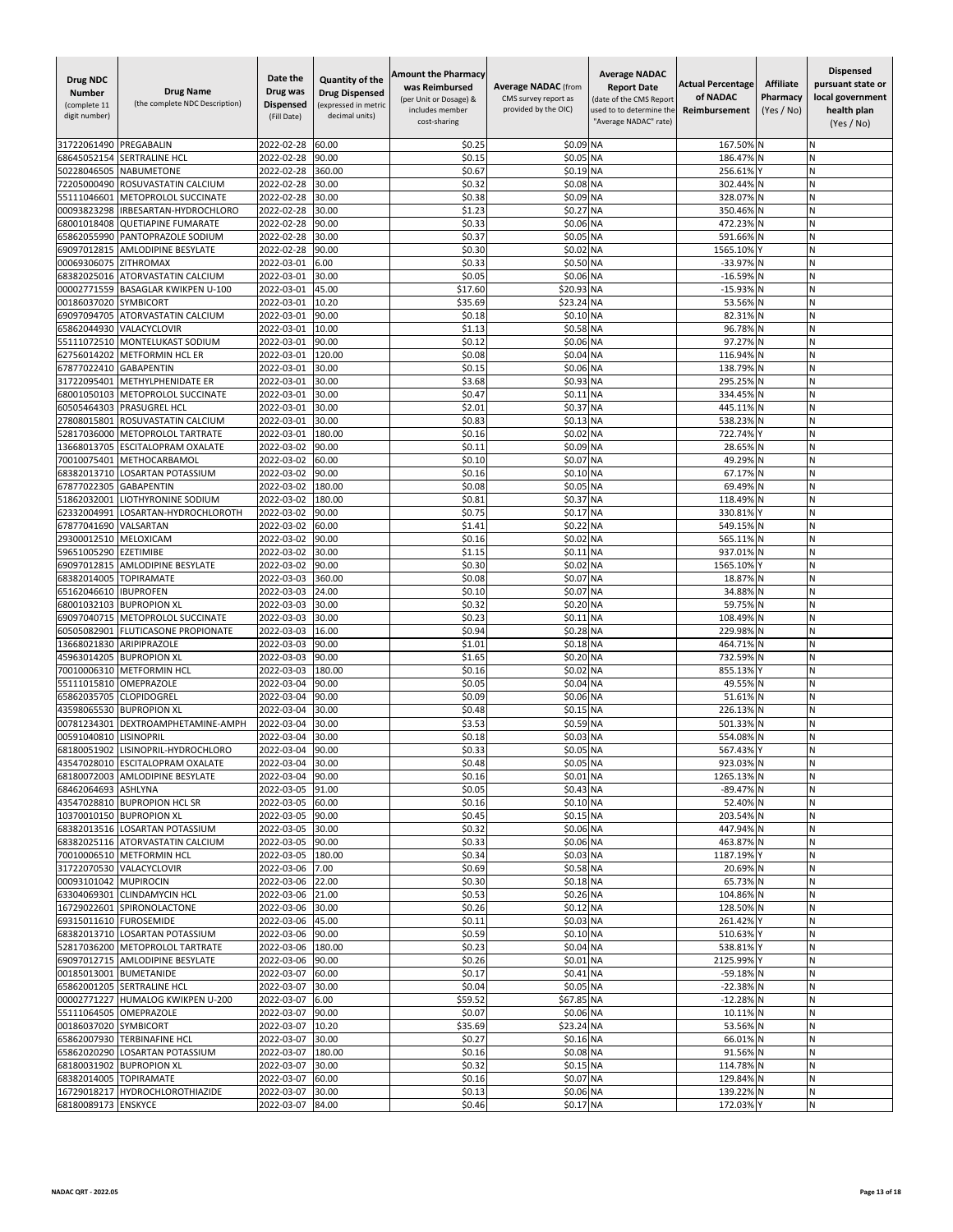| Drug NDC<br><b>Number</b><br>(complete 11<br>digit number) | <b>Drug Name</b><br>(the complete NDC Description)        | Date the<br>Drug was<br><b>Dispensed</b><br>(Fill Date) | Quantity of the<br><b>Drug Dispensed</b><br>(expressed in metric<br>decimal units) | Amount the Pharmacy<br>was Reimbursed<br>(per Unit or Dosage) &<br>includes member<br>cost-sharing | <b>Average NADAC (from</b><br>CMS survey report as<br>provided by the OIC) | <b>Average NADAC</b><br><b>Report Date</b><br>(date of the CMS Report<br>used to to determine the<br>'Average NADAC" rate) | <b>Actual Percentage</b><br>of NADAC<br>Reimbursement | <b>Affiliate</b><br>Pharmacy<br>(Yes / No) | <b>Dispensed</b><br>pursuant state or<br>local government<br>health plan<br>(Yes / No) |
|------------------------------------------------------------|-----------------------------------------------------------|---------------------------------------------------------|------------------------------------------------------------------------------------|----------------------------------------------------------------------------------------------------|----------------------------------------------------------------------------|----------------------------------------------------------------------------------------------------------------------------|-------------------------------------------------------|--------------------------------------------|----------------------------------------------------------------------------------------|
| 31722061490                                                | PREGABALIN                                                | 2022-02-28                                              | 60.00                                                                              | \$0.25                                                                                             | \$0.09 NA                                                                  |                                                                                                                            | 167.50% N                                             |                                            | N                                                                                      |
| 68645052154                                                | <b>SERTRALINE HCL</b>                                     | 2022-02-28                                              | 90.00                                                                              | \$0.15                                                                                             | \$0.05 NA                                                                  |                                                                                                                            | 186.47% N                                             |                                            | N                                                                                      |
| 50228046505                                                | NABUMETONE                                                | 2022-02-28                                              | 360.00                                                                             | \$0.67                                                                                             | \$0.19 NA                                                                  |                                                                                                                            | 256.61%                                               |                                            | N                                                                                      |
| 72205000490                                                | ROSUVASTATIN CALCIUM                                      | 2022-02-28                                              | 30.00                                                                              | \$0.32                                                                                             | \$0.08 NA                                                                  |                                                                                                                            | 302.44% N                                             |                                            | N                                                                                      |
| 55111046601                                                | METOPROLOL SUCCINATE                                      | 2022-02-28                                              | 30.00                                                                              | \$0.38                                                                                             | \$0.09 NA                                                                  |                                                                                                                            | 328.07% N                                             |                                            | N                                                                                      |
| 00093823298                                                | IRBESARTAN-HYDROCHLORO                                    | 2022-02-28<br>2022-02-28                                | 30.00<br>90.00                                                                     | \$1.23<br>\$0.33                                                                                   | \$0.27<br>\$0.06                                                           | <b>NA</b>                                                                                                                  | 350.46%                                               |                                            | N<br>N                                                                                 |
| 68001018408<br>65862055990                                 | <b>QUETIAPINE FUMARATE</b><br>PANTOPRAZOLE SODIUM         | 2022-02-28                                              | 30.00                                                                              | \$0.37                                                                                             | \$0.05                                                                     | <b>NA</b><br><b>NA</b>                                                                                                     | 472.23%<br>591.66%                                    |                                            | N                                                                                      |
| 69097012815                                                | <b>AMLODIPINE BESYLATE</b>                                | 2022-02-28                                              | 90.00                                                                              | \$0.30                                                                                             | \$0.02 NA                                                                  |                                                                                                                            | 1565.10%                                              |                                            | N                                                                                      |
| 00069306075                                                | <b>ZITHROMAX</b>                                          | 2022-03-01                                              | 6.00                                                                               | \$0.33                                                                                             | \$0.50 NA                                                                  |                                                                                                                            | -33.97%                                               |                                            | N                                                                                      |
| 68382025016                                                | ATORVASTATIN CALCIUM                                      | 2022-03-01                                              | 30.00                                                                              | \$0.05                                                                                             | \$0.06 NA                                                                  |                                                                                                                            | $-16.59%$                                             |                                            | N                                                                                      |
| 00002771559                                                | <b>BASAGLAR KWIKPEN U-100</b>                             | 2022-03-01                                              | 45.00                                                                              | \$17.60                                                                                            | \$20.93 NA                                                                 |                                                                                                                            | $-15.93%$                                             |                                            | Ń                                                                                      |
| 00186037020                                                | <b>SYMBICORT</b>                                          | 2022-03-01                                              | 10.20                                                                              | \$35.69                                                                                            | \$23.24 NA                                                                 |                                                                                                                            | 53.56%                                                | N                                          | N                                                                                      |
| 69097094705                                                | ATORVASTATIN CALCIUM                                      | 2022-03-01                                              | 90.00                                                                              | \$0.18                                                                                             | \$0.10 NA                                                                  |                                                                                                                            | 82.31%                                                | N                                          | Ν                                                                                      |
| 65862044930<br>55111072510                                 | VALACYCLOVIR<br>MONTELUKAST SODIUM                        | 2022-03-01<br>2022-03-01                                | 10.00<br>90.00                                                                     | \$1.13<br>\$0.12                                                                                   | \$0.58 NA<br>\$0.06 NA                                                     |                                                                                                                            | 96.78% N<br>97.27% N                                  |                                            | N<br>Ν                                                                                 |
| 62756014202                                                | <b>METFORMIN HCL ER</b>                                   | 2022-03-01                                              | 120.00                                                                             | \$0.08                                                                                             | \$0.04 NA                                                                  |                                                                                                                            | 116.94%                                               | N                                          | N                                                                                      |
| 67877022410                                                | <b>GABAPENTIN</b>                                         | 2022-03-01                                              | 30.00                                                                              | \$0.15                                                                                             | \$0.06                                                                     | <b>NA</b>                                                                                                                  | 138.79%                                               |                                            | N                                                                                      |
| 31722095401                                                | METHYLPHENIDATE ER                                        | 2022-03-01                                              | 30.00                                                                              | \$3.68                                                                                             | \$0.93                                                                     | <b>NA</b>                                                                                                                  | 295.25%                                               |                                            | N                                                                                      |
| 68001050103                                                | METOPROLOL SUCCINATE                                      | 2022-03-01                                              | 30.00                                                                              | \$0.47                                                                                             | \$0.11 NA                                                                  |                                                                                                                            | 334.45% N                                             |                                            | N                                                                                      |
| 60505464303                                                | PRASUGREL HCL                                             | 2022-03-01                                              | 30.00                                                                              | \$2.01                                                                                             | \$0.37                                                                     | <b>NA</b>                                                                                                                  | 445.11% N                                             |                                            | И                                                                                      |
| 27808015801                                                | ROSUVASTATIN CALCIUM                                      | 2022-03-01                                              | 30.00                                                                              | \$0.83                                                                                             | \$0.13 NA                                                                  |                                                                                                                            | 538.23%                                               |                                            | N                                                                                      |
| 52817036000                                                | <b>METOPROLOL TARTRATE</b>                                | 2022-03-01                                              | 180.00                                                                             | \$0.16                                                                                             | \$0.02                                                                     | <b>NA</b>                                                                                                                  | 722.74%                                               |                                            | N                                                                                      |
| 3668013705<br>70010075401                                  | <b>ESCITALOPRAM OXALATE</b><br>METHOCARBAMOL              | 2022-03-02<br>2022-03-02                                | 90.00                                                                              | \$0.11                                                                                             | \$0.09                                                                     | <b>NA</b>                                                                                                                  | 28.65%                                                |                                            | N<br>N                                                                                 |
| 68382013710                                                | LOSARTAN POTASSIUM                                        | 2022-03-02                                              | 60.00<br>90.00                                                                     | \$0.10<br>\$0.16                                                                                   | \$0.07<br>\$0.10 NA                                                        | <b>NA</b>                                                                                                                  | 49.29% N<br>67.17% N                                  |                                            | Ν                                                                                      |
| 67877022305                                                | <b>GABAPENTIN</b>                                         | 2022-03-02                                              | 180.00                                                                             | \$0.08                                                                                             | \$0.05 NA                                                                  |                                                                                                                            | 69.49%                                                | N                                          | N                                                                                      |
| 51862032001                                                | LIOTHYRONINE SODIUM                                       | 2022-03-02                                              | 180.00                                                                             | \$0.81                                                                                             | \$0.37                                                                     | <b>NA</b>                                                                                                                  | 118.49%                                               |                                            | N                                                                                      |
| 62332004991                                                | LOSARTAN-HYDROCHLOROTH                                    | 2022-03-02                                              | 90.00                                                                              | \$0.75                                                                                             | \$0.17                                                                     | <b>NA</b>                                                                                                                  | 330.81%                                               |                                            | N                                                                                      |
| 67877041690                                                | VALSARTAN                                                 | 2022-03-02                                              | 60.00                                                                              | \$1.41                                                                                             | \$0.22                                                                     | <b>NA</b>                                                                                                                  | 549.15%                                               |                                            | N                                                                                      |
| 29300012510                                                | MELOXICAM                                                 | 2022-03-02                                              | 90.00                                                                              | \$0.16                                                                                             | \$0.02                                                                     | <b>NA</b>                                                                                                                  | 565.11% N                                             |                                            | И                                                                                      |
| 59651005290                                                | <b>EZETIMIBE</b>                                          | 2022-03-02                                              | 30.00                                                                              | \$1.15                                                                                             | \$0.11 NA                                                                  |                                                                                                                            | 937.01% N                                             |                                            | N                                                                                      |
| 69097012815<br>68382014005                                 | AMLODIPINE BESYLATE<br><b>TOPIRAMATE</b>                  | 2022-03-02<br>2022-03-03                                | 90.00<br>360.00                                                                    | \$0.30<br>\$0.08                                                                                   | \$0.02<br>\$0.07                                                           | ! NA<br><b>NA</b>                                                                                                          | 1565.10%<br>18.87%                                    |                                            | N<br>Ń                                                                                 |
| 65162046610                                                | <b>IBUPROFEN</b>                                          | 2022-03-03                                              | 24.00                                                                              | \$0.10                                                                                             | \$0.07                                                                     | <b>NA</b>                                                                                                                  | 34.88%                                                |                                            | N                                                                                      |
| 68001032103                                                | <b>BUPROPION XL</b>                                       | 2022-03-03                                              | 30.00                                                                              | \$0.32                                                                                             | \$0.20                                                                     | <b>NA</b>                                                                                                                  | 59.75% N                                              |                                            | И                                                                                      |
| 69097040715                                                | METOPROLOL SUCCINATE                                      | 2022-03-03                                              | 30.00                                                                              | \$0.23                                                                                             | \$0.11 NA                                                                  |                                                                                                                            | 108.49% N                                             |                                            | N                                                                                      |
|                                                            | 60505082901 FLUTICASONE PROPIONATE                        | 2022-03-03                                              | 16.00                                                                              | \$0.94                                                                                             | \$0.28 NA                                                                  |                                                                                                                            | 229.98% N                                             |                                            | N                                                                                      |
| 13668021830                                                | ARIPIPRAZOLE                                              | 2022-03-03                                              | 90.00                                                                              | \$1.01                                                                                             | \$0.18 NA                                                                  |                                                                                                                            | 464.71% N                                             |                                            | N                                                                                      |
| 45963014205                                                | <b>BUPROPION XL</b>                                       | 2022-03-03                                              | 90.00                                                                              | \$1.65                                                                                             | \$0.20                                                                     | <b>NA</b>                                                                                                                  | 732.59%                                               |                                            | N                                                                                      |
| 70010006310<br>55111015810                                 | <b>METFORMIN HCL</b><br>OMEPRAZOLE                        | 2022-03-03<br>2022-03-04                                | 180.00<br>90.00                                                                    | \$0.16<br>\$0.05                                                                                   | \$0.02<br>\$0.04 NA                                                        | <b>NA</b>                                                                                                                  | 855.13%<br>49.55% N                                   |                                            | N<br>И                                                                                 |
| 65862035705                                                | <b>CLOPIDOGREL</b>                                        | 2022-03-04                                              | 90.00                                                                              | \$0.09                                                                                             | \$0.06 NA                                                                  |                                                                                                                            | 51.61% N                                              |                                            | N                                                                                      |
| 43598065530                                                | <b>BUPROPION XL</b>                                       | 2022-03-04                                              | 30.00                                                                              | \$0.48                                                                                             | \$0.15 NA                                                                  |                                                                                                                            | 226.13%                                               | IN                                         | N                                                                                      |
| 00781234301                                                | DEXTROAMPHETAMINE-AMPH                                    | 2022-03-04                                              | 30.00                                                                              | \$3.53                                                                                             | \$0.59 NA                                                                  |                                                                                                                            | 501.33%                                               |                                            | N                                                                                      |
| 00591040810                                                | <b>LISINOPRIL</b>                                         | 2022-03-04                                              | 30.00                                                                              | \$0.18                                                                                             | \$0.03                                                                     | <b>NA</b>                                                                                                                  | 554.08%                                               |                                            | N                                                                                      |
| 68180051902                                                | LISINOPRIL-HYDROCHLORO                                    | 2022-03-04                                              | 90.00                                                                              | \$0.33                                                                                             | \$0.05 NA                                                                  |                                                                                                                            | 567.43% Y                                             |                                            | N                                                                                      |
|                                                            | 43547028010 ESCITALOPRAM OXALATE                          | 2022-03-04 30.00                                        |                                                                                    | \$0.48                                                                                             | \$0.05 NA                                                                  |                                                                                                                            | 923.03% N                                             |                                            | N                                                                                      |
| 68462064693 ASHLYNA                                        | 68180072003 AMLODIPINE BESYLATE                           | 2022-03-04<br>2022-03-05                                | 90.00<br>91.00                                                                     | \$0.16<br>\$0.05                                                                                   | \$0.01 NA<br>\$0.43 NA                                                     |                                                                                                                            | 1265.13% N<br>-89.47% N                               |                                            | Ν<br>N                                                                                 |
|                                                            | 43547028810 BUPROPION HCL SR                              | 2022-03-05                                              | 60.00                                                                              | \$0.16                                                                                             | \$0.10 NA                                                                  |                                                                                                                            | 52.40% N                                              |                                            | N                                                                                      |
|                                                            | 10370010150 BUPROPION XL                                  | 2022-03-05                                              | 90.00                                                                              | \$0.45                                                                                             | \$0.15 NA                                                                  |                                                                                                                            | 203.54% N                                             |                                            | Ν                                                                                      |
|                                                            | 68382013516 LOSARTAN POTASSIUM                            | 2022-03-05                                              | 30.00                                                                              | \$0.32                                                                                             | \$0.06 NA                                                                  |                                                                                                                            | 447.94% N                                             |                                            | Ν                                                                                      |
|                                                            | 68382025116 ATORVASTATIN CALCIUM                          | 2022-03-05                                              | 90.00                                                                              | \$0.33                                                                                             | \$0.06 NA                                                                  |                                                                                                                            | 463.87% N                                             |                                            | Ν                                                                                      |
|                                                            | 70010006510 METFORMIN HCL                                 | 2022-03-05                                              | 180.00                                                                             | \$0.34                                                                                             | \$0.03 NA                                                                  |                                                                                                                            | 1187.19% Y                                            |                                            | N                                                                                      |
|                                                            | 31722070530 VALACYCLOVIR                                  | 2022-03-06                                              | 7.00                                                                               | \$0.69                                                                                             | \$0.58 NA                                                                  |                                                                                                                            | 20.69% N                                              |                                            | N                                                                                      |
| 00093101042 MUPIROCIN                                      |                                                           | 2022-03-06                                              | 22.00                                                                              | \$0.30                                                                                             | \$0.18 NA                                                                  |                                                                                                                            | 65.73% N                                              |                                            | N                                                                                      |
|                                                            | 63304069301 CLINDAMYCIN HCL<br>16729022601 SPIRONOLACTONE | 2022-03-06<br>2022-03-06                                | 21.00<br>30.00                                                                     | \$0.53<br>\$0.26                                                                                   | \$0.26 NA<br>\$0.12 NA                                                     |                                                                                                                            | 104.86% N<br>128.50% N                                |                                            | Ν<br>Ν                                                                                 |
| 69315011610 FUROSEMIDE                                     |                                                           | 2022-03-06                                              | 45.00                                                                              | \$0.11                                                                                             | \$0.03 NA                                                                  |                                                                                                                            | 261.42% Y                                             |                                            | Ν                                                                                      |
|                                                            | 68382013710 LOSARTAN POTASSIUM                            | 2022-03-06                                              | 90.00                                                                              | \$0.59                                                                                             | \$0.10 NA                                                                  |                                                                                                                            | 510.63% Y                                             |                                            | Ν                                                                                      |
|                                                            | 52817036200 METOPROLOL TARTRATE                           | 2022-03-06                                              | 180.00                                                                             | \$0.23                                                                                             | \$0.04 NA                                                                  |                                                                                                                            | 538.81% Y                                             |                                            | N                                                                                      |
|                                                            | 69097012715 AMLODIPINE BESYLATE                           | 2022-03-06                                              | 90.00                                                                              | \$0.26                                                                                             | \$0.01 NA                                                                  |                                                                                                                            | 2125.99% Y                                            |                                            | Ν                                                                                      |
|                                                            | 00185013001 BUMETANIDE                                    | 2022-03-07                                              | 60.00                                                                              | \$0.17                                                                                             | \$0.41 NA                                                                  |                                                                                                                            | -59.18% N                                             |                                            | Ν                                                                                      |
|                                                            | 65862001205 SERTRALINE HCL                                | 2022-03-07                                              | 30.00                                                                              | \$0.04                                                                                             | \$0.05 NA                                                                  |                                                                                                                            | -22.38% N                                             |                                            | N                                                                                      |
|                                                            | 00002771227 HUMALOG KWIKPEN U-200                         | 2022-03-07                                              | 6.00                                                                               | \$59.52                                                                                            | \$67.85 NA                                                                 |                                                                                                                            | -12.28% N                                             |                                            | N                                                                                      |
| 00186037020 SYMBICORT                                      | 55111064505 OMEPRAZOLE                                    | 2022-03-07<br>2022-03-07                                | 90.00<br>10.20                                                                     | \$0.07<br>\$35.69                                                                                  | \$0.06 NA<br>\$23.24 NA                                                    |                                                                                                                            | 10.11% N<br>53.56% N                                  |                                            | N<br>И                                                                                 |
|                                                            | 65862007930 TERBINAFINE HCL                               | 2022-03-07                                              | 30.00                                                                              | \$0.27                                                                                             | \$0.16 NA                                                                  |                                                                                                                            | 66.01% N                                              |                                            | Ν                                                                                      |
|                                                            | 65862020290 LOSARTAN POTASSIUM                            | 2022-03-07                                              | 180.00                                                                             | \$0.16                                                                                             | \$0.08 NA                                                                  |                                                                                                                            | 91.56% N                                              |                                            | N                                                                                      |
|                                                            | 68180031902 BUPROPION XL                                  | 2022-03-07                                              | 30.00                                                                              | \$0.32                                                                                             | \$0.15 NA                                                                  |                                                                                                                            | 114.78% N                                             |                                            | Ν                                                                                      |
| 68382014005 TOPIRAMATE                                     |                                                           | 2022-03-07                                              | 60.00                                                                              | \$0.16                                                                                             | \$0.07 NA                                                                  |                                                                                                                            | 129.84% N                                             |                                            | N                                                                                      |
|                                                            | 16729018217 HYDROCHLOROTHIAZIDE                           | 2022-03-07                                              | 30.00                                                                              | \$0.13                                                                                             | \$0.06 NA                                                                  |                                                                                                                            | 139.22% N                                             |                                            | N                                                                                      |
| 68180089173 ENSKYCE                                        |                                                           | 2022-03-07                                              | 84.00                                                                              | \$0.46                                                                                             | \$0.17 NA                                                                  |                                                                                                                            | 172.03% Y                                             |                                            | N                                                                                      |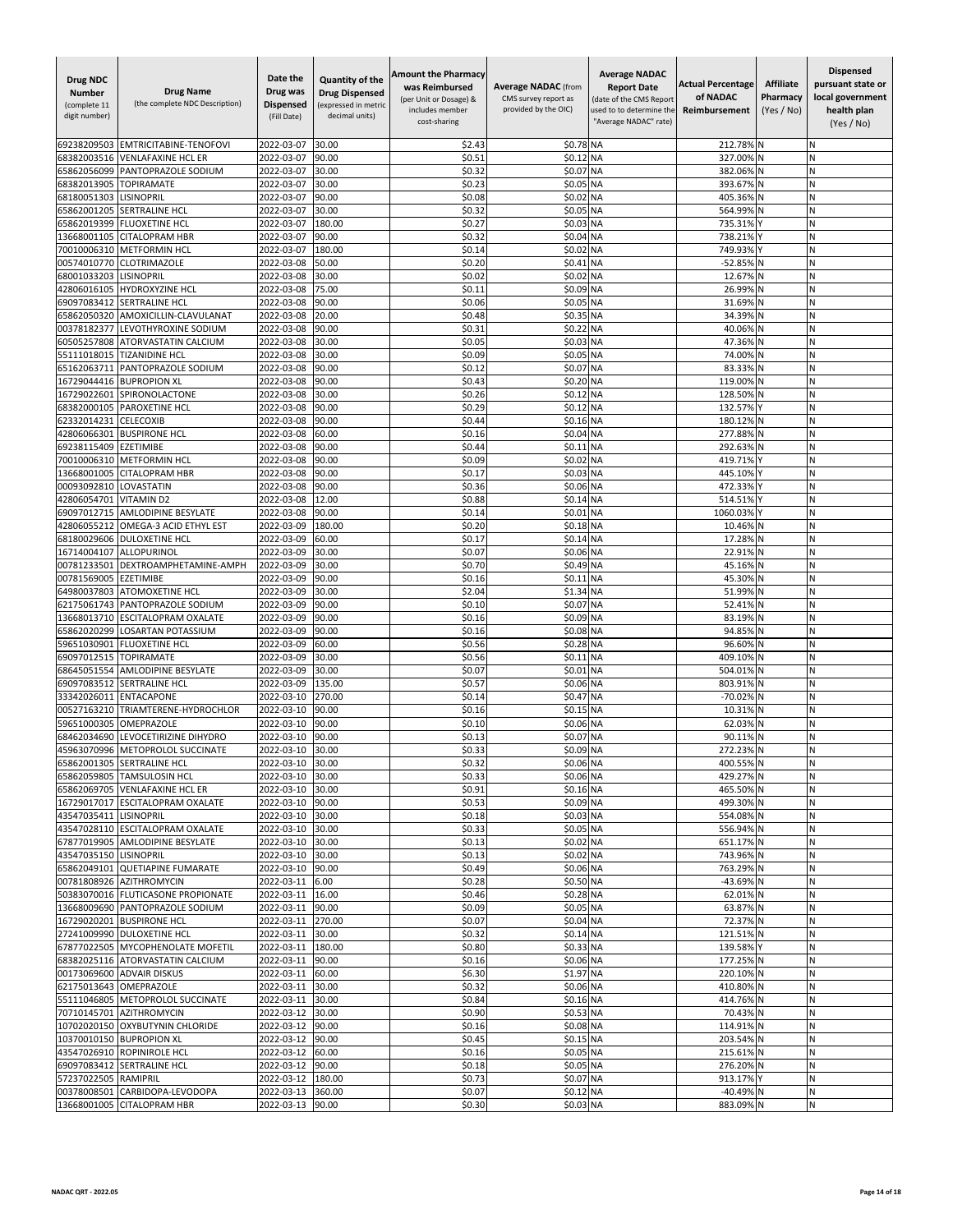| <b>Drug NDC</b><br><b>Number</b><br>(complete 11<br>digit number) | <b>Drug Name</b><br>(the complete NDC Description)            | Date the<br>Drug was<br><b>Dispensed</b><br>(Fill Date) | <b>Quantity of the</b><br><b>Drug Dispensed</b><br>(expressed in metric<br>decimal units) | <b>Amount the Pharmacy</b><br>was Reimbursed<br>(per Unit or Dosage) &<br>includes member<br>cost-sharing | <b>Average NADAC</b> (from<br>CMS survey report as<br>provided by the OIC) | <b>Average NADAC</b><br><b>Report Date</b><br>(date of the CMS Report<br>used to to determine the<br>"Average NADAC" rate) | <b>Actual Percentage</b><br>of NADAC<br>Reimbursement | <b>Affiliate</b><br>Pharmacy<br>(Yes / No) | Dispensed<br>pursuant state or<br>local government<br>health plan<br>(Yes / No) |
|-------------------------------------------------------------------|---------------------------------------------------------------|---------------------------------------------------------|-------------------------------------------------------------------------------------------|-----------------------------------------------------------------------------------------------------------|----------------------------------------------------------------------------|----------------------------------------------------------------------------------------------------------------------------|-------------------------------------------------------|--------------------------------------------|---------------------------------------------------------------------------------|
| 69238209503                                                       | EMTRICITABINE-TENOFOVI                                        | 2022-03-07                                              | 30.00                                                                                     | \$2.43                                                                                                    | \$0.78 NA                                                                  |                                                                                                                            | 212.78%                                               |                                            | N                                                                               |
| 68382003516                                                       | <b>VENLAFAXINE HCL ER</b>                                     | 2022-03-07                                              | 90.00                                                                                     | \$0.5                                                                                                     | \$0.12                                                                     | <b>NA</b>                                                                                                                  | 327.009                                               |                                            | N                                                                               |
| 65862056099                                                       | PANTOPRAZOLE SODIUM                                           | 2022-03-07                                              | 30.00                                                                                     | \$0.32                                                                                                    | \$0.07                                                                     | <b>NA</b>                                                                                                                  | 382.06%                                               |                                            | Ν                                                                               |
| 68382013905<br>68180051303                                        | <b>TOPIRAMATE</b><br>LISINOPRIL                               | 2022-03-07<br>2022-03-07                                | 30.00<br>90.00                                                                            | \$0.23<br>\$0.08                                                                                          | \$0.05<br>\$0.02                                                           | <b>NA</b><br><b>NA</b>                                                                                                     | 393.67%<br>405.36%                                    |                                            | N<br>N                                                                          |
| 65862001205                                                       | SERTRALINE HCL                                                | 2022-03-07                                              | 30.00                                                                                     | \$0.32                                                                                                    | \$0.05                                                                     | <b>NA</b>                                                                                                                  | 564.99%                                               |                                            | N                                                                               |
| 65862019399                                                       | <b>FLUOXETINE HCL</b>                                         | 2022-03-07                                              | 180.00                                                                                    | \$0.27                                                                                                    | \$0.03                                                                     | <b>NA</b>                                                                                                                  | 735.319                                               |                                            | Ń                                                                               |
| 13668001105                                                       | <b>CITALOPRAM HBR</b>                                         | 2022-03-07                                              | 90.00                                                                                     | \$0.32                                                                                                    | \$0.04                                                                     | <b>NA</b>                                                                                                                  | 738.21%                                               |                                            | N                                                                               |
| 70010006310                                                       | <b>METFORMIN HCL</b>                                          | 2022-03-07                                              | 180.00                                                                                    | \$0.14                                                                                                    | \$0.02                                                                     | <b>NA</b>                                                                                                                  | 749.93%                                               |                                            | Ν                                                                               |
| 00574010770<br>68001033203                                        | CLOTRIMAZOLE<br>LISINOPRIL                                    | 2022-03-08                                              | 50.00<br>30.00                                                                            | \$0.20<br>\$0.02                                                                                          | \$0.41<br>\$0.02 NA                                                        | <b>NA</b>                                                                                                                  | -52.85% N<br>12.67%                                   | ΙN                                         | N<br>N                                                                          |
| 42806016105                                                       | HYDROXYZINE HCL                                               | 2022-03-08<br>2022-03-08                                | 75.00                                                                                     | \$0.11                                                                                                    | \$0.09 NA                                                                  |                                                                                                                            | 26.99%                                                |                                            | N                                                                               |
| 69097083412                                                       | <b>SERTRALINE HCL</b>                                         | 2022-03-08                                              | 90.00                                                                                     | \$0.06                                                                                                    | \$0.05                                                                     | <b>NA</b>                                                                                                                  | 31.69%                                                |                                            | Ń                                                                               |
| 65862050320                                                       | AMOXICILLIN-CLAVULANAT                                        | 2022-03-08                                              | 20.00                                                                                     | \$0.48                                                                                                    | \$0.35                                                                     | <b>NA</b>                                                                                                                  | 34.39%                                                | N                                          | Ν                                                                               |
| 00378182377                                                       | LEVOTHYROXINE SODIUM                                          | 2022-03-08                                              | 90.00                                                                                     | \$0.31                                                                                                    | \$0.22                                                                     | <b>NA</b>                                                                                                                  | 40.06%                                                |                                            | И                                                                               |
| 60505257808                                                       | ATORVASTATIN CALCIUM                                          | 2022-03-08                                              | 30.00                                                                                     | \$0.05                                                                                                    | \$0.03                                                                     | <b>NA</b>                                                                                                                  | 47.36%                                                |                                            | N                                                                               |
| 55111018015<br>65162063711                                        | <b>TIZANIDINE HCL</b><br>PANTOPRAZOLE SODIUM                  | 2022-03-08<br>2022-03-08                                | 30.00<br>90.00                                                                            | \$0.09<br>\$0.12                                                                                          | \$0.05 NA<br>\$0.07                                                        | <b>NA</b>                                                                                                                  | 74.00%<br>83.33%                                      |                                            | N<br>N                                                                          |
| 16729044416                                                       | <b>BUPROPION XL</b>                                           | 2022-03-08                                              | 90.00                                                                                     | \$0.43                                                                                                    | \$0.20                                                                     | <b>NA</b>                                                                                                                  | 119.00%                                               |                                            | Ń                                                                               |
| 16729022601                                                       | SPIRONOLACTONE                                                | 2022-03-08                                              | 30.00                                                                                     | \$0.26                                                                                                    | \$0.12 NA                                                                  |                                                                                                                            | 128.50%                                               |                                            | Ν                                                                               |
| 68382000105                                                       | PAROXETINE HCL                                                | 2022-03-08                                              | 90.00                                                                                     | \$0.29                                                                                                    | \$0.12                                                                     | <b>NA</b>                                                                                                                  | 132.57%                                               |                                            | N                                                                               |
| 62332014231                                                       | CELECOXIB                                                     | 2022-03-08                                              | 90.00                                                                                     | \$0.44                                                                                                    | \$0.16 NA                                                                  |                                                                                                                            | 180.12%                                               | N                                          | N                                                                               |
| 42806066301                                                       | <b>BUSPIRONE HCL</b>                                          | 2022-03-08                                              | 60.00                                                                                     | \$0.16                                                                                                    | \$0.04                                                                     | <b>NA</b>                                                                                                                  | 277.88%                                               |                                            | N<br>Ń                                                                          |
| 69238115409<br>70010006310                                        | EZETIMIBE<br><b>METFORMIN HCL</b>                             | 2022-03-08<br>2022-03-08                                | 90.00<br>90.00                                                                            | \$0.44<br>\$0.09                                                                                          | \$0.11<br>\$0.02                                                           | <b>NA</b><br><b>NA</b>                                                                                                     | 292.63%<br>419.71%                                    |                                            | N                                                                               |
| 13668001005                                                       | <b>CITALOPRAM HBR</b>                                         | 2022-03-08                                              | 90.00                                                                                     | \$0.17                                                                                                    | \$0.03                                                                     | <b>NA</b>                                                                                                                  | 445.10%                                               |                                            | Ν                                                                               |
| 00093092810                                                       | LOVASTATIN                                                    | 2022-03-08                                              | 90.00                                                                                     | \$0.36                                                                                                    | \$0.06 NA                                                                  |                                                                                                                            | 472.33%                                               |                                            | N                                                                               |
| 42806054701                                                       | <b>VITAMIN D2</b>                                             | 2022-03-08                                              | 12.00                                                                                     | \$0.88                                                                                                    | \$0.14 NA                                                                  |                                                                                                                            | 514.51%                                               |                                            | Ν                                                                               |
| 69097012715                                                       | <b>AMLODIPINE BESYLATE</b>                                    | 2022-03-08                                              | 90.00                                                                                     | \$0.14                                                                                                    | \$0.01                                                                     | <b>NA</b>                                                                                                                  | 1060.03%                                              |                                            | N                                                                               |
| 42806055212<br>68180029606                                        | OMEGA-3 ACID ETHYL EST<br>DULOXETINE HCL                      | 2022-03-09<br>2022-03-09                                | 180.00<br>60.00                                                                           | \$0.20<br>\$0.17                                                                                          | \$0.18<br>\$0.14 NA                                                        | <b>NA</b>                                                                                                                  | 10.46%<br>17.28%                                      | N                                          | N<br>Ν                                                                          |
| 16714004107                                                       | ALLOPURINOL                                                   | 2022-03-09                                              | 30.00                                                                                     | \$0.07                                                                                                    | \$0.06 NA                                                                  |                                                                                                                            | 22.91%                                                |                                            | N                                                                               |
| 00781233501                                                       | DEXTROAMPHETAMINE-AMPH                                        | 2022-03-09                                              | 30.00                                                                                     | \$0.70                                                                                                    | \$0.49 NA                                                                  |                                                                                                                            | 45.16%                                                |                                            | N                                                                               |
| 00781569005                                                       | EZETIMIBE                                                     | 2022-03-09                                              | 90.00                                                                                     | \$0.16                                                                                                    | \$0.11 NA                                                                  |                                                                                                                            | 45.30%                                                |                                            | N                                                                               |
| 64980037803                                                       | ATOMOXETINE HCL                                               | 2022-03-09                                              | 30.00                                                                                     | \$2.04                                                                                                    | \$1.34                                                                     | <b>NA</b>                                                                                                                  | 51.99%                                                |                                            | N                                                                               |
| 62175061743                                                       | PANTOPRAZOLE SODIUM                                           | 2022-03-09                                              | 90.00                                                                                     | \$0.10                                                                                                    | \$0.07                                                                     | <b>NA</b>                                                                                                                  | 52.41%                                                |                                            | Ν                                                                               |
| 13668013710<br>65862020299                                        | ESCITALOPRAM OXALATE<br>LOSARTAN POTASSIUM                    | 2022-03-09<br>2022-03-09                                | 90.00<br>90.00                                                                            | \$0.16<br>\$0.16                                                                                          | \$0.09 NA<br>\$0.08                                                        | <b>NA</b>                                                                                                                  | 83.19%<br>94.85%                                      |                                            | И<br>И                                                                          |
| 59651030901                                                       | <b>FLUOXETINE HCL</b>                                         | 2022-03-09                                              | 60.00                                                                                     | \$0.56                                                                                                    | \$0.28 NA                                                                  |                                                                                                                            | 96.60%                                                | N                                          | N                                                                               |
| 69097012515                                                       | <b>TOPIRAMATE</b>                                             | 2022-03-09                                              | 30.00                                                                                     | \$0.56                                                                                                    | \$0.11                                                                     | <b>NA</b>                                                                                                                  | 409.10%                                               |                                            | N                                                                               |
| 68645051554                                                       | <b>AMLODIPINE BESYLATE</b>                                    | 2022-03-09                                              | 30.00                                                                                     | \$0.07                                                                                                    | \$0.01                                                                     | <b>NA</b>                                                                                                                  | 504.01%                                               |                                            | Ń                                                                               |
| 69097083512                                                       | SERTRALINE HCL                                                | 2022-03-09                                              | 135.00                                                                                    | \$0.57                                                                                                    | \$0.06 NA                                                                  |                                                                                                                            | 803.91%                                               |                                            | Ν                                                                               |
| 33342026011                                                       | <b>ENTACAPONE</b>                                             | 2022-03-10                                              | 270.00                                                                                    | \$0.14                                                                                                    | \$0.47                                                                     | <b>NA</b>                                                                                                                  | $-70.02%$                                             |                                            | N<br>N                                                                          |
| 00527163210<br>59651000305                                        | TRIAMTERENE-HYDROCHLOR<br>OMEPRAZOLE                          | 2022-03-10<br>2022-03-10                                | 90.00<br>90.00                                                                            | \$0.16<br>\$0.10                                                                                          | \$0.15 NA<br>\$0.06                                                        | <b>NA</b>                                                                                                                  | 10.31%<br>62.03%                                      |                                            | N                                                                               |
| 68462034690                                                       | LEVOCETIRIZINE DIHYDRO                                        | 2022-03-10                                              | 90.00                                                                                     | \$0.13                                                                                                    | \$0.07                                                                     | <b>NA</b>                                                                                                                  | 90.11%                                                |                                            | Ń                                                                               |
| 45963070996                                                       | METOPROLOL SUCCINATE                                          | 2022-03-10                                              | 30.00                                                                                     | \$0.33                                                                                                    | \$0.09 NA                                                                  |                                                                                                                            | 272.23% N                                             |                                            | N                                                                               |
|                                                                   | 65862001305 SERTRALINE HCL                                    | 2022-03-10 30.00                                        |                                                                                           | \$0.32                                                                                                    | \$0.06 NA                                                                  |                                                                                                                            | 400.55% N                                             |                                            | Ν                                                                               |
|                                                                   | 65862059805 TAMSULOSIN HCL<br>65862069705 VENLAFAXINE HCL ER  | 2022-03-10                                              | 30.00                                                                                     | \$0.33<br>\$0.91                                                                                          | \$0.06 NA                                                                  |                                                                                                                            | 429.27% N                                             |                                            | N                                                                               |
|                                                                   | 16729017017 ESCITALOPRAM OXALATE                              | 2022-03-10<br>2022-03-10 90.00                          | 30.00                                                                                     | \$0.53                                                                                                    | \$0.16 NA<br>\$0.09 NA                                                     |                                                                                                                            | 465.50% N<br>499.30% N                                |                                            | Ν<br>И                                                                          |
| 43547035411                                                       | <b>LISINOPRIL</b>                                             | 2022-03-10                                              | 30.00                                                                                     | \$0.18                                                                                                    | \$0.03 NA                                                                  |                                                                                                                            | 554.08% N                                             |                                            | И                                                                               |
|                                                                   | 43547028110 ESCITALOPRAM OXALATE                              | 2022-03-10                                              | 30.00                                                                                     | \$0.33                                                                                                    | \$0.05 NA                                                                  |                                                                                                                            | 556.94% N                                             |                                            | N                                                                               |
|                                                                   | 67877019905 AMLODIPINE BESYLATE                               | 2022-03-10                                              | 30.00                                                                                     | \$0.13                                                                                                    | \$0.02 NA                                                                  |                                                                                                                            | 651.17% N                                             |                                            | N                                                                               |
| 43547035150 LISINOPRIL                                            |                                                               | 2022-03-10                                              | 30.00                                                                                     | \$0.13                                                                                                    | \$0.02 NA                                                                  |                                                                                                                            | 743.96% N                                             |                                            | N                                                                               |
|                                                                   | 65862049101 QUETIAPINE FUMARATE<br>00781808926 AZITHROMYCIN   | 2022-03-10 90.00<br>2022-03-11                          | 6.00                                                                                      | \$0.49<br>\$0.28                                                                                          | \$0.06 NA<br>\$0.50 NA                                                     |                                                                                                                            | 763.29% N<br>-43.69% N                                |                                            | И<br>N                                                                          |
|                                                                   | 50383070016 FLUTICASONE PROPIONATE                            | 2022-03-11                                              | 16.00                                                                                     | \$0.46                                                                                                    | \$0.28 NA                                                                  |                                                                                                                            | 62.01% N                                              |                                            | И                                                                               |
|                                                                   | 13668009690 PANTOPRAZOLE SODIUM                               | 2022-03-11                                              | 90.00                                                                                     | \$0.09                                                                                                    | \$0.05 NA                                                                  |                                                                                                                            | 63.87% N                                              |                                            | Ν                                                                               |
|                                                                   | 16729020201 BUSPIRONE HCL                                     | 2022-03-11                                              | 270.00                                                                                    | \$0.07                                                                                                    | \$0.04 NA                                                                  |                                                                                                                            | 72.37% N                                              |                                            | N                                                                               |
|                                                                   | 27241009990 DULOXETINE HCL                                    | 2022-03-11 30.00                                        |                                                                                           | \$0.32                                                                                                    | \$0.14 NA                                                                  |                                                                                                                            | 121.51% N                                             |                                            | N                                                                               |
|                                                                   | 67877022505 MYCOPHENOLATE MOFETIL                             | 2022-03-11 180.00                                       |                                                                                           | \$0.80                                                                                                    | \$0.33 NA                                                                  |                                                                                                                            | 139.58% Y                                             |                                            | И                                                                               |
|                                                                   | 68382025116 ATORVASTATIN CALCIUM<br>00173069600 ADVAIR DISKUS | 2022-03-11 90.00<br>2022-03-11                          | 60.00                                                                                     | \$0.16<br>\$6.30                                                                                          | \$0.06 NA<br>\$1.97 NA                                                     |                                                                                                                            | 177.25% N<br>220.10% N                                |                                            | И<br>Ν                                                                          |
| 62175013643 OMEPRAZOLE                                            |                                                               | 2022-03-11                                              | 30.00                                                                                     | \$0.32                                                                                                    | \$0.06 NA                                                                  |                                                                                                                            | 410.80% N                                             |                                            | И                                                                               |
|                                                                   | 55111046805 METOPROLOL SUCCINATE                              | 2022-03-11                                              | 30.00                                                                                     | \$0.84                                                                                                    | \$0.16 NA                                                                  |                                                                                                                            | 414.76% N                                             |                                            | И                                                                               |
|                                                                   | 70710145701 AZITHROMYCIN                                      | 2022-03-12                                              | 30.00                                                                                     | \$0.90                                                                                                    | \$0.53 NA                                                                  |                                                                                                                            | 70.43% N                                              |                                            | Ν                                                                               |
|                                                                   | 10702020150 OXYBUTYNIN CHLORIDE                               | 2022-03-12                                              | 90.00                                                                                     | \$0.16                                                                                                    | \$0.08 NA                                                                  |                                                                                                                            | 114.91% N                                             |                                            | И                                                                               |
|                                                                   | 10370010150 BUPROPION XL                                      | 2022-03-12                                              | 90.00                                                                                     | \$0.45                                                                                                    | \$0.15 NA                                                                  |                                                                                                                            | 203.54% N                                             |                                            | N                                                                               |
|                                                                   | 43547026910 ROPINIROLE HCL<br>69097083412 SERTRALINE HCL      | 2022-03-12<br>2022-03-12                                | 60.00<br>90.00                                                                            | \$0.16<br>\$0.18                                                                                          | \$0.05 NA<br>\$0.05 NA                                                     |                                                                                                                            | 215.61% N<br>276.20% N                                |                                            | И<br>N                                                                          |
| 57237022505 RAMIPRIL                                              |                                                               | 2022-03-12 180.00                                       |                                                                                           | \$0.73                                                                                                    | \$0.07 NA                                                                  |                                                                                                                            | 913.17% Y                                             |                                            | N                                                                               |
|                                                                   | 00378008501 CARBIDOPA-LEVODOPA                                | 2022-03-13 360.00                                       |                                                                                           | \$0.07                                                                                                    | \$0.12 NA                                                                  |                                                                                                                            | -40.49% N                                             |                                            | Ν                                                                               |
|                                                                   | 13668001005 CITALOPRAM HBR                                    | 2022-03-13 90.00                                        |                                                                                           | \$0.30                                                                                                    | \$0.03 NA                                                                  |                                                                                                                            | 883.09% N                                             |                                            | Ν                                                                               |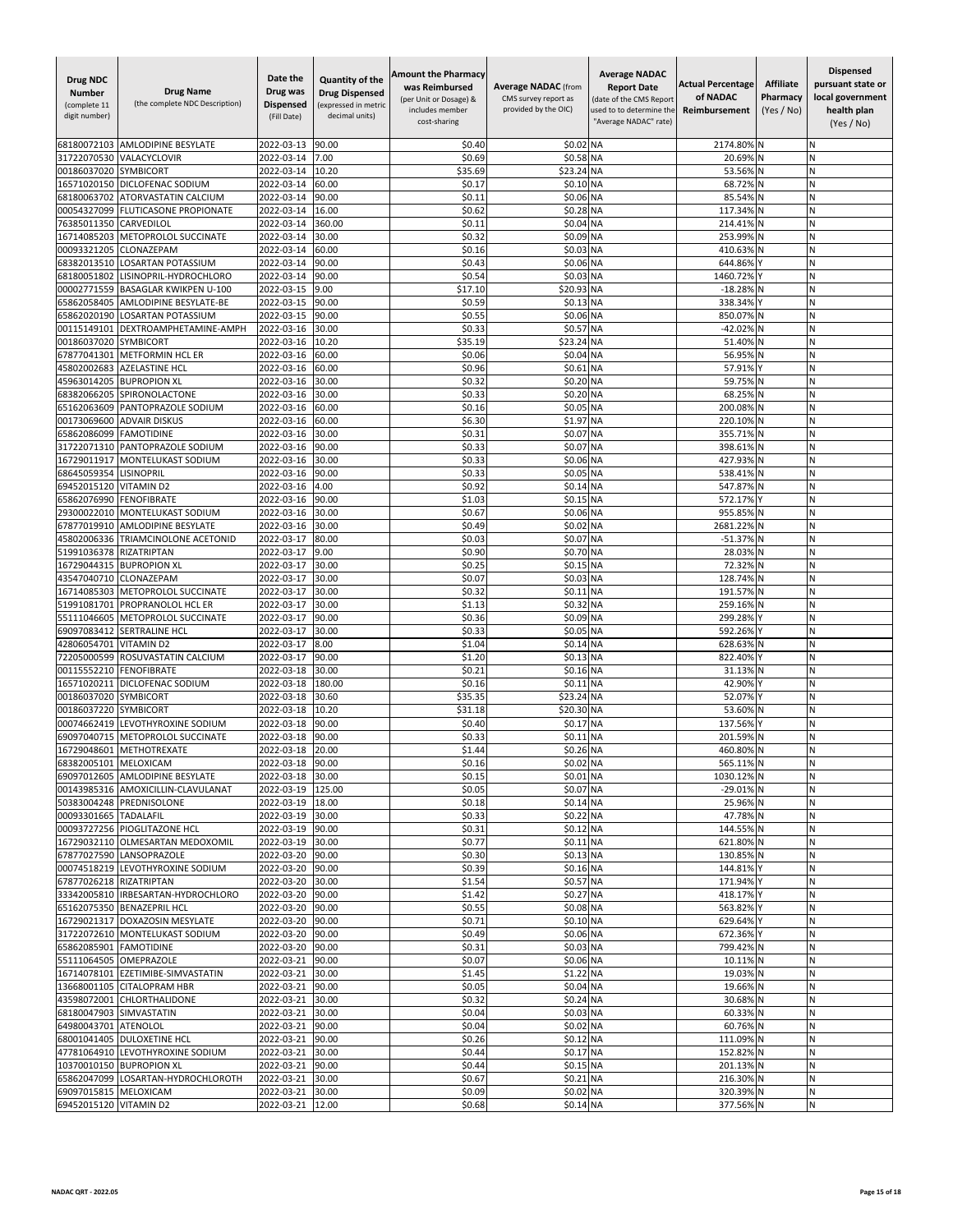| Drug NDC<br><b>Number</b><br>(complete 11<br>digit number) | <b>Drug Name</b><br>(the complete NDC Description)             | Date the<br>Drug was<br><b>Dispensed</b><br>(Fill Date) | Quantity of the<br><b>Drug Dispensed</b><br>(expressed in metric<br>decimal units) | Amount the Pharmacy<br>was Reimbursed<br>(per Unit or Dosage) &<br>includes member<br>cost-sharing | <b>Average NADAC (from</b><br>CMS survey report as<br>provided by the OIC) | <b>Average NADAC</b><br><b>Report Date</b><br>(date of the CMS Report<br>used to to determine the<br>"Average NADAC" rate) | <b>Actual Percentage</b><br>of NADAC<br>Reimbursement | <b>Affiliate</b><br>Pharmacy<br>(Yes / No) | <b>Dispensed</b><br>pursuant state or<br>local government<br>health plan<br>(Yes / No) |
|------------------------------------------------------------|----------------------------------------------------------------|---------------------------------------------------------|------------------------------------------------------------------------------------|----------------------------------------------------------------------------------------------------|----------------------------------------------------------------------------|----------------------------------------------------------------------------------------------------------------------------|-------------------------------------------------------|--------------------------------------------|----------------------------------------------------------------------------------------|
| 68180072103                                                | <b>AMLODIPINE BESYLATE</b>                                     | 2022-03-13                                              | 90.00                                                                              | \$0.40                                                                                             | \$0.02                                                                     | <b>NA</b>                                                                                                                  | 2174.80%                                              |                                            | N                                                                                      |
| 31722070530                                                | VALACYCLOVIR                                                   | 2022-03-14                                              | 7.00                                                                               | \$0.69                                                                                             | \$0.58 NA                                                                  |                                                                                                                            | 20.69%                                                |                                            | N                                                                                      |
| 00186037020                                                | SYMBICORT                                                      | 2022-03-14                                              | 10.20                                                                              | \$35.69                                                                                            | \$23.24 NA                                                                 |                                                                                                                            | 53.56%                                                |                                            | И                                                                                      |
| 16571020150                                                | DICLOFENAC SODIUM                                              | 2022-03-14                                              | 60.00                                                                              | \$0.17                                                                                             | \$0.10 NA                                                                  |                                                                                                                            | 68.72%                                                | N                                          | И                                                                                      |
| 68180063702<br>00054327099                                 | ATORVASTATIN CALCIUM<br><b>FLUTICASONE PROPIONATE</b>          | 2022-03-14<br>2022-03-14                                | 90.00<br>16.00                                                                     | \$0.11<br>\$0.62                                                                                   | \$0.06 NA<br>\$0.28 NA                                                     |                                                                                                                            | 85.54%<br>117.34%                                     |                                            | Ν<br>N                                                                                 |
| 76385011350                                                | CARVEDILOL                                                     | 2022-03-14                                              | 360.00                                                                             | \$0.11                                                                                             | \$0.04                                                                     | <b>NA</b>                                                                                                                  | 214.41%                                               |                                            | Ń                                                                                      |
| 16714085203                                                | METOPROLOL SUCCINATE                                           | 2022-03-14                                              | 30.00                                                                              | \$0.32                                                                                             | \$0.09 NA                                                                  |                                                                                                                            | 253.99%                                               |                                            | N                                                                                      |
| 00093321205                                                | CLONAZEPAM                                                     | 2022-03-14                                              | 60.00                                                                              | \$0.16                                                                                             | \$0.03 NA                                                                  |                                                                                                                            | 410.63%                                               |                                            | N                                                                                      |
| 68382013510<br>68180051802                                 | <b>LOSARTAN POTASSIUM</b>                                      | 2022-03-14                                              | 90.00                                                                              | \$0.43                                                                                             | \$0.06 NA                                                                  |                                                                                                                            | 644.86%                                               |                                            | N<br>N                                                                                 |
| 00002771559                                                | LISINOPRIL-HYDROCHLORO<br><b>BASAGLAR KWIKPEN U-100</b>        | 2022-03-14<br>2022-03-15                                | 90.00<br>9.00                                                                      | \$0.54<br>\$17.10                                                                                  | \$0.03<br>\$20.93                                                          | <b>NA</b><br>MA                                                                                                            | 1460.72%<br>$-18.28%$                                 |                                            | Ń                                                                                      |
| 65862058405                                                | AMLODIPINE BESYLATE-BE                                         | 2022-03-15                                              | 90.00                                                                              | \$0.59                                                                                             | \$0.13 NA                                                                  |                                                                                                                            | 338.34%                                               |                                            | Ν                                                                                      |
| 65862020190                                                | LOSARTAN POTASSIUM                                             | 2022-03-15                                              | 90.00                                                                              | \$0.55                                                                                             | \$0.06 NA                                                                  |                                                                                                                            | 850.07%                                               | N                                          | Ν                                                                                      |
| 00115149101                                                | DEXTROAMPHETAMINE-AMPH                                         | 2022-03-16                                              | 30.00                                                                              | \$0.33                                                                                             | \$0.57                                                                     | <b>NA</b>                                                                                                                  | $-42.02%$                                             |                                            | Ν                                                                                      |
| 00186037020                                                | <b>SYMBICORT</b>                                               | 2022-03-16                                              | 10.20                                                                              | \$35.19                                                                                            | \$23.24 NA                                                                 |                                                                                                                            | 51.40%                                                |                                            | N                                                                                      |
| 67877041301<br>45802002683                                 | <b>METFORMIN HCL ER</b><br><b>AZELASTINE HCL</b>               | 2022-03-16<br>2022-03-16                                | 60.00<br>60.00                                                                     | \$0.06<br>\$0.96                                                                                   | \$0.04<br>\$0.61                                                           | <b>NA</b><br><b>NA</b>                                                                                                     | 56.95%<br>57.91%                                      |                                            | И<br>N                                                                                 |
| 45963014205                                                | <b>BUPROPION XL</b>                                            | 2022-03-16                                              | 30.00                                                                              | \$0.32                                                                                             | \$0.20                                                                     | <b>NA</b>                                                                                                                  | 59.75%                                                |                                            | N                                                                                      |
| 68382066205                                                | SPIRONOLACTONE                                                 | 2022-03-16                                              | 30.00                                                                              | \$0.33                                                                                             | \$0.20 NA                                                                  |                                                                                                                            | 68.25%                                                |                                            | N                                                                                      |
| 65162063609                                                | PANTOPRAZOLE SODIUM                                            | 2022-03-16                                              | 60.00                                                                              | \$0.16                                                                                             | \$0.05                                                                     | <b>NA</b>                                                                                                                  | 200.08%                                               |                                            | Ν                                                                                      |
| 00173069600                                                | <b>ADVAIR DISKUS</b>                                           | 2022-03-16                                              | 60.00                                                                              | \$6.30                                                                                             | \$1.97 NA                                                                  |                                                                                                                            | 220.10% N                                             |                                            | N                                                                                      |
| 65862086099                                                | <b>FAMOTIDINE</b>                                              | 2022-03-16                                              | 30.00                                                                              | \$0.31                                                                                             | \$0.07                                                                     | <b>NA</b>                                                                                                                  | 355.71%                                               |                                            | Ń<br>N                                                                                 |
| 31722071310<br>16729011917                                 | PANTOPRAZOLE SODIUM<br>MONTELUKAST SODIUM                      | 2022-03-16<br>2022-03-16                                | 90.00<br>30.00                                                                     | \$0.33<br>\$0.33                                                                                   | \$0.07<br>\$0.06 NA                                                        | <b>NA</b>                                                                                                                  | 398.61%<br>427.93%                                    |                                            | Ν                                                                                      |
| 68645059354                                                | <b>LISINOPRIL</b>                                              | 2022-03-16                                              | 90.00                                                                              | \$0.33                                                                                             | \$0.05 NA                                                                  |                                                                                                                            | 538.41% N                                             |                                            | N                                                                                      |
| 69452015120                                                | <b>VITAMIND2</b>                                               | 2022-03-16                                              | 4.00                                                                               | \$0.92                                                                                             | \$0.14 NA                                                                  |                                                                                                                            | 547.87% N                                             |                                            | N                                                                                      |
| 65862076990                                                | <b>FENOFIBRATE</b>                                             | 2022-03-16                                              | 90.00                                                                              | \$1.03                                                                                             | \$0.15 NA                                                                  |                                                                                                                            | 572.17%                                               |                                            | И                                                                                      |
| 29300022010                                                | MONTELUKAST SODIUM                                             | 2022-03-16                                              | 30.00                                                                              | \$0.67                                                                                             | \$0.06 NA                                                                  |                                                                                                                            | 955.85%                                               |                                            | N                                                                                      |
| 67877019910<br>45802006336                                 | <b>AMLODIPINE BESYLATE</b><br><b>TRIAMCINOLONE ACETONID</b>    | 2022-03-16<br>2022-03-17                                | 30.00<br>80.00                                                                     | \$0.49<br>\$0.03                                                                                   | \$0.02<br>\$0.07                                                           | <b>NA</b><br><b>NA</b>                                                                                                     | 2681.22%<br>$-51.37%$                                 | N                                          | N<br>Ν                                                                                 |
| 51991036378                                                | <b>RIZATRIPTAN</b>                                             | 2022-03-17                                              | 9.00                                                                               | \$0.90                                                                                             | \$0.70 NA                                                                  |                                                                                                                            | 28.03% N                                              |                                            | N                                                                                      |
|                                                            | 16729044315 BUPROPION XL                                       | 2022-03-17                                              | 30.00                                                                              | \$0.25                                                                                             | \$0.15 NA                                                                  |                                                                                                                            | 72.32%                                                |                                            | N                                                                                      |
| 43547040710                                                | CLONAZEPAM                                                     | 2022-03-17                                              | 30.00                                                                              | \$0.07                                                                                             | \$0.03                                                                     | MA                                                                                                                         | 128.74%                                               |                                            | Ń                                                                                      |
| 16714085303                                                | METOPROLOL SUCCINATE                                           | 2022-03-17                                              | 30.00                                                                              | \$0.32                                                                                             | \$0.1                                                                      | <b>NA</b>                                                                                                                  | 191.57%                                               |                                            | N                                                                                      |
| 51991081701                                                | PROPRANOLOL HCL ER                                             | 2022-03-17                                              | 30.00                                                                              | \$1.13                                                                                             | \$0.32                                                                     | <b>NA</b>                                                                                                                  | 259.16%                                               |                                            | Ν<br>N                                                                                 |
| 55111046605<br>69097083412                                 | METOPROLOL SUCCINATE<br><b>SERTRALINE HCL</b>                  | 2022-03-17<br>2022-03-17                                | 90.00<br>30.00                                                                     | \$0.36<br>\$0.33                                                                                   | \$0.09 NA<br>\$0.05 NA                                                     |                                                                                                                            | 299.28%<br>592.26%                                    |                                            | N                                                                                      |
| 42806054701                                                | <b>VITAMIND2</b>                                               | 2022-03-17                                              | 8.00                                                                               | \$1.04                                                                                             | \$0.14 NA                                                                  |                                                                                                                            | 628.63%                                               |                                            | N                                                                                      |
| 72205000599                                                | ROSUVASTATIN CALCIUM                                           | 2022-03-17                                              | 90.00                                                                              | \$1.20                                                                                             | \$0.13                                                                     | <b>NA</b>                                                                                                                  | 822.40%                                               |                                            | N                                                                                      |
| 00115552210                                                | <b>FENOFIBRATE</b>                                             | 2022-03-18                                              | 30.00                                                                              | \$0.21                                                                                             | \$0.16 NA                                                                  |                                                                                                                            | 31.13%                                                |                                            | N                                                                                      |
| 16571020211                                                | <b>DICLOFENAC SODIUM</b>                                       | 2022-03-18                                              | 180.00                                                                             | \$0.16                                                                                             | \$0.11 NA                                                                  |                                                                                                                            | 42.90%                                                |                                            | Ν                                                                                      |
| 00186037020<br>00186037220                                 | <b>SYMBICORT</b><br><b>SYMBICORT</b>                           | 2022-03-18<br>2022-03-18                                | 30.60<br>10.20                                                                     | \$35.35<br>\$31.18                                                                                 | \$23.24 NA<br>\$20.30 NA                                                   |                                                                                                                            | 52.07%<br>53.60%                                      | <b>N</b>                                   | И<br>N                                                                                 |
| 00074662419                                                | LEVOTHYROXINE SODIUM                                           | 2022-03-18                                              | 90.00                                                                              | \$0.40                                                                                             | \$0.17                                                                     | <b>NA</b>                                                                                                                  | 137.56%                                               |                                            | N                                                                                      |
| 69097040715                                                | METOPROLOL SUCCINATE                                           | 2022-03-18                                              | 90.00                                                                              | \$0.33                                                                                             | \$0.11                                                                     | <b>NA</b>                                                                                                                  | 201.59%                                               |                                            | N                                                                                      |
|                                                            | 16729048601 METHOTREXATE                                       | 2022-03-18                                              | 20.00                                                                              | \$1.44                                                                                             | \$0.26 NA                                                                  |                                                                                                                            | 460.80% N                                             |                                            | N                                                                                      |
| 68382005101 MELOXICAM                                      |                                                                | 2022-03-18 90.00                                        |                                                                                    | \$0.16                                                                                             | \$0.02 NA                                                                  |                                                                                                                            | 565.11% N                                             |                                            | N                                                                                      |
|                                                            | 69097012605 AMLODIPINE BESYLATE                                | 2022-03-18<br>2022-03-19 125.00                         | 30.00                                                                              | \$0.15                                                                                             | \$0.01 NA                                                                  |                                                                                                                            | 1030.12% N                                            |                                            | Ν<br>N                                                                                 |
|                                                            | 00143985316 AMOXICILLIN-CLAVULANAT<br>50383004248 PREDNISOLONE | 2022-03-19                                              | 18.00                                                                              | \$0.05<br>\$0.18                                                                                   | \$0.07 NA<br>\$0.14 NA                                                     |                                                                                                                            | -29.01% N<br>25.96% N                                 |                                            | N                                                                                      |
| 00093301665 TADALAFIL                                      |                                                                | 2022-03-19                                              | 30.00                                                                              | \$0.33                                                                                             | \$0.22 NA                                                                  |                                                                                                                            | 47.78% N                                              |                                            | N                                                                                      |
|                                                            | 00093727256 PIOGLITAZONE HCL                                   | 2022-03-19                                              | 90.00                                                                              | \$0.31                                                                                             | \$0.12 NA                                                                  |                                                                                                                            | 144.55% N                                             |                                            | И                                                                                      |
|                                                            | 16729032110 OLMESARTAN MEDOXOMIL                               | 2022-03-19                                              | 30.00                                                                              | \$0.77                                                                                             | \$0.11 NA                                                                  |                                                                                                                            | 621.80% N                                             |                                            | N                                                                                      |
|                                                            | 67877027590 LANSOPRAZOLE                                       | 2022-03-20                                              | 90.00                                                                              | \$0.30                                                                                             | \$0.13 NA                                                                  |                                                                                                                            | 130.85% N                                             |                                            | N                                                                                      |
| 67877026218 RIZATRIPTAN                                    | 00074518219 LEVOTHYROXINE SODIUM                               | 2022-03-20<br>2022-03-20                                | 90.00<br>30.00                                                                     | \$0.39<br>\$1.54                                                                                   | \$0.16 NA<br>\$0.57 NA                                                     |                                                                                                                            | 144.81%<br>171.94%                                    |                                            | Ν<br>N                                                                                 |
|                                                            | 33342005810 IRBESARTAN-HYDROCHLORO                             | 2022-03-20                                              | 90.00                                                                              | \$1.42                                                                                             | \$0.27 NA                                                                  |                                                                                                                            | 418.17% Y                                             |                                            | Ν                                                                                      |
|                                                            | 65162075350 BENAZEPRIL HCL                                     | 2022-03-20                                              | 90.00                                                                              | \$0.55                                                                                             | \$0.08 NA                                                                  |                                                                                                                            | 563.82%                                               |                                            | N                                                                                      |
|                                                            | 16729021317 DOXAZOSIN MESYLATE                                 | 2022-03-20                                              | 90.00                                                                              | \$0.71                                                                                             | \$0.10 NA                                                                  |                                                                                                                            | 629.64% Y                                             |                                            | Ν                                                                                      |
|                                                            | 31722072610 MONTELUKAST SODIUM                                 | 2022-03-20                                              | 90.00                                                                              | \$0.49                                                                                             | \$0.06 NA                                                                  |                                                                                                                            | 672.36% Y                                             |                                            | N                                                                                      |
| 65862085901 FAMOTIDINE                                     |                                                                | 2022-03-20                                              | 90.00                                                                              | \$0.31                                                                                             | \$0.03 NA                                                                  |                                                                                                                            | 799.42% N                                             |                                            | N<br>N                                                                                 |
|                                                            | 55111064505 OMEPRAZOLE<br>16714078101 EZETIMIBE-SIMVASTATIN    | 2022-03-21<br>2022-03-21                                | 90.00<br>30.00                                                                     | \$0.07<br>\$1.45                                                                                   | \$0.06 NA<br>\$1.22 NA                                                     |                                                                                                                            | 10.11% N<br>19.03% N                                  |                                            | Ν                                                                                      |
|                                                            | 13668001105 CITALOPRAM HBR                                     | 2022-03-21                                              | 90.00                                                                              | \$0.05                                                                                             | \$0.04 NA                                                                  |                                                                                                                            | 19.66% N                                              |                                            | Ν                                                                                      |
|                                                            | 43598072001 CHLORTHALIDONE                                     | 2022-03-21                                              | 30.00                                                                              | \$0.32                                                                                             | \$0.24 NA                                                                  |                                                                                                                            | 30.68% N                                              |                                            | N                                                                                      |
|                                                            | 68180047903 SIMVASTATIN                                        | 2022-03-21 30.00                                        |                                                                                    | \$0.04                                                                                             | \$0.03 NA                                                                  |                                                                                                                            | 60.33% N                                              |                                            | N                                                                                      |
| 64980043701 ATENOLOL                                       |                                                                | 2022-03-21                                              | 90.00                                                                              | \$0.04                                                                                             | \$0.02 NA                                                                  |                                                                                                                            | 60.76% N                                              |                                            | N                                                                                      |
|                                                            | 68001041405 DULOXETINE HCL                                     | 2022-03-21                                              | 90.00                                                                              | \$0.26                                                                                             | \$0.12 NA                                                                  |                                                                                                                            | 111.09% N                                             |                                            | Ν                                                                                      |
|                                                            | 47781064910 LEVOTHYROXINE SODIUM<br>10370010150 BUPROPION XL   | 2022-03-21<br>2022-03-21                                | 30.00<br>90.00                                                                     | \$0.44<br>\$0.44                                                                                   | \$0.17 NA<br>\$0.15 NA                                                     |                                                                                                                            | 152.82% N<br>201.13% N                                |                                            | N<br>Ν                                                                                 |
|                                                            | 65862047099 LOSARTAN-HYDROCHLOROTH                             | 2022-03-21 30.00                                        |                                                                                    | \$0.67                                                                                             | \$0.21 NA                                                                  |                                                                                                                            | 216.30% N                                             |                                            | Ν                                                                                      |
| 69097015815 MELOXICAM                                      |                                                                | 2022-03-21                                              | 30.00                                                                              | \$0.09                                                                                             | \$0.02 NA                                                                  |                                                                                                                            | 320.39% N                                             |                                            | N                                                                                      |
| 69452015120 VITAMIN D2                                     |                                                                | 2022-03-21                                              | 12.00                                                                              | \$0.68                                                                                             | \$0.14 NA                                                                  |                                                                                                                            | 377.56% N                                             |                                            | Ν                                                                                      |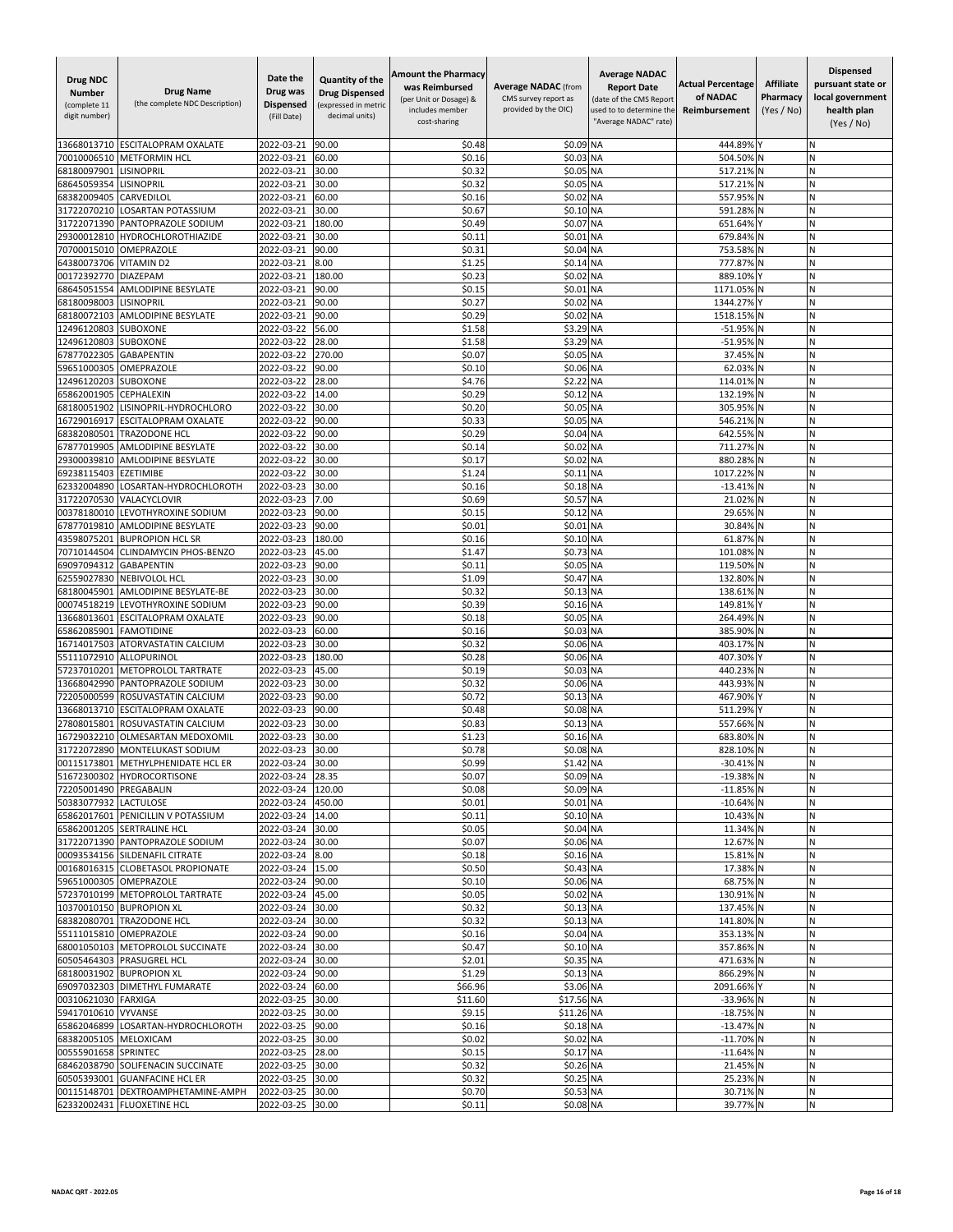| <b>Drug NDC</b><br><b>Number</b><br>(complete 11<br>digit number) | <b>Drug Name</b><br>(the complete NDC Description)                 | Date the<br>Drug was<br>Dispensed<br>(Fill Date) | <b>Quantity of the</b><br><b>Drug Dispensed</b><br>(expressed in metric<br>decimal units) | <b>Amount the Pharmacy</b><br>was Reimbursed<br>(per Unit or Dosage) &<br>includes member<br>cost-sharing | <b>Average NADAC (from</b><br>CMS survey report as<br>provided by the OIC) | <b>Average NADAC</b><br><b>Report Date</b><br>(date of the CMS Report<br>used to to determine the<br>'Average NADAC" rate) | <b>Actual Percentage</b><br>of NADAC<br>Reimbursement | <b>Affiliate</b><br>Pharmacy<br>(Yes / No) | <b>Dispensed</b><br>pursuant state or<br>local government<br>health plan<br>(Yes / No) |
|-------------------------------------------------------------------|--------------------------------------------------------------------|--------------------------------------------------|-------------------------------------------------------------------------------------------|-----------------------------------------------------------------------------------------------------------|----------------------------------------------------------------------------|----------------------------------------------------------------------------------------------------------------------------|-------------------------------------------------------|--------------------------------------------|----------------------------------------------------------------------------------------|
| 13668013710                                                       | <b>ESCITALOPRAM OXALATE</b>                                        | 2022-03-21                                       | 90.00                                                                                     | \$0.48                                                                                                    | \$0.09 NA                                                                  |                                                                                                                            | 444.89%                                               |                                            | N                                                                                      |
| 70010006510                                                       | <b>METFORMIN HCL</b>                                               | 2022-03-21                                       | 60.00                                                                                     | \$0.16                                                                                                    | \$0.03 NA                                                                  |                                                                                                                            | 504.50%                                               |                                            | N                                                                                      |
| 68180097901                                                       | LISINOPRIL                                                         | 2022-03-21                                       | 30.00                                                                                     | \$0.32                                                                                                    | \$0.05 NA                                                                  |                                                                                                                            | 517.21% N                                             |                                            | N                                                                                      |
| 68645059354                                                       | <b>LISINOPRIL</b>                                                  | 2022-03-21                                       | 30.00                                                                                     | \$0.32                                                                                                    | \$0.05 NA                                                                  |                                                                                                                            | 517.21% N                                             |                                            | N                                                                                      |
| 68382009405<br>31722070210                                        | CARVEDILOL<br><b>LOSARTAN POTASSIUM</b>                            | 2022-03-21                                       | 60.00                                                                                     | \$0.16                                                                                                    | \$0.02 NA                                                                  |                                                                                                                            | 557.95% N                                             |                                            | N<br>N                                                                                 |
| 31722071390                                                       | PANTOPRAZOLE SODIUM                                                | 2022-03-21<br>2022-03-21                         | 30.00<br>180.00                                                                           | \$0.67<br>\$0.49                                                                                          | \$0.10 NA<br>\$0.07                                                        | <b>NA</b>                                                                                                                  | 591.28%<br>651.64%                                    |                                            |                                                                                        |
| 29300012810                                                       | HYDROCHLOROTHIAZIDE                                                | 2022-03-21                                       | 30.00                                                                                     | \$0.11                                                                                                    | \$0.01                                                                     | <b>NA</b>                                                                                                                  | 679.84% N                                             |                                            | N                                                                                      |
| 70700015010                                                       | OMEPRAZOLE                                                         | 2022-03-21                                       | 90.00                                                                                     | \$0.32                                                                                                    | \$0.04 NA                                                                  |                                                                                                                            | 753.58% N                                             |                                            | N                                                                                      |
| 64380073706                                                       | <b>VITAMIND2</b>                                                   | 2022-03-21                                       | 8.00                                                                                      | \$1.25                                                                                                    | \$0.14 NA                                                                  |                                                                                                                            | 777.87% N                                             |                                            | N                                                                                      |
| 00172392770                                                       | <b>DIAZEPAM</b>                                                    | 2022-03-21                                       | 180.00                                                                                    | \$0.23                                                                                                    | \$0.02 NA                                                                  |                                                                                                                            | 889.10%                                               |                                            | N                                                                                      |
| 68645051554                                                       | <b>AMLODIPINE BESYLATE</b>                                         | 2022-03-21                                       | 90.00                                                                                     | \$0.15                                                                                                    | \$0.01                                                                     | <b>NA</b>                                                                                                                  | 1171.05%                                              |                                            | N<br>N                                                                                 |
| 68180098003<br>68180072103                                        | <b>LISINOPRIL</b><br><b>AMLODIPINE BESYLATE</b>                    | 2022-03-21<br>2022-03-21                         | 90.00<br>90.00                                                                            | \$0.27<br>\$0.29                                                                                          | \$0.02<br>\$0.02                                                           | <b>NA</b><br><b>NA</b>                                                                                                     | 1344.27%<br>1518.15%                                  |                                            | N                                                                                      |
| 12496120803                                                       | <b>SUBOXONE</b>                                                    | 2022-03-22                                       | 56.00                                                                                     | \$1.58                                                                                                    | \$3.29 NA                                                                  |                                                                                                                            | -51.95% N                                             |                                            | N                                                                                      |
| 12496120803                                                       | <b>SUBOXONE</b>                                                    | 2022-03-22                                       | 28.00                                                                                     | \$1.58                                                                                                    | \$3.29 NA                                                                  |                                                                                                                            | -51.95% N                                             |                                            | N                                                                                      |
| 67877022305                                                       | <b>GABAPENTIN</b>                                                  | 2022-03-22                                       | 270.00                                                                                    | \$0.07                                                                                                    | \$0.05 NA                                                                  |                                                                                                                            | 37.45% N                                              |                                            | N                                                                                      |
| 59651000305                                                       | OMEPRAZOLE                                                         | 2022-03-22                                       | 90.00                                                                                     | \$0.10                                                                                                    | \$0.06                                                                     | <b>NA</b>                                                                                                                  | 62.03% N                                              |                                            | N                                                                                      |
| 12496120203                                                       | <b>SUBOXONE</b>                                                    | 2022-03-22                                       | 28.00                                                                                     | \$4.76                                                                                                    | \$2.22                                                                     | <b>NA</b>                                                                                                                  | 114.01% N                                             |                                            | N                                                                                      |
| 65862001905<br>68180051902                                        | <b>CEPHALEXIN</b><br>LISINOPRIL-HYDROCHLORO                        | 2022-03-22<br>2022-03-22                         | 14.00<br>30.00                                                                            | \$0.29<br>\$0.20                                                                                          | \$0.12 NA<br>\$0.05                                                        | <b>NA</b>                                                                                                                  | 132.19% N<br>305.95% N                                |                                            | N<br>N                                                                                 |
| 16729016917                                                       | ESCITALOPRAM OXALATE                                               | 2022-03-22                                       | 90.00                                                                                     | \$0.33                                                                                                    | \$0.05 NA                                                                  |                                                                                                                            | 546.21% N                                             |                                            | N                                                                                      |
| 68382080501                                                       | TRAZODONE HCL                                                      | 2022-03-22                                       | 90.00                                                                                     | \$0.29                                                                                                    | \$0.04 NA                                                                  |                                                                                                                            | 642.55%                                               |                                            | N                                                                                      |
| 67877019905                                                       | AMLODIPINE BESYLATE                                                | 2022-03-22                                       | 30.00                                                                                     | \$0.14                                                                                                    | \$0.02                                                                     | <b>NA</b>                                                                                                                  | 711.27% N                                             |                                            | N                                                                                      |
| 29300039810                                                       | AMLODIPINE BESYLATE                                                | 2022-03-22                                       | 30.00                                                                                     | \$0.17                                                                                                    | \$0.02 NA                                                                  |                                                                                                                            | 880.28%                                               | N                                          | N                                                                                      |
| 69238115403                                                       | <b>EZETIMIBE</b>                                                   | 2022-03-22                                       | 30.00                                                                                     | \$1.24                                                                                                    | \$0.11 NA                                                                  |                                                                                                                            | 1017.22% N                                            |                                            | N                                                                                      |
| 62332004890                                                       | LOSARTAN-HYDROCHLOROTH                                             | 2022-03-23                                       | 30.00                                                                                     | \$0.16                                                                                                    | \$0.18 NA                                                                  |                                                                                                                            | $-13.41\%$ N                                          |                                            | N                                                                                      |
| 31722070530<br>00378180010                                        | VALACYCLOVIR<br>LEVOTHYROXINE SODIUM                               | 2022-03-23<br>2022-03-23                         | 7.00<br>90.00                                                                             | \$0.69<br>\$0.15                                                                                          | \$0.57 NA<br>\$0.12                                                        | <b>NA</b>                                                                                                                  | 21.02% N<br>29.65% N                                  |                                            | N                                                                                      |
| 67877019810                                                       | <b>AMLODIPINE BESYLATE</b>                                         | 2022-03-23                                       | 90.00                                                                                     | \$0.01                                                                                                    | \$0.01                                                                     | <b>NA</b>                                                                                                                  | 30.84% N                                              |                                            | N                                                                                      |
| 43598075201                                                       | <b>BUPROPION HCL SR</b>                                            | 2022-03-23                                       | 180.00                                                                                    | \$0.16                                                                                                    | \$0.10 NA                                                                  |                                                                                                                            | 61.87% N                                              |                                            | N                                                                                      |
| 70710144504                                                       | CLINDAMYCIN PHOS-BENZO                                             | 2022-03-23                                       | 45.00                                                                                     | \$1.47                                                                                                    | \$0.73 NA                                                                  |                                                                                                                            | 101.08% N                                             |                                            | N                                                                                      |
| 69097094312                                                       | <b>GABAPENTIN</b>                                                  | 2022-03-23                                       | 90.00                                                                                     | \$0.11                                                                                                    | \$0.05 NA                                                                  |                                                                                                                            | 119.50%                                               |                                            | N                                                                                      |
| 62559027830                                                       | <b>NEBIVOLOL HCL</b>                                               | 2022-03-23                                       | 30.00                                                                                     | \$1.09                                                                                                    | \$0.47 NA                                                                  |                                                                                                                            | 132.80%                                               |                                            | N                                                                                      |
| 68180045901<br>00074518219                                        | AMLODIPINE BESYLATE-BE<br>LEVOTHYROXINE SODIUM                     | 2022-03-23<br>2022-03-23                         | 30.00<br>90.00                                                                            | \$0.32<br>\$0.39                                                                                          | \$0.13 NA<br>\$0.16 NA                                                     |                                                                                                                            | 138.61%<br>149.81%                                    |                                            | N<br>N                                                                                 |
| 13668013601                                                       | <b>ESCITALOPRAM OXALATE</b>                                        | 2022-03-23                                       | 90.00                                                                                     | \$0.18                                                                                                    | \$0.05 NA                                                                  |                                                                                                                            | 264.49% N                                             |                                            | N                                                                                      |
| 65862085901                                                       | <b>FAMOTIDINE</b>                                                  | 2022-03-23                                       | 60.00                                                                                     | \$0.16                                                                                                    | \$0.03 NA                                                                  |                                                                                                                            | 385.90% N                                             |                                            | N                                                                                      |
| 16714017503                                                       | ATORVASTATIN CALCIUM                                               | 2022-03-23                                       | 30.00                                                                                     | \$0.32                                                                                                    | \$0.06 NA                                                                  |                                                                                                                            | 403.17%                                               |                                            | N                                                                                      |
| 55111072910                                                       | <b>ALLOPURINOI</b>                                                 | 2022-03-23                                       | 180.00                                                                                    | \$0.28                                                                                                    | \$0.06 NA                                                                  |                                                                                                                            | 407.30%                                               |                                            | N                                                                                      |
| 57237010201                                                       | <b>METOPROLOL TARTRATE</b>                                         | 2022-03-23                                       | 45.00                                                                                     | \$0.19                                                                                                    | \$0.03 NA                                                                  |                                                                                                                            | 440.23% N                                             |                                            | N                                                                                      |
| 13668042990<br>72205000599                                        | PANTOPRAZOLE SODIUM<br>ROSUVASTATIN CALCIUM                        | 2022-03-23<br>2022-03-23                         | 30.00<br>90.00                                                                            | \$0.32<br>\$0.72                                                                                          | \$0.06 NA<br>\$0.13 NA                                                     |                                                                                                                            | 443.93% N<br>467.90%                                  |                                            | N<br>N                                                                                 |
| 13668013710                                                       | <b>ESCITALOPRAM OXALATE</b>                                        | 2022-03-23                                       | 90.00                                                                                     | \$0.48                                                                                                    | \$0.08 NA                                                                  |                                                                                                                            | 511.29%                                               |                                            | N                                                                                      |
| 27808015801                                                       | ROSUVASTATIN CALCIUM                                               | 2022-03-23                                       | 30.00                                                                                     | \$0.83                                                                                                    | \$0.13 NA                                                                  |                                                                                                                            | 557.66% N                                             |                                            | N                                                                                      |
| 16729032210                                                       | OLMESARTAN MEDOXOMIL                                               | 2022-03-23                                       | 30.00                                                                                     | \$1.23                                                                                                    | \$0.16                                                                     | <b>NA</b>                                                                                                                  | 683.80%                                               |                                            |                                                                                        |
| 31722072890                                                       | MONTELUKAST SODIUM                                                 | 2022-03-23                                       | 30.00                                                                                     | \$0.78                                                                                                    | \$0.08 NA                                                                  |                                                                                                                            | 828.10% N                                             |                                            | N                                                                                      |
|                                                                   | 00115173801 METHYLPHENIDATE HCL ER                                 | 2022-03-24 30.00                                 |                                                                                           | \$0.99                                                                                                    | \$1.42 NA                                                                  |                                                                                                                            | -30.41% N                                             |                                            | N                                                                                      |
| 72205001490 PREGABALIN                                            | 51672300302 HYDROCORTISONE                                         | 2022-03-24 28.35<br>2022-03-24 120.00            |                                                                                           | \$0.07<br>\$0.08                                                                                          | \$0.09 NA<br>\$0.09 NA                                                     |                                                                                                                            | -19.38% N<br>$-11.85%$ N                              |                                            | N<br>N                                                                                 |
| 50383077932 LACTULOSE                                             |                                                                    | 2022-03-24                                       | 450.00                                                                                    | \$0.01                                                                                                    | \$0.01 NA                                                                  |                                                                                                                            | $-10.64\%$ N                                          |                                            | N                                                                                      |
|                                                                   | 65862017601 PENICILLIN V POTASSIUM                                 | 2022-03-24                                       | 14.00                                                                                     | \$0.11                                                                                                    | \$0.10 NA                                                                  |                                                                                                                            | 10.43% N                                              |                                            | N                                                                                      |
|                                                                   | 65862001205 SERTRALINE HCL                                         | 2022-03-24                                       | 30.00                                                                                     | \$0.05                                                                                                    | \$0.04 NA                                                                  |                                                                                                                            | 11.34% N                                              |                                            | N                                                                                      |
|                                                                   | 31722071390 PANTOPRAZOLE SODIUM                                    | 2022-03-24                                       | 30.00                                                                                     | \$0.07                                                                                                    | \$0.06 NA                                                                  |                                                                                                                            | 12.67% N                                              |                                            | N                                                                                      |
|                                                                   | 00093534156 SILDENAFIL CITRATE                                     | 2022-03-24 8.00                                  |                                                                                           | \$0.18                                                                                                    | \$0.16 NA                                                                  |                                                                                                                            | 15.81% N                                              |                                            | N                                                                                      |
|                                                                   | 00168016315 CLOBETASOL PROPIONATE<br>59651000305 OMEPRAZOLE        | 2022-03-24 15.00<br>2022-03-24                   | 90.00                                                                                     | \$0.50<br>\$0.10                                                                                          | \$0.43 NA<br>\$0.06 NA                                                     |                                                                                                                            | 17.38% N<br>68.75% N                                  |                                            | N<br>N                                                                                 |
|                                                                   | 57237010199 METOPROLOL TARTRATE                                    | 2022-03-24                                       | 45.00                                                                                     | \$0.05                                                                                                    | \$0.02 NA                                                                  |                                                                                                                            | 130.91% N                                             |                                            | N                                                                                      |
|                                                                   | 10370010150 BUPROPION XL                                           | 2022-03-24                                       | 30.00                                                                                     | \$0.32                                                                                                    | \$0.13 NA                                                                  |                                                                                                                            | 137.45% N                                             |                                            | N                                                                                      |
|                                                                   | 68382080701 TRAZODONE HCL                                          | 2022-03-24 30.00                                 |                                                                                           | \$0.32                                                                                                    | \$0.13 NA                                                                  |                                                                                                                            | 141.80% N                                             |                                            | N                                                                                      |
|                                                                   | 55111015810 OMEPRAZOLE                                             | 2022-03-24 90.00                                 |                                                                                           | \$0.16                                                                                                    | \$0.04 NA                                                                  |                                                                                                                            | 353.13% N                                             |                                            | N                                                                                      |
|                                                                   | 68001050103 METOPROLOL SUCCINATE                                   | 2022-03-24 30.00                                 |                                                                                           | \$0.47                                                                                                    | \$0.10 NA                                                                  |                                                                                                                            | 357.86% N                                             |                                            | N                                                                                      |
|                                                                   | 60505464303 PRASUGREL HCL<br>68180031902 BUPROPION XL              | 2022-03-24<br>2022-03-24 90.00                   | 30.00                                                                                     | \$2.01<br>\$1.29                                                                                          | \$0.35 NA<br>\$0.13 NA                                                     |                                                                                                                            | 471.63% N<br>866.29% N                                |                                            | N<br>N                                                                                 |
|                                                                   | 69097032303 DIMETHYL FUMARATE                                      | 2022-03-24 60.00                                 |                                                                                           | \$66.96                                                                                                   | \$3.06 NA                                                                  |                                                                                                                            | 2091.66% Y                                            |                                            | N                                                                                      |
| 00310621030 FARXIGA                                               |                                                                    | 2022-03-25 30.00                                 |                                                                                           | \$11.60                                                                                                   | \$17.56 NA                                                                 |                                                                                                                            | -33.96% N                                             |                                            | N                                                                                      |
| 59417010610 VYVANSE                                               |                                                                    | 2022-03-25 30.00                                 |                                                                                           | \$9.15                                                                                                    | \$11.26 NA                                                                 |                                                                                                                            | -18.75% N                                             |                                            | N                                                                                      |
|                                                                   | 65862046899 LOSARTAN-HYDROCHLOROTH                                 | 2022-03-25                                       | 90.00                                                                                     | \$0.16                                                                                                    | \$0.18 NA                                                                  |                                                                                                                            | -13.47% N                                             |                                            | N                                                                                      |
| 68382005105 MELOXICAM                                             |                                                                    | 2022-03-25                                       | 30.00                                                                                     | \$0.02                                                                                                    | \$0.02 NA                                                                  |                                                                                                                            | -11.70% N                                             |                                            | N                                                                                      |
| 00555901658 SPRINTEC                                              |                                                                    | 2022-03-25                                       | 28.00                                                                                     | \$0.15                                                                                                    | \$0.17 NA                                                                  |                                                                                                                            | $-11.64\%$ N                                          |                                            | N                                                                                      |
|                                                                   | 68462038790 SOLIFENACIN SUCCINATE<br>60505393001 GUANFACINE HCL ER | 2022-03-25 30.00<br>2022-03-25                   | 30.00                                                                                     | \$0.32<br>\$0.32                                                                                          | \$0.26 NA<br>\$0.25 NA                                                     |                                                                                                                            | 21.45% N<br>25.23% N                                  |                                            | N<br>N                                                                                 |
|                                                                   | 00115148701 DEXTROAMPHETAMINE-AMPH                                 | 2022-03-25                                       | 30.00                                                                                     | \$0.70                                                                                                    | \$0.53 NA                                                                  |                                                                                                                            | 30.71% N                                              |                                            | N                                                                                      |
|                                                                   | 62332002431 FLUOXETINE HCL                                         | 2022-03-25 30.00                                 |                                                                                           | \$0.11                                                                                                    | \$0.08 NA                                                                  |                                                                                                                            | 39.77% N                                              |                                            | N                                                                                      |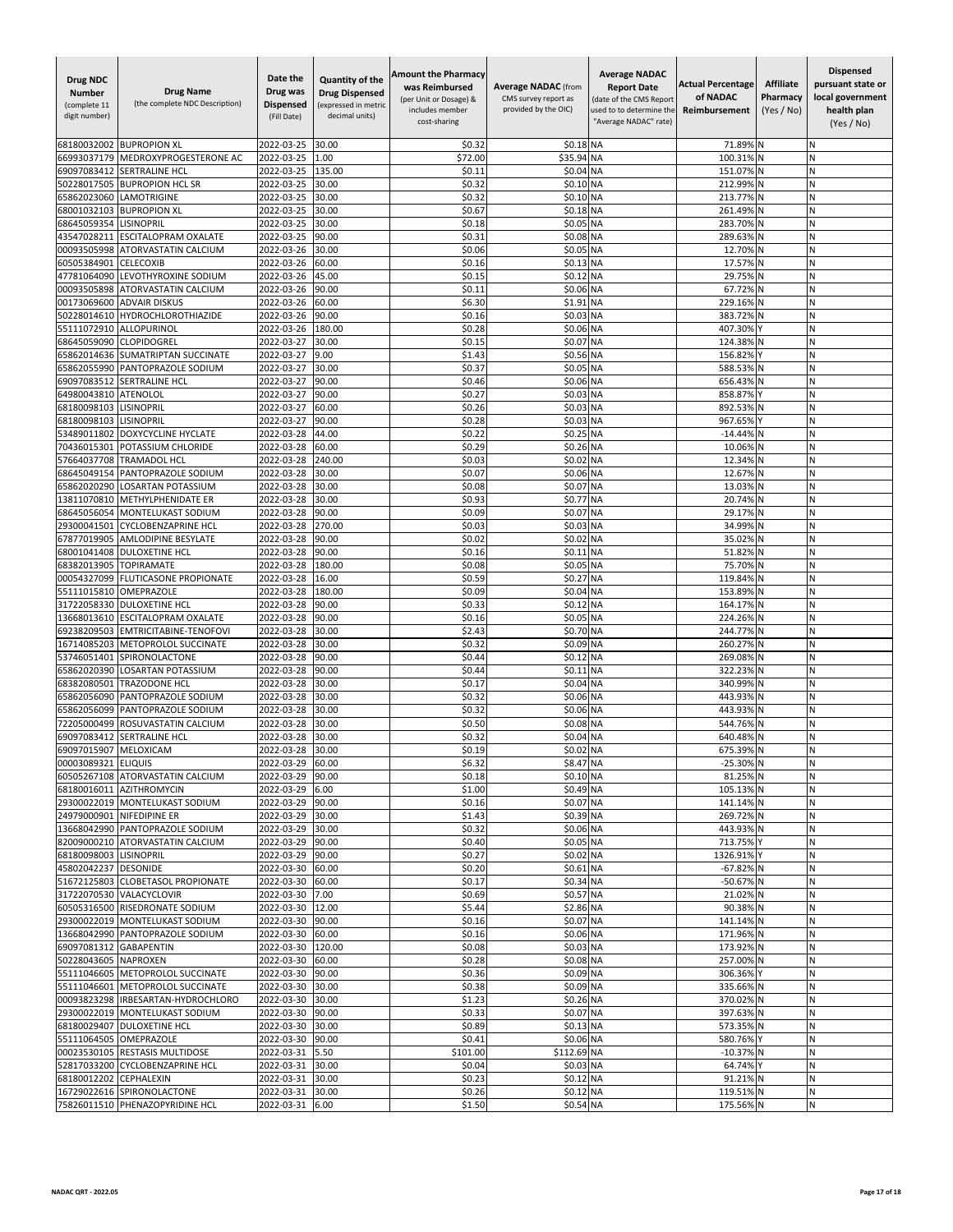| Drug NDC<br><b>Number</b><br>(complete 11<br>digit number) | <b>Drug Name</b><br>(the complete NDC Description)         | Date the<br>Drug was<br><b>Dispensed</b><br>(Fill Date) | Quantity of the<br><b>Drug Dispensed</b><br>(expressed in metric<br>decimal units) | <b>Amount the Pharmacy</b><br>was Reimbursed<br>(per Unit or Dosage) &<br>includes member<br>cost-sharing | <b>Average NADAC</b> (from<br>CMS survey report as<br>provided by the OIC) | <b>Average NADAC</b><br><b>Report Date</b><br>(date of the CMS Report<br>used to to determine the<br>"Average NADAC" rate) | <b>Actual Percentage</b><br>of NADAC<br>Reimbursement | <b>Affiliate</b><br>Pharmacy<br>(Yes / No) | <b>Dispensed</b><br>pursuant state or<br>local government<br>health plan<br>(Yes / No) |
|------------------------------------------------------------|------------------------------------------------------------|---------------------------------------------------------|------------------------------------------------------------------------------------|-----------------------------------------------------------------------------------------------------------|----------------------------------------------------------------------------|----------------------------------------------------------------------------------------------------------------------------|-------------------------------------------------------|--------------------------------------------|----------------------------------------------------------------------------------------|
| 68180032002                                                | <b>BUPROPION XL</b>                                        | 2022-03-25                                              | 30.00                                                                              | \$0.32                                                                                                    | \$0.18 NA                                                                  |                                                                                                                            | 71.89%                                                |                                            | N                                                                                      |
| 66993037179                                                | MEDROXYPROGESTERONE AC                                     | 2022-03-25                                              | 1.00                                                                               | \$72.00                                                                                                   | \$35.94                                                                    | <b>NA</b>                                                                                                                  | 100.31%                                               |                                            | Ν                                                                                      |
| 69097083412                                                | <b>SERTRALINE HCI</b>                                      | 2022-03-25                                              | 135.00                                                                             | \$0.11                                                                                                    | \$0.04                                                                     | <b>NA</b>                                                                                                                  | 151.07%                                               |                                            | Ν                                                                                      |
| 50228017505<br>65862023060                                 | <b>BUPROPION HCL SR</b><br>LAMOTRIGINE                     | 2022-03-25<br>2022-03-25                                | 30.00<br>30.00                                                                     | \$0.32<br>\$0.32                                                                                          | \$0.10 NA<br>\$0.10 NA                                                     |                                                                                                                            | 212.99%<br>213.77%                                    | N                                          | Ν<br>N                                                                                 |
| 68001032103                                                | <b>BUPROPION XL</b>                                        | 2022-03-25                                              | 30.00                                                                              | \$0.67                                                                                                    | \$0.18 NA                                                                  |                                                                                                                            | 261.49%                                               |                                            | N                                                                                      |
| 68645059354                                                | LISINOPRIL                                                 | 2022-03-25                                              | 30.00                                                                              | \$0.18                                                                                                    | \$0.05                                                                     | <b>NA</b>                                                                                                                  | 283.70%                                               |                                            | Ń                                                                                      |
| 43547028211                                                | ESCITALOPRAM OXALATE                                       | 2022-03-25                                              | 90.00                                                                              | \$0.31                                                                                                    | \$0.08                                                                     | <b>NA</b>                                                                                                                  | 289.63%                                               | <b>N</b>                                   | И                                                                                      |
| 00093505998                                                | <b>ATORVASTATIN CALCIUM</b>                                | 2022-03-26                                              | 30.00                                                                              | \$0.06                                                                                                    | \$0.05                                                                     | <b>NA</b>                                                                                                                  | 12.70%                                                |                                            | Ν                                                                                      |
| 60505384901                                                | <b>CELECOXIB</b>                                           | 2022-03-26                                              | 60.00                                                                              | \$0.16                                                                                                    | \$0.13 NA                                                                  |                                                                                                                            | 17.57%                                                | ıΝ                                         | Ν                                                                                      |
| 47781064090<br>00093505898                                 | LEVOTHYROXINE SODIUM<br>ATORVASTATIN CALCIUM               | 2022-03-26<br>2022-03-26                                | 45.00<br>90.00                                                                     | \$0.15<br>\$0.11                                                                                          | \$0.12<br>\$0.06 NA                                                        | <b>NA</b>                                                                                                                  | 29.75%<br>67.72%                                      |                                            | N<br>Ń                                                                                 |
| 00173069600                                                | <b>ADVAIR DISKUS</b>                                       | 2022-03-26                                              | 60.00                                                                              | \$6.30                                                                                                    | \$1.91                                                                     | <b>NA</b>                                                                                                                  | 229.16%                                               |                                            | N                                                                                      |
| 50228014610                                                | HYDROCHLOROTHIAZIDE                                        | 2022-03-26                                              | 90.00                                                                              | \$0.16                                                                                                    | \$0.03                                                                     | <b>NA</b>                                                                                                                  | 383.72%                                               |                                            | И                                                                                      |
| 55111072910                                                | ALLOPURINOL                                                | 2022-03-26                                              | 180.00                                                                             | \$0.28                                                                                                    | \$0.06 NA                                                                  |                                                                                                                            | 407.30%                                               |                                            | N                                                                                      |
| 68645059090                                                | CLOPIDOGREL                                                | 2022-03-27                                              | 30.00                                                                              | \$0.15                                                                                                    | \$0.07                                                                     | <b>NA</b>                                                                                                                  | 124.38%                                               | N                                          | N                                                                                      |
| 65862014636                                                | SUMATRIPTAN SUCCINATE                                      | 2022-03-27                                              | 9.00<br>30.00                                                                      | \$1.43<br>\$0.37                                                                                          | \$0.56 NA<br>\$0.0                                                         | <b>NA</b>                                                                                                                  | 156.829                                               |                                            | N<br>N                                                                                 |
| 65862055990<br>69097083512                                 | PANTOPRAZOLE SODIUM<br>SERTRALINE HCL                      | 2022-03-27<br>2022-03-27                                | 90.00                                                                              | \$0.46                                                                                                    | \$0.06 NA                                                                  |                                                                                                                            | 588.53%<br>656.43%                                    |                                            | N                                                                                      |
| 64980043810                                                | <b>ATENOLOL</b>                                            | 2022-03-27                                              | 90.00                                                                              | \$0.27                                                                                                    | \$0.03 NA                                                                  |                                                                                                                            | 858.87%                                               |                                            | Ν                                                                                      |
| 68180098103                                                | <b>LISINOPRIL</b>                                          | 2022-03-27                                              | 60.00                                                                              | \$0.26                                                                                                    | \$0.03                                                                     | <b>NA</b>                                                                                                                  | 892.53%                                               |                                            | Ν                                                                                      |
| 68180098103                                                | LISINOPRIL                                                 | 2022-03-27                                              | 90.00                                                                              | \$0.28                                                                                                    | \$0.03 NA                                                                  |                                                                                                                            | 967.65%                                               |                                            | N                                                                                      |
| 53489011802                                                | DOXYCYCLINE HYCLATE                                        | 2022-03-28                                              | 44.00                                                                              | \$0.22                                                                                                    | \$0.25                                                                     | <b>NA</b>                                                                                                                  | $-14.44%$                                             |                                            | N                                                                                      |
| 70436015301<br>57664037708                                 | POTASSIUM CHLORIDE<br><b>TRAMADOL HCL</b>                  | 2022-03-28<br>2022-03-28                                | 60.00<br>240.00                                                                    | \$0.29<br>\$0.03                                                                                          | \$0.26 NA<br>\$0.02                                                        | <b>NA</b>                                                                                                                  | 10.06%<br>12.34%                                      |                                            | N<br>Ν                                                                                 |
| 68645049154                                                | PANTOPRAZOLE SODIUM                                        | 2022-03-28                                              | 30.00                                                                              | \$0.07                                                                                                    | \$0.06 NA                                                                  |                                                                                                                            | 12.67%                                                |                                            | Ν                                                                                      |
| 65862020290                                                | <b>LOSARTAN POTASSIUM</b>                                  | 2022-03-28                                              | 30.00                                                                              | \$0.08                                                                                                    | \$0.07 NA                                                                  |                                                                                                                            | 13.03%                                                | N                                          | Ν                                                                                      |
| 13811070810                                                | METHYLPHENIDATE ER                                         | 2022-03-28                                              | 30.00                                                                              | \$0.93                                                                                                    | \$0.77                                                                     | <b>NA</b>                                                                                                                  | 20.74%                                                |                                            | N                                                                                      |
| 68645056054                                                | MONTELUKAST SODIUM                                         | 2022-03-28                                              | 90.00                                                                              | \$0.09                                                                                                    | \$0.07                                                                     | <b>NA</b>                                                                                                                  | 29.17%                                                |                                            | N                                                                                      |
| 29300041501                                                | <b>CYCLOBENZAPRINE HCL</b>                                 | 2022-03-28                                              | 270.00                                                                             | \$0.03                                                                                                    | \$0.03                                                                     | <b>NA</b>                                                                                                                  | 34.99%                                                |                                            | Ν                                                                                      |
| 67877019905<br>68001041408                                 | AMLODIPINE BESYLATE<br><b>DULOXETINE HCL</b>               | 2022-03-28<br>2022-03-28                                | 90.00<br>90.00                                                                     | \$0.02<br>\$0.16                                                                                          | \$0.02<br>\$0.11                                                           | <b>NA</b><br><b>NA</b>                                                                                                     | 35.02%<br>51.82%                                      |                                            | И<br>N                                                                                 |
| 68382013905                                                | <b>TOPIRAMATE</b>                                          | 2022-03-28                                              | 180.00                                                                             | \$0.08                                                                                                    | \$0.05                                                                     | <b>NA</b>                                                                                                                  | 75.70%                                                |                                            | N                                                                                      |
| 00054327099                                                | <b>FLUTICASONE PROPIONATE</b>                              | 2022-03-28                                              | 16.00                                                                              | \$0.59                                                                                                    | \$0.27                                                                     | <b>NA</b>                                                                                                                  | 119.849                                               |                                            | Ń                                                                                      |
| 55111015810                                                | OMEPRAZOLE                                                 | 2022-03-28                                              | 180.00                                                                             | \$0.09                                                                                                    | \$0.04                                                                     | <b>NA</b>                                                                                                                  | 153.89%                                               |                                            | N                                                                                      |
| 31722058330                                                | DULOXETINE HCL                                             | 2022-03-28                                              | 90.00                                                                              | \$0.33                                                                                                    | \$0.12                                                                     | <b>NA</b>                                                                                                                  | 164.17%                                               | IN                                         | Ν                                                                                      |
| 13668013610<br>69238209503                                 | ESCITALOPRAM OXALATE<br>EMTRICITABINE-TENOFOVI             | 2022-03-28<br>2022-03-28                                | 90.00<br>30.00                                                                     | \$0.16<br>\$2.43                                                                                          | \$0.05<br>\$0.70 NA                                                        | <b>NA</b>                                                                                                                  | 224.26%<br>244.77% N                                  |                                            | Ν<br>Ν                                                                                 |
| 16714085203                                                | METOPROLOL SUCCINATE                                       | 2022-03-28                                              | 30.00                                                                              | \$0.32                                                                                                    | \$0.09 NA                                                                  |                                                                                                                            | 260.27%                                               |                                            | N                                                                                      |
| 53746051401                                                | SPIRONOLACTONE                                             | 2022-03-28                                              | 90.00                                                                              | \$0.44                                                                                                    | \$0.12                                                                     | <b>NA</b>                                                                                                                  | 269.08%                                               |                                            | Ń                                                                                      |
| 65862020390                                                | LOSARTAN POTASSIUM                                         | 2022-03-28                                              | 90.00                                                                              | \$0.44                                                                                                    | \$0.11                                                                     | <b>NA</b>                                                                                                                  | 322.23%                                               | N                                          | Ν                                                                                      |
| 68382080501                                                | TRAZODONE HCL                                              | 2022-03-28                                              | 30.00                                                                              | \$0.17                                                                                                    | \$0.04 NA                                                                  |                                                                                                                            | 340.99%                                               | N                                          | Ν                                                                                      |
| 65862056090                                                | PANTOPRAZOLE SODIUM                                        | 2022-03-28                                              | 30.00                                                                              | \$0.32                                                                                                    | \$0.06 NA                                                                  |                                                                                                                            | 443.93%                                               |                                            | И                                                                                      |
| 65862056099<br>72205000499                                 | PANTOPRAZOLE SODIUM<br>ROSUVASTATIN CALCIUM                | 2022-03-28<br>2022-03-28                                | 30.00<br>30.00                                                                     | \$0.32<br>\$0.50                                                                                          | \$0.06 NA<br>\$0.08                                                        | <b>NA</b>                                                                                                                  | 443.93%<br>544.76%                                    |                                            | N<br>N                                                                                 |
| 69097083412                                                | <b>SERTRALINE HCI</b>                                      | 2022-03-28                                              | 30.00                                                                              | \$0.32                                                                                                    | \$0.04                                                                     | <b>NA</b>                                                                                                                  | 640.48%                                               |                                            | Ń                                                                                      |
| 69097015907                                                | MELOXICAM                                                  | 2022-03-28                                              | 30.00                                                                              | \$0.19                                                                                                    | \$0.02 NA                                                                  |                                                                                                                            | 675.39% N                                             |                                            | N                                                                                      |
| 00003089321 ELIQUIS                                        |                                                            | 2022-03-29 60.00                                        |                                                                                    | \$6.32                                                                                                    | \$8.47 NA                                                                  |                                                                                                                            | -25.30% N                                             |                                            | Ν                                                                                      |
|                                                            | 60505267108 ATORVASTATIN CALCIUM                           | 2022-03-29                                              | 90.00                                                                              | \$0.18                                                                                                    | \$0.10 NA                                                                  |                                                                                                                            | 81.25% N                                              |                                            | И                                                                                      |
|                                                            | 68180016011 AZITHROMYCIN<br>29300022019 MONTELUKAST SODIUM | 2022-03-29 6.00<br>2022-03-29                           | 90.00                                                                              | \$1.00<br>\$0.16                                                                                          | \$0.49 NA<br>\$0.07 NA                                                     |                                                                                                                            | 105.13% N<br>141.14% N                                |                                            | Ν<br>И                                                                                 |
|                                                            | 24979000901 NIFEDIPINE ER                                  | 2022-03-29                                              | 30.00                                                                              | \$1.43                                                                                                    | \$0.39 NA                                                                  |                                                                                                                            | 269.72% N                                             |                                            | N                                                                                      |
|                                                            | 13668042990 PANTOPRAZOLE SODIUM                            | 2022-03-29                                              | 30.00                                                                              | \$0.32                                                                                                    | \$0.06 NA                                                                  |                                                                                                                            | 443.93% N                                             |                                            | Ν                                                                                      |
|                                                            | 82009000210 ATORVASTATIN CALCIUM                           | 2022-03-29                                              | 90.00                                                                              | \$0.40                                                                                                    | \$0.05 NA                                                                  |                                                                                                                            | 713.75% Y                                             |                                            | И                                                                                      |
| 68180098003 LISINOPRIL                                     |                                                            | 2022-03-29                                              | 90.00                                                                              | \$0.27                                                                                                    | \$0.02 NA                                                                  |                                                                                                                            | 1326.91% Y                                            |                                            | N                                                                                      |
| 45802042237 DESONIDE                                       |                                                            | 2022-03-30                                              | 60.00                                                                              | \$0.20                                                                                                    | \$0.61 NA                                                                  |                                                                                                                            | -67.82% N                                             |                                            | И                                                                                      |
| 51672125803                                                | <b>CLOBETASOL PROPIONATE</b><br>31722070530 VALACYCLOVIR   | 2022-03-30<br>2022-03-30                                | 60.00<br>7.00                                                                      | \$0.17<br>\$0.69                                                                                          | \$0.34 NA<br>\$0.57 NA                                                     |                                                                                                                            | -50.67% N<br>21.02% N                                 |                                            | Ν<br>И                                                                                 |
|                                                            | 60505316500 RISEDRONATE SODIUM                             | 2022-03-30                                              | 12.00                                                                              | \$5.44                                                                                                    | \$2.86 NA                                                                  |                                                                                                                            | 90.38% N                                              |                                            | N                                                                                      |
|                                                            | 29300022019 MONTELUKAST SODIUM                             | 2022-03-30 90.00                                        |                                                                                    | \$0.16                                                                                                    | \$0.07 NA                                                                  |                                                                                                                            | 141.14% N                                             |                                            | Ν                                                                                      |
|                                                            | 13668042990 PANTOPRAZOLE SODIUM                            | 2022-03-30                                              | 60.00                                                                              | \$0.16                                                                                                    | \$0.06 NA                                                                  |                                                                                                                            | 171.96% N                                             |                                            | И                                                                                      |
| 69097081312                                                | <b>GABAPENTIN</b>                                          | 2022-03-30                                              | 120.00                                                                             | \$0.08                                                                                                    | \$0.03 NA                                                                  |                                                                                                                            | 173.92% N                                             |                                            | И                                                                                      |
| 50228043605 NAPROXEN                                       |                                                            | 2022-03-30                                              | 60.00                                                                              | \$0.28                                                                                                    | \$0.08 NA                                                                  |                                                                                                                            | 257.00% N                                             |                                            | N                                                                                      |
| 55111046605<br>55111046601                                 | METOPROLOL SUCCINATE<br>METOPROLOL SUCCINATE               | 2022-03-30<br>2022-03-30                                | 90.00<br>30.00                                                                     | \$0.36<br>\$0.38                                                                                          | \$0.09 NA<br>\$0.09 NA                                                     |                                                                                                                            | 306.36% Y<br>335.66% N                                |                                            | Ν<br>И                                                                                 |
|                                                            | 00093823298 IRBESARTAN-HYDROCHLORO                         | 2022-03-30                                              | 30.00                                                                              | \$1.23                                                                                                    | \$0.26 NA                                                                  |                                                                                                                            | 370.02% N                                             |                                            | N                                                                                      |
|                                                            | 29300022019 MONTELUKAST SODIUM                             | 2022-03-30                                              | 90.00                                                                              | \$0.33                                                                                                    | \$0.07 NA                                                                  |                                                                                                                            | 397.63% N                                             |                                            | N                                                                                      |
| 68180029407                                                | <b>DULOXETINE HCL</b>                                      | 2022-03-30                                              | 30.00                                                                              | \$0.89                                                                                                    | \$0.13 NA                                                                  |                                                                                                                            | 573.35% N                                             |                                            | N                                                                                      |
| 55111064505                                                | OMEPRAZOLE                                                 | 2022-03-30                                              | 90.00                                                                              | \$0.41                                                                                                    | \$0.06 NA                                                                  |                                                                                                                            | 580.76% Y                                             |                                            | N                                                                                      |
|                                                            | 00023530105 RESTASIS MULTIDOSE                             | 2022-03-31                                              | 5.50                                                                               | \$101.00                                                                                                  | \$112.69 NA                                                                |                                                                                                                            | $-10.37\%$ N                                          |                                            | N                                                                                      |
|                                                            | 52817033200 CYCLOBENZAPRINE HCL                            | 2022-03-31                                              | 30.00                                                                              | \$0.04                                                                                                    | \$0.03 NA                                                                  |                                                                                                                            | 64.74% Y<br>91.21% N                                  |                                            | Ν<br>Ν                                                                                 |
| 68180012202 CEPHALEXIN                                     | 16729022616 SPIRONOLACTONE                                 | 2022-03-31 30.00<br>2022-03-31                          | 30.00                                                                              | \$0.23<br>\$0.26                                                                                          | \$0.12 NA<br>\$0.12 NA                                                     |                                                                                                                            | 119.51% N                                             |                                            | N                                                                                      |
|                                                            | 75826011510 PHENAZOPYRIDINE HCL                            | 2022-03-31 6.00                                         |                                                                                    | \$1.50                                                                                                    | \$0.54 NA                                                                  |                                                                                                                            | 175.56% N                                             |                                            | Ν                                                                                      |
|                                                            |                                                            |                                                         |                                                                                    |                                                                                                           |                                                                            |                                                                                                                            |                                                       |                                            |                                                                                        |